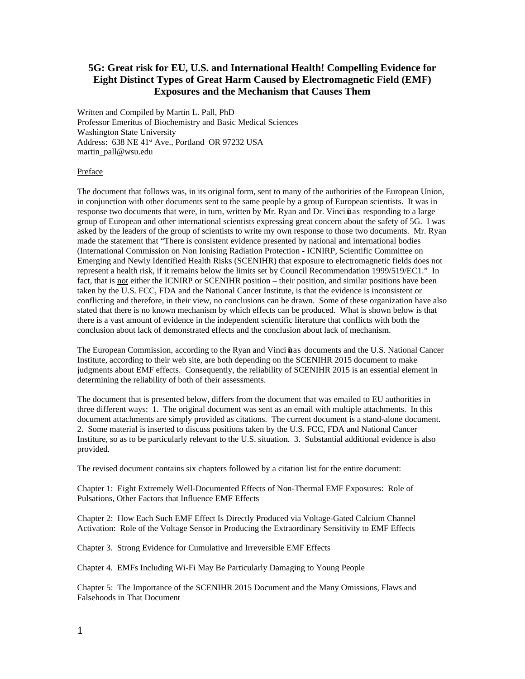## **5G: Great risk for EU, U.S. and International Health! Compelling Evidence for Eight Distinct Types of Great Harm Caused by Electromagnetic Field (EMF) Exposures and the Mechanism that Causes Them**

Written and Compiled by Martin L. Pall, PhD Professor Emeritus of Biochemistry and Basic Medical Sciences Washington State University Address: 638 NE 41<sup>st</sup> Ave., Portland OR 97232 USA martin\_pall@wsu.edu

#### Preface

The document that follows was, in its original form, sent to many of the authorities of the European Union, in conjunction with other documents sent to the same people by a group of European scientists. It was in response two documents that were, in turn, written by Mr. Ryan and Dr. Vinci ū as responding to a large group of European and other international scientists expressing great concern about the safety of 5G. I was asked by the leaders of the group of scientists to write my own response to those two documents. Mr. Ryan made the statement that "There is consistent evidence presented by national and international bodies (International Commission on Non Ionising Radiation Protection - ICNIRP, Scientific Committee on Emerging and Newly Identified Health Risks (SCENIHR) that exposure to electromagnetic fields does not represent a health risk, if it remains below the limits set by Council Recommendation 1999/519/EC1." In fact, that is not either the ICNIRP or SCENIHR position – their position, and similar positions have been taken by the U.S. FCC, FDA and the National Cancer Institute, is that the evidence is inconsistent or conflicting and therefore, in their view, no conclusions can be drawn. Some of these organization have also stated that there is no known mechanism by which effects can be produced. What is shown below is that there is a vast amount of evidence in the independent scientific literature that conflicts with both the conclusion about lack of demonstrated effects and the conclusion about lack of mechanism.

The European Commission, according to the Ryan and Vinci us as documents and the U.S. National Cancer Institute, according to their web site, are both depending on the SCENIHR 2015 document to make judgments about EMF effects. Consequently, the reliability of SCENIHR 2015 is an essential element in determining the reliability of both of their assessments.

The document that is presented below, differs from the document that was emailed to EU authorities in three different ways: 1. The original document was sent as an email with multiple attachments. In this document attachments are simply provided as citations. The current document is a stand-alone document. 2. Some material is inserted to discuss positions taken by the U.S. FCC, FDA and National Cancer Institure, so as to be particularly relevant to the U.S. situation. 3. Substantial additional evidence is also provided.

The revised document contains six chapters followed by a citation list for the entire document:

Chapter 1: Eight Extremely Well-Documented Effects of Non-Thermal EMF Exposures: Role of Pulsations, Other Factors that Influence EMF Effects

Chapter 2: How Each Such EMF Effect Is Directly Produced via Voltage-Gated Calcium Channel Activation: Role of the Voltage Sensor in Producing the Extraordinary Sensitivity to EMF Effects

Chapter 3. Strong Evidence for Cumulative and Irreversible EMF Effects

Chapter 4. EMFs Including Wi-Fi May Be Particularly Damaging to Young People

Chapter 5: The Importance of the SCENIHR 2015 Document and the Many Omissions, Flaws and Falsehoods in That Document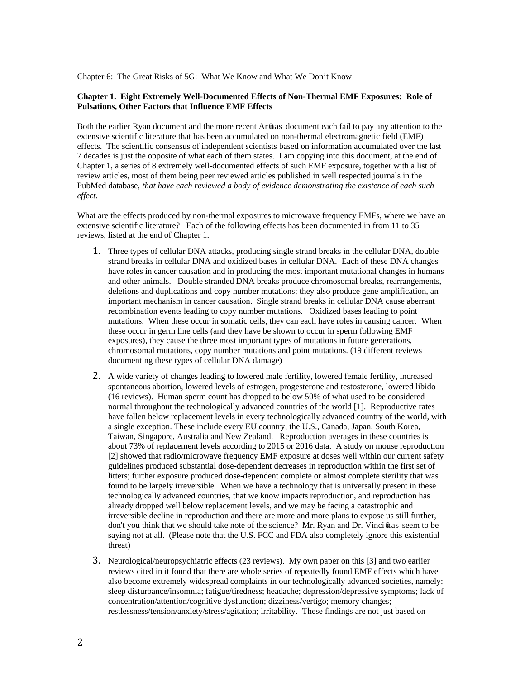Chapter 6: The Great Risks of 5G: What We Know and What We Don't Know

#### **Chapter 1. Eight Extremely Well-Documented Effects of Non-Thermal EMF Exposures: Role of Pulsations, Other Factors that Influence EMF Effects**

Both the earlier Ryan document and the more recent Ar $\bar{u}$  as document each fail to pay any attention to the extensive scientific literature that has been accumulated on non-thermal electromagnetic field (EMF) effects. The scientific consensus of independent scientists based on information accumulated over the last 7 decades is just the opposite of what each of them states. I am copying into this document, at the end of Chapter 1, a series of 8 extremely well-documented effects of such EMF exposure, together with a list of review articles, most of them being peer reviewed articles published in well respected journals in the PubMed database, *that have each reviewed a body of evidence demonstrating the existence of each such effect*.

What are the effects produced by non-thermal exposures to microwave frequency EMFs, where we have an extensive scientific literature? Each of the following effects has been documented in from 11 to 35 reviews, listed at the end of Chapter 1.

- 1. Three types of cellular DNA attacks, producing single strand breaks in the cellular DNA, double strand breaks in cellular DNA and oxidized bases in cellular DNA. Each of these DNA changes have roles in cancer causation and in producing the most important mutational changes in humans and other animals. Double stranded DNA breaks produce chromosomal breaks, rearrangements, deletions and duplications and copy number mutations; they also produce gene amplification, an important mechanism in cancer causation. Single strand breaks in cellular DNA cause aberrant recombination events leading to copy number mutations. Oxidized bases leading to point mutations. When these occur in somatic cells, they can each have roles in causing cancer. When these occur in germ line cells (and they have be shown to occur in sperm following EMF exposures), they cause the three most important types of mutations in future generations, chromosomal mutations, copy number mutations and point mutations. (19 different reviews documenting these types of cellular DNA damage)
- 2. A wide variety of changes leading to lowered male fertility, lowered female fertility, increased spontaneous abortion, lowered levels of estrogen, progesterone and testosterone, lowered libido (16 reviews). Human sperm count has dropped to below 50% of what used to be considered normal throughout the technologically advanced countries of the world [1]. Reproductive rates have fallen below replacement levels in every technologically advanced country of the world, with a single exception. These include every EU country, the U.S., Canada, Japan, South Korea, Taiwan, Singapore, Australia and New Zealand. Reproduction averages in these countries is about 73% of replacement levels according to 2015 or 2016 data. A study on mouse reproduction [2] showed that radio/microwave frequency EMF exposure at doses well within our current safety guidelines produced substantial dose-dependent decreases in reproduction within the first set of litters; further exposure produced dose-dependent complete or almost complete sterility that was found to be largely irreversible. When we have a technology that is universally present in these technologically advanced countries, that we know impacts reproduction, and reproduction has already dropped well below replacement levels, and we may be facing a catastrophic and irreversible decline in reproduction and there are more and more plans to expose us still further, don't you think that we should take note of the science? Mr. Ryan and Dr. Vinciniu as seem to be saying not at all. (Please note that the U.S. FCC and FDA also completely ignore this existential threat)
- 3. Neurological/neuropsychiatric effects (23 reviews). My own paper on this [3] and two earlier reviews cited in it found that there are whole series of repeatedly found EMF effects which have also become extremely widespread complaints in our technologically advanced societies, namely: sleep disturbance/insomnia; fatigue/tiredness; headache; depression/depressive symptoms; lack of concentration/attention/cognitive dysfunction; dizziness/vertigo; memory changes; restlessness/tension/anxiety/stress/agitation; irritability. These findings are not just based on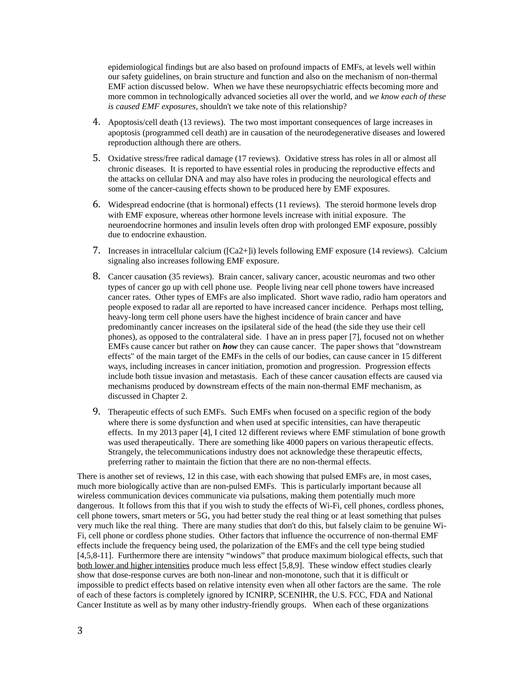epidemiological findings but are also based on profound impacts of EMFs, at levels well within our safety guidelines, on brain structure and function and also on the mechanism of non-thermal EMF action discussed below. When we have these neuropsychiatric effects becoming more and more common in technologically advanced societies all over the world, and *we know each of these is caused EMF exposures*, shouldn't we take note of this relationship?

- 4. Apoptosis/cell death (13 reviews). The two most important consequences of large increases in apoptosis (programmed cell death) are in causation of the neurodegenerative diseases and lowered reproduction although there are others.
- 5. Oxidative stress/free radical damage (17 reviews). Oxidative stress has roles in all or almost all chronic diseases. It is reported to have essential roles in producing the reproductive effects and the attacks on cellular DNA and may also have roles in producing the neurological effects and some of the cancer-causing effects shown to be produced here by EMF exposures.
- 6. Widespread endocrine (that is hormonal) effects (11 reviews). The steroid hormone levels drop with EMF exposure, whereas other hormone levels increase with initial exposure. The neuroendocrine hormones and insulin levels often drop with prolonged EMF exposure, possibly due to endocrine exhaustion.
- 7. Increases in intracellular calcium ([Ca2+]i) levels following EMF exposure (14 reviews). Calcium signaling also increases following EMF exposure.
- 8. Cancer causation (35 reviews). Brain cancer, salivary cancer, acoustic neuromas and two other types of cancer go up with cell phone use. People living near cell phone towers have increased cancer rates. Other types of EMFs are also implicated. Short wave radio, radio ham operators and people exposed to radar all are reported to have increased cancer incidence. Perhaps most telling, heavy-long term cell phone users have the highest incidence of brain cancer and have predominantly cancer increases on the ipsilateral side of the head (the side they use their cell phones), as opposed to the contralateral side. I have an in press paper [7], focused not on whether EMFs cause cancer but rather on *how* they can cause cancer. The paper shows that "downstream effects" of the main target of the EMFs in the cells of our bodies, can cause cancer in 15 different ways, including increases in cancer initiation, promotion and progression. Progression effects include both tissue invasion and metastasis. Each of these cancer causation effects are caused via mechanisms produced by downstream effects of the main non-thermal EMF mechanism, as discussed in Chapter 2.
- 9. Therapeutic effects of such EMFs. Such EMFs when focused on a specific region of the body where there is some dysfunction and when used at specific intensities, can have therapeutic effects. In my 2013 paper [4], I cited 12 different reviews where EMF stimulation of bone growth was used therapeutically. There are something like 4000 papers on various therapeutic effects. Strangely, the telecommunications industry does not acknowledge these therapeutic effects, preferring rather to maintain the fiction that there are no non-thermal effects.

There is another set of reviews, 12 in this case, with each showing that pulsed EMFs are, in most cases, much more biologically active than are non-pulsed EMFs. This is particularly important because all wireless communication devices communicate via pulsations, making them potentially much more dangerous. It follows from this that if you wish to study the effects of Wi-Fi, cell phones, cordless phones, cell phone towers, smart meters or 5G, you had better study the real thing or at least something that pulses very much like the real thing. There are many studies that don't do this, but falsely claim to be genuine Wi-Fi, cell phone or cordless phone studies. Other factors that influence the occurrence of non-thermal EMF effects include the frequency being used, the polarization of the EMFs and the cell type being studied [4,5,8-11]. Furthermore there are intensity "windows" that produce maximum biological effects, such that both lower and higher intensities produce much less effect [5,8,9]. These window effect studies clearly show that dose-response curves are both non-linear and non-monotone, such that it is difficult or impossible to predict effects based on relative intensity even when all other factors are the same. The role of each of these factors is completely ignored by ICNIRP, SCENIHR, the U.S. FCC, FDA and National Cancer Institute as well as by many other industry-friendly groups. When each of these organizations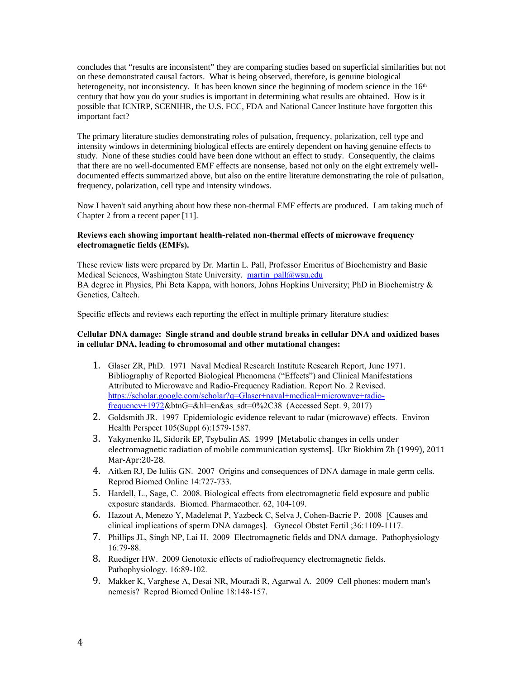concludes that "results are inconsistent" they are comparing studies based on superficial similarities but not on these demonstrated causal factors. What is being observed, therefore, is genuine biological heterogeneity, not inconsistency. It has been known since the beginning of modern science in the  $16<sup>th</sup>$ century that how you do your studies is important in determining what results are obtained. How is it possible that ICNIRP, SCENIHR, the U.S. FCC, FDA and National Cancer Institute have forgotten this important fact?

The primary literature studies demonstrating roles of pulsation, frequency, polarization, cell type and intensity windows in determining biological effects are entirely dependent on having genuine effects to study. None of these studies could have been done without an effect to study. Consequently, the claims that there are no well-documented EMF effects are nonsense, based not only on the eight extremely welldocumented effects summarized above, but also on the entire literature demonstrating the role of pulsation, frequency, polarization, cell type and intensity windows.

Now I haven't said anything about how these non-thermal EMF effects are produced. I am taking much of Chapter 2 from a recent paper [11].

## **Reviews each showing important health-related non-thermal effects of microwave frequency electromagnetic fields (EMFs).**

These review lists were prepared by Dr. Martin L. Pall, Professor Emeritus of Biochemistry and Basic Medical Sciences, Washington State University. [martin\\_pall@wsu.edu](mailto:martin_pall@wsu.edu) BA degree in Physics, Phi Beta Kappa, with honors, Johns Hopkins University; PhD in Biochemistry & Genetics, Caltech.

Specific effects and reviews each reporting the effect in multiple primary literature studies:

## **Cellular DNA damage: Single strand and double strand breaks in cellular DNA and oxidized bases in cellular DNA, leading to chromosomal and other mutational changes:**

- 1. Glaser ZR, PhD. 1971 Naval Medical Research Institute Research Report, June 1971. Bibliography of Reported Biological Phenomena ("Effects") and Clinical Manifestations Attributed to Microwave and Radio-Frequency Radiation. Report No. 2 Revised. [https://scholar.google.com/scholar?q=Glaser+naval+medical+microwave+radio](https://scholar.google.com/scholar?q=Glaser+naval+medical+microwave+radio-frequency+1972)[frequency+1972&](https://scholar.google.com/scholar?q=Glaser+naval+medical+microwave+radio-frequency+1972)btnG=&hl=en&as\_sdt=0%2C38 (Accessed Sept. 9, 2017)
- 2. Goldsmith JR. 1997 Epidemiologic evidence relevant to radar (microwave) effects. Environ Health Perspect 105(Suppl 6):1579-1587.
- 3. Yakymenko IL, Sidorik EP, Tsybulin AS. 1999 [Metabolic changes in cells under electromagnetic radiation of mobile communication systems]. Ukr Biokhim Zh (1999), 2011 Mar-Apr:20-28.
- 4. Aitken RJ, De Iuliis GN. 2007 Origins and consequences of DNA damage in male germ cells. Reprod Biomed Online 14:727-733.
- 5. Hardell, L., Sage, C. 2008. Biological effects from electromagnetic field exposure and public exposure standards. Biomed. Pharmacother. 62, 104-109.
- 6. Hazout A, Menezo Y, Madelenat P, Yazbeck C, Selva J, Cohen-Bacrie P. 2008 [Causes and clinical implications of sperm DNA damages]. Gynecol Obstet Fertil ;36:1109-1117.
- 7. Phillips JL, Singh NP, Lai H. 2009 Electromagnetic fields and DNA damage. Pathophysiology 16:79-88.
- 8. Ruediger HW. 2009 Genotoxic effects of radiofrequency electromagnetic fields. Pathophysiology. 16:89-102.
- 9. Makker K, Varghese A, Desai NR, Mouradi R, Agarwal A. 2009 Cell phones: modern man's nemesis? Reprod Biomed Online 18:148-157.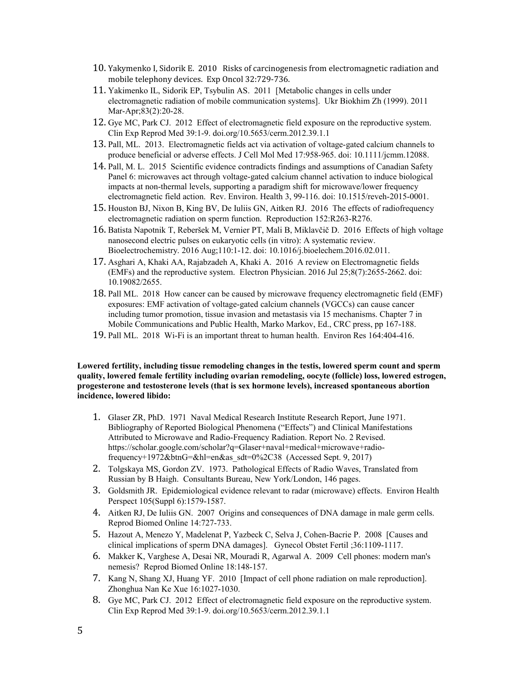- 10. Yakymenko I, Sidorik E. 2010 Risks of carcinogenesis from electromagnetic radiation and mobile telephony devices. Exp Oncol 32:729-736.
- 11. Yakimenko IL, Sidorik EP, Tsybulin AS. 2011 [Metabolic changes in cells under electromagnetic radiation of mobile communication systems]. Ukr Biokhim Zh (1999). 2011 Mar-Apr;83(2):20-28.
- 12. Gye MC, Park CJ. 2012 Effect of electromagnetic field exposure on the reproductive system. Clin Exp Reprod Med 39:1-9. doi.org/10.5653/cerm.2012.39.1.1
- 13. Pall, ML. 2013. Electromagnetic fields act via activation of voltage-gated calcium channels to produce beneficial or adverse effects. J Cell Mol Med 17:958-965. doi: 10.1111/jcmm.12088.
- 14. Pall, M. L. 2015 Scientific evidence contradicts findings and assumptions of Canadian Safety Panel 6: microwaves act through voltage-gated calcium channel activation to induce biological impacts at non-thermal levels, supporting a paradigm shift for microwave/lower frequency electromagnetic field action. Rev. Environ. Health 3, 99-116. doi: 10.1515/reveh-2015-0001.
- 15. Houston BJ, Nixon B, King BV, De Iuliis GN, Aitken RJ. 2016 The effects of radiofrequency electromagnetic radiation on sperm function. Reproduction 152:R263-R276.
- 16. Batista Napotnik T, Reberšek M, Vernier PT, Mali B, Miklavčič D. 2016 Effects of high voltage nanosecond electric pulses on eukaryotic cells (in vitro): A systematic review. Bioelectrochemistry. 2016 Aug;110:1-12. doi: 10.1016/j.bioelechem.2016.02.011.
- 17. Asghari A, Khaki AA, Rajabzadeh A, Khaki A. 2016 A review on Electromagnetic fields (EMFs) and the reproductive system. Electron Physician. 2016 Jul 25;8(7):2655-2662. doi: 10.19082/2655.
- 18. Pall ML. 2018 How cancer can be caused by microwave frequency electromagnetic field (EMF) exposures: EMF activation of voltage-gated calcium channels (VGCCs) can cause cancer including tumor promotion, tissue invasion and metastasis via 15 mechanisms. Chapter 7 in Mobile Communications and Public Health, Marko Markov, Ed., CRC press, pp 167-188.
- 19. Pall ML. 2018 Wi-Fi is an important threat to human health. Environ Res 164:404-416.

**Lowered fertility, including tissue remodeling changes in the testis, lowered sperm count and sperm quality, lowered female fertility including ovarian remodeling, oocyte (follicle) loss, lowered estrogen, progesterone and testosterone levels (that is sex hormone levels), increased spontaneous abortion incidence, lowered libido:**

- 1. Glaser ZR, PhD. 1971 Naval Medical Research Institute Research Report, June 1971. Bibliography of Reported Biological Phenomena ("Effects") and Clinical Manifestations Attributed to Microwave and Radio-Frequency Radiation. Report No. 2 Revised. https://scholar.google.com/scholar?q=Glaser+naval+medical+microwave+radiofrequency+1972&btnG=&hl=en&as\_sdt=0%2C38 (Accessed Sept. 9, 2017)
- 2. Tolgskaya MS, Gordon ZV. 1973. Pathological Effects of Radio Waves, Translated from Russian by B Haigh. Consultants Bureau, New York/London, 146 pages.
- 3. Goldsmith JR. Epidemiological evidence relevant to radar (microwave) effects. Environ Health Perspect 105(Suppl 6):1579-1587.
- 4. Aitken RJ, De Iuliis GN. 2007 Origins and consequences of DNA damage in male germ cells. Reprod Biomed Online 14:727-733.
- 5. Hazout A, Menezo Y, Madelenat P, Yazbeck C, Selva J, Cohen-Bacrie P. 2008 [Causes and clinical implications of sperm DNA damages]. Gynecol Obstet Fertil ;36:1109-1117.
- 6. Makker K, Varghese A, Desai NR, Mouradi R, Agarwal A. 2009 Cell phones: modern man's nemesis? Reprod Biomed Online 18:148-157.
- 7. Kang N, Shang XJ, Huang YF. 2010 [Impact of cell phone radiation on male reproduction]. Zhonghua Nan Ke Xue 16:1027-1030.
- 8. Gye MC, Park CJ. 2012 Effect of electromagnetic field exposure on the reproductive system. Clin Exp Reprod Med 39:1-9. doi.org/10.5653/cerm.2012.39.1.1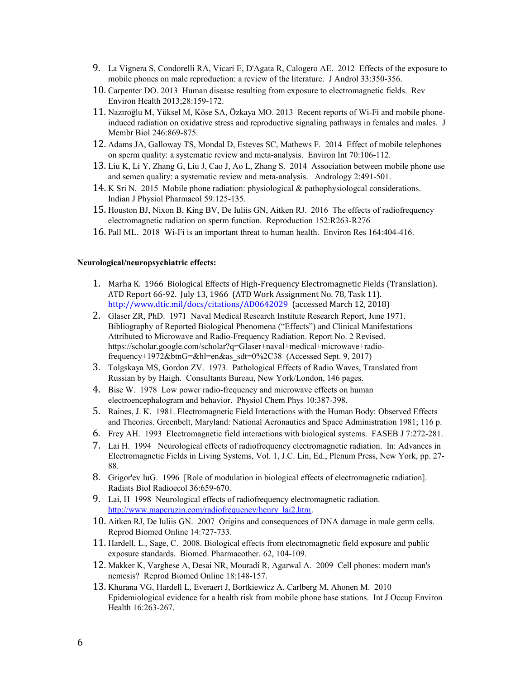- 9. La Vignera S, Condorelli RA, Vicari E, D'Agata R, Calogero AE. 2012 Effects of the exposure to mobile phones on male reproduction: a review of the literature. J Androl 33:350-356.
- 10. Carpenter DO. 2013 Human disease resulting from exposure to electromagnetic fields. Rev Environ Health 2013;28:159-172.
- 11. Nazıroğlu M, Yüksel M, Köse SA, Özkaya MO. 2013 Recent reports of Wi-Fi and mobile phoneinduced radiation on oxidative stress and reproductive signaling pathways in females and males. J Membr Biol 246:869-875.
- 12. Adams JA, Galloway TS, Mondal D, Esteves SC, Mathews F. 2014 Effect of mobile telephones on sperm quality: a systematic review and meta-analysis. Environ Int 70:106-112.
- 13. Liu K, Li Y, Zhang G, Liu J, Cao J, Ao L, Zhang S. 2014 Association between mobile phone use and semen quality: a systematic review and meta-analysis. Andrology 2:491-501.
- 14. K Sri N. 2015 Mobile phone radiation: physiological & pathophysiologcal considerations. Indian J Physiol Pharmacol 59:125-135.
- 15. Houston BJ, Nixon B, King BV, De Iuliis GN, Aitken RJ. 2016 The effects of radiofrequency electromagnetic radiation on sperm function. Reproduction 152:R263-R276
- 16. Pall ML. 2018 Wi-Fi is an important threat to human health. Environ Res 164:404-416.

#### **Neurological/neuropsychiatric effects:**

- 1. Marha K. 1966 Biological Effects of High-Frequency Electromagnetic Fields (Translation). ATD Report 66-92. July 13, 1966 (ATD Work Assignment No. 78, Task 11). <http://www.dtic.mil/docs/citations/AD0642029>(accessed March 12, 2018)
- 2. Glaser ZR, PhD. 1971 Naval Medical Research Institute Research Report, June 1971. Bibliography of Reported Biological Phenomena ("Effects") and Clinical Manifestations Attributed to Microwave and Radio-Frequency Radiation. Report No. 2 Revised. https://scholar.google.com/scholar?q=Glaser+naval+medical+microwave+radiofrequency+1972&btnG=&hl=en&as\_sdt=0%2C38 (Accessed Sept. 9, 2017)
- 3. Tolgskaya MS, Gordon ZV. 1973. Pathological Effects of Radio Waves, Translated from Russian by by Haigh. Consultants Bureau, New York/London, 146 pages.
- 4. Bise W. 1978 Low power radio-frequency and microwave effects on human electroencephalogram and behavior. Physiol Chem Phys 10:387-398.
- 5. Raines, J. K. 1981. Electromagnetic Field Interactions with the Human Body: Observed Effects and Theories. Greenbelt, Maryland: National Aeronautics and Space Administration 1981; 116 p.
- 6. Frey AH. 1993 Electromagnetic field interactions with biological systems. FASEB J 7:272-281.
- 7. Lai H. 1994 Neurological effects of radiofrequency electromagnetic radiation. In: Advances in Electromagnetic Fields in Living Systems, Vol. 1, J.C. Lin, Ed., Plenum Press, New York, pp. 27- 88.
- 8. Grigor'ev IuG. 1996 [Role of modulation in biological effects of electromagnetic radiation]. Radiats Biol Radioecol 36:659-670.
- 9. Lai, H 1998 Neurological effects of radiofrequency electromagnetic radiation. [http://www.mapcruzin.com/radiofrequency/henry\\_lai2.htm.](http://www.mapcruzin.com/radiofrequency/henry_lai2.htm)
- 10. Aitken RJ, De Iuliis GN. 2007 Origins and consequences of DNA damage in male germ cells. Reprod Biomed Online 14:727-733.
- 11. Hardell, L., Sage, C. 2008. Biological effects from electromagnetic field exposure and public exposure standards. Biomed. Pharmacother. 62, 104-109.
- 12. Makker K, Varghese A, Desai NR, Mouradi R, Agarwal A. 2009 Cell phones: modern man's nemesis? Reprod Biomed Online 18:148-157.
- 13. Khurana VG, Hardell L, Everaert J, Bortkiewicz A, Carlberg M, Ahonen M. 2010 Epidemiological evidence for a health risk from mobile phone base stations. Int J Occup Environ Health 16:263-267.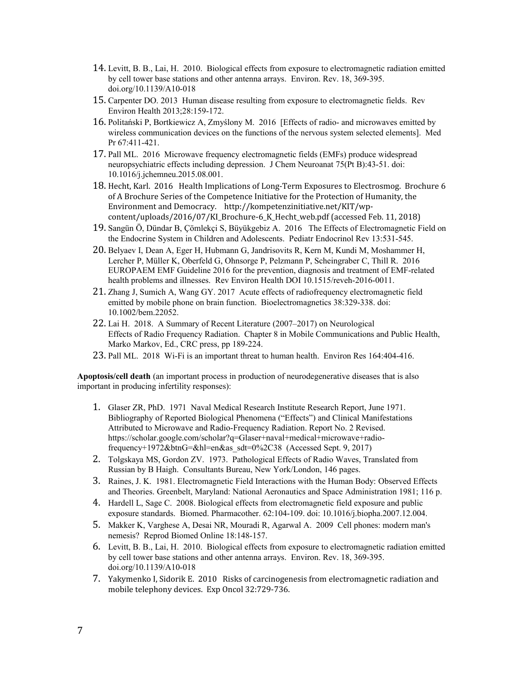- 14. Levitt, B. B., Lai, H. 2010. Biological effects from exposure to electromagnetic radiation emitted by cell tower base stations and other antenna arrays. Environ. Rev. 18, 369-395. doi.org/10.1139/A10-018
- 15. Carpenter DO. 2013 Human disease resulting from exposure to electromagnetic fields. Rev Environ Health 2013;28:159-172.
- 16. Politański P, Bortkiewicz A, Zmyślony M. 2016 [Effects of radio- and microwaves emitted by wireless communication devices on the functions of the nervous system selected elements]. Med Pr 67:411-421.
- 17. Pall ML. 2016 Microwave frequency electromagnetic fields (EMFs) produce widespread neuropsychiatric effects including depression. J Chem Neuroanat 75(Pt B):43-51. doi: 10.1016/j.jchemneu.2015.08.001.
- 18. Hecht, Karl. 2016 Health Implications of Long-Term Exposures to Electrosmog. Brochure 6 of A Brochure Series of the Competence Initiative for the Protection of Humanity, the Environment and Democracy. http://kompetenzinitiative.net/KIT/wpcontent/uploads/2016/07/KI\_Brochure-6\_K\_Hecht\_web.pdf (accessed Feb. 11, 2018)
- 19. Sangün Ö, Dündar B, Çömlekçi S, Büyükgebiz A. 2016 The Effects of Electromagnetic Field on the Endocrine System in Children and Adolescents. Pediatr Endocrinol Rev 13:531-545.
- 20. Belyaev I, Dean A, Eger H, Hubmann G, Jandrisovits R, Kern M, Kundi M, Moshammer H, Lercher P, Müller K, Oberfeld G, Ohnsorge P, Pelzmann P, Scheingraber C, Thill R. 2016 EUROPAEM EMF Guideline 2016 for the prevention, diagnosis and treatment of EMF-related health problems and illnesses. Rev Environ Health DOI 10.1515/reveh-2016-0011.
- 21. Zhang J, Sumich A, Wang GY. 2017 Acute effects of radiofrequency electromagnetic field emitted by mobile phone on brain function. Bioelectromagnetics 38:329-338. doi: 10.1002/bem.22052.
- 22. Lai H. 2018. A Summary of Recent Literature (2007–2017) on Neurological Effects of Radio Frequency Radiation. Chapter 8 in Mobile Communications and Public Health, Marko Markov, Ed., CRC press, pp 189-224.
- 23. Pall ML. 2018 Wi-Fi is an important threat to human health. Environ Res 164:404-416.

**Apoptosis/cell death** (an important process in production of neurodegenerative diseases that is also important in producing infertility responses):

- 1. Glaser ZR, PhD. 1971 Naval Medical Research Institute Research Report, June 1971. Bibliography of Reported Biological Phenomena ("Effects") and Clinical Manifestations Attributed to Microwave and Radio-Frequency Radiation. Report No. 2 Revised. https://scholar.google.com/scholar?q=Glaser+naval+medical+microwave+radiofrequency+1972&btnG=&hl=en&as\_sdt=0%2C38 (Accessed Sept. 9, 2017)
- 2. Tolgskaya MS, Gordon ZV. 1973. Pathological Effects of Radio Waves, Translated from Russian by B Haigh. Consultants Bureau, New York/London, 146 pages.
- 3. Raines, J. K. 1981. Electromagnetic Field Interactions with the Human Body: Observed Effects and Theories. Greenbelt, Maryland: National Aeronautics and Space Administration 1981; 116 p.
- 4. Hardell L, Sage C. 2008. Biological effects from electromagnetic field exposure and public exposure standards. Biomed. Pharmacother. 62:104-109. doi: 10.1016/j.biopha.2007.12.004.
- 5. Makker K, Varghese A, Desai NR, Mouradi R, Agarwal A. 2009 Cell phones: modern man's nemesis? Reprod Biomed Online 18:148-157.
- 6. Levitt, B. B., Lai, H. 2010. Biological effects from exposure to electromagnetic radiation emitted by cell tower base stations and other antenna arrays. Environ. Rev. 18, 369-395. doi.org/10.1139/A10-018
- 7. Yakymenko I, Sidorik E. 2010 Risks of carcinogenesis from electromagnetic radiation and mobile telephony devices. Exp Oncol 32:729-736.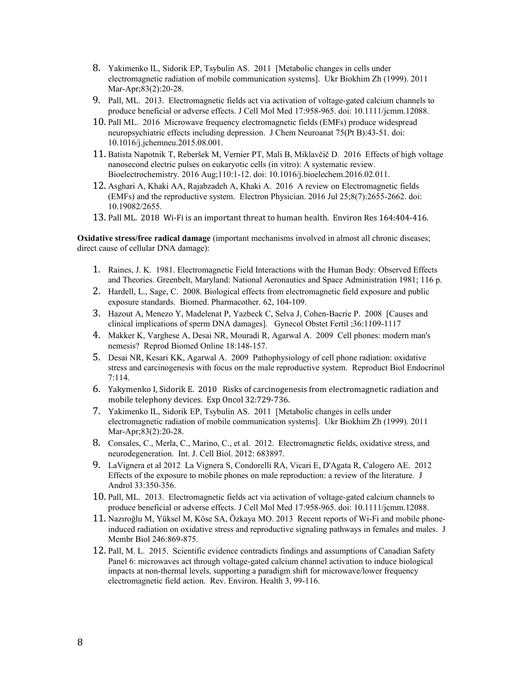- 8. Yakimenko IL, Sidorik EP, Tsybulin AS. 2011 [Metabolic changes in cells under electromagnetic radiation of mobile communication systems]. Ukr Biokhim Zh (1999). 2011 Mar-Apr;83(2):20-28.
- 9. Pall, ML. 2013. Electromagnetic fields act via activation of voltage-gated calcium channels to produce beneficial or adverse effects. J Cell Mol Med 17:958-965. doi: 10.1111/jcmm.12088.
- 10. Pall ML. 2016 Microwave frequency electromagnetic fields (EMFs) produce widespread neuropsychiatric effects including depression. J Chem Neuroanat 75(Pt B):43-51. doi: 10.1016/j.jchemneu.2015.08.001.
- 11. Batista Napotnik T, Reberšek M, Vernier PT, Mali B, Miklavčič D. 2016 Effects of high voltage nanosecond electric pulses on eukaryotic cells (in vitro): A systematic review. Bioelectrochemistry. 2016 Aug;110:1-12. doi: 10.1016/j.bioelechem.2016.02.011.
- 12. Asghari A, Khaki AA, Rajabzadeh A, Khaki A. 2016 A review on Electromagnetic fields (EMFs) and the reproductive system. Electron Physician. 2016 Jul 25;8(7):2655-2662. doi: 10.19082/2655.
- 13. Pall ML. 2018 Wi-Fi is an important threat to human health. Environ Res 164:404-416.

**Oxidative stress/free radical damage** (important mechanisms involved in almost all chronic diseases; direct cause of cellular DNA damage):

- 1. Raines, J. K. 1981. Electromagnetic Field Interactions with the Human Body: Observed Effects and Theories. Greenbelt, Maryland: National Aeronautics and Space Administration 1981; 116 p.
- 2. Hardell, L., Sage, C. 2008. Biological effects from electromagnetic field exposure and public exposure standards. Biomed. Pharmacother. 62, 104-109.
- 3. Hazout A, Menezo Y, Madelenat P, Yazbeck C, Selva J, Cohen-Bacrie P. 2008 [Causes and clinical implications of sperm DNA damages]. Gynecol Obstet Fertil ;36:1109-1117
- 4. Makker K, Varghese A, Desai NR, Mouradi R, Agarwal A. 2009 Cell phones: modern man's nemesis? Reprod Biomed Online 18:148-157.
- 5. Desai NR, Kesari KK, Agarwal A. 2009 Pathophysiology of cell phone radiation: oxidative stress and carcinogenesis with focus on the male reproductive system. Reproduct Biol Endocrinol 7:114.
- 6. Yakymenko I, Sidorik E. 2010 Risks of carcinogenesis from electromagnetic radiation and mobile telephony devices. Exp Oncol 32:729-736.
- 7. Yakimenko IL, Sidorik EP, Tsybulin AS. 2011 [Metabolic changes in cells under electromagnetic radiation of mobile communication systems]. Ukr Biokhim Zh (1999). 2011 Mar-Apr;83(2):20-28.
- 8. Consales, C., Merla, C., Marino, C., et al. 2012. Electromagnetic fields, oxidative stress, and neurodegeneration. Int. J. Cell Biol. 2012: 683897.
- 9. LaVignera et al 2012 La Vignera S, Condorelli RA, Vicari E, D'Agata R, Calogero AE. 2012 Effects of the exposure to mobile phones on male reproduction: a review of the literature. J Androl 33:350-356.
- 10. Pall, ML. 2013. Electromagnetic fields act via activation of voltage-gated calcium channels to produce beneficial or adverse effects. J Cell Mol Med 17:958-965. doi: 10.1111/jcmm.12088.
- 11. Nazıroğlu M, Yüksel M, Köse SA, Özkaya MO. 2013 Recent reports of Wi-Fi and mobile phoneinduced radiation on oxidative stress and reproductive signaling pathways in females and males. J Membr Biol 246:869-875.
- 12. Pall, M. L. 2015. Scientific evidence contradicts findings and assumptions of Canadian Safety Panel 6: microwaves act through voltage-gated calcium channel activation to induce biological impacts at non-thermal levels, supporting a paradigm shift for microwave/lower frequency electromagnetic field action. Rev. Environ. Health 3, 99-116.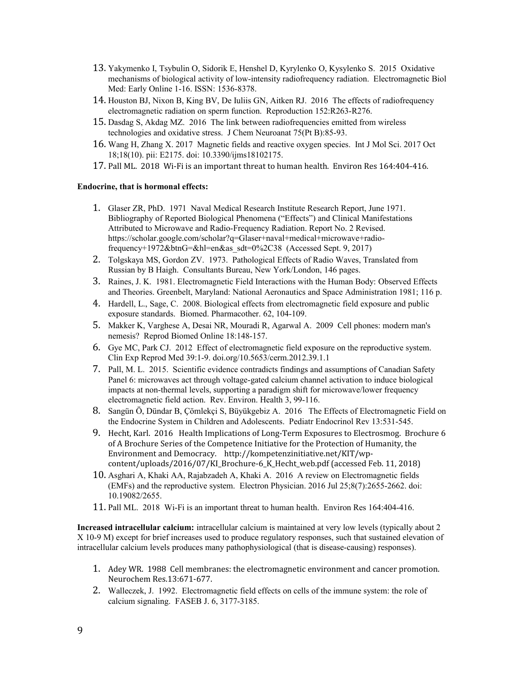- 13. Yakymenko I, Tsybulin O, Sidorik E, Henshel D, Kyrylenko O, Kysylenko S. 2015 Oxidative mechanisms of biological activity of low-intensity radiofrequency radiation. Electromagnetic Biol Med: Early Online 1-16. ISSN: 1536-8378.
- 14. Houston BJ, Nixon B, King BV, De Iuliis GN, Aitken RJ. 2016 The effects of radiofrequency electromagnetic radiation on sperm function. Reproduction 152:R263-R276.
- 15. Dasdag S, Akdag MZ. 2016 The link between radiofrequencies emitted from wireless technologies and oxidative stress. J Chem Neuroanat 75(Pt B):85-93.
- 16. Wang H, Zhang X. 2017 Magnetic fields and reactive oxygen species. Int J Mol Sci. 2017 Oct 18;18(10). pii: E2175. doi: 10.3390/ijms18102175.
- 17. Pall ML. 2018 Wi-Fi is an important threat to human health. Environ Res 164:404-416.

#### **Endocrine, that is hormonal effects:**

- 1. Glaser ZR, PhD. 1971 Naval Medical Research Institute Research Report, June 1971. Bibliography of Reported Biological Phenomena ("Effects") and Clinical Manifestations Attributed to Microwave and Radio-Frequency Radiation. Report No. 2 Revised. https://scholar.google.com/scholar?q=Glaser+naval+medical+microwave+radiofrequency+1972&btnG=&hl=en&as\_sdt=0%2C38 (Accessed Sept. 9, 2017)
- 2. Tolgskaya MS, Gordon ZV. 1973. Pathological Effects of Radio Waves, Translated from Russian by B Haigh. Consultants Bureau, New York/London, 146 pages.
- 3. Raines, J. K. 1981. Electromagnetic Field Interactions with the Human Body: Observed Effects and Theories. Greenbelt, Maryland: National Aeronautics and Space Administration 1981; 116 p.
- 4. Hardell, L., Sage, C. 2008. Biological effects from electromagnetic field exposure and public exposure standards. Biomed. Pharmacother. 62, 104-109.
- 5. Makker K, Varghese A, Desai NR, Mouradi R, Agarwal A. 2009 Cell phones: modern man's nemesis? Reprod Biomed Online 18:148-157.
- 6. Gye MC, Park CJ. 2012 Effect of electromagnetic field exposure on the reproductive system. Clin Exp Reprod Med 39:1-9. doi.org/10.5653/cerm.2012.39.1.1
- 7. Pall, M. L. 2015. Scientific evidence contradicts findings and assumptions of Canadian Safety Panel 6: microwaves act through voltage-gated calcium channel activation to induce biological impacts at non-thermal levels, supporting a paradigm shift for microwave/lower frequency electromagnetic field action. Rev. Environ. Health 3, 99-116.
- 8. Sangün Ö, Dündar B, Çömlekçi S, Büyükgebiz A. 2016 The Effects of Electromagnetic Field on the Endocrine System in Children and Adolescents. Pediatr Endocrinol Rev 13:531-545.
- 9. Hecht, Karl. 2016 Health Implications of Long-Term Exposures to Electrosmog. Brochure 6 of A Brochure Series of the Competence Initiative for the Protection of Humanity, the Environment and Democracy. http://kompetenzinitiative.net/KIT/wpcontent/uploads/2016/07/KI\_Brochure-6\_K\_Hecht\_web.pdf (accessed Feb. 11, 2018)
- 10. Asghari A, Khaki AA, Rajabzadeh A, Khaki A. 2016 A review on Electromagnetic fields (EMFs) and the reproductive system. Electron Physician. 2016 Jul 25;8(7):2655-2662. doi: 10.19082/2655.
- 11. Pall ML. 2018 Wi-Fi is an important threat to human health. Environ Res 164:404-416.

**Increased intracellular calcium:** intracellular calcium is maintained at very low levels (typically about 2 X 10-9 M) except for brief increases used to produce regulatory responses, such that sustained elevation of intracellular calcium levels produces many pathophysiological (that is disease-causing) responses).

- 1. Adey WR. 1988 Cell membranes: the electromagnetic environment and cancer promotion. Neurochem Res.13:671-677.
- 2. Walleczek, J. 1992. Electromagnetic field effects on cells of the immune system: the role of calcium signaling. FASEB J. 6, 3177-3185.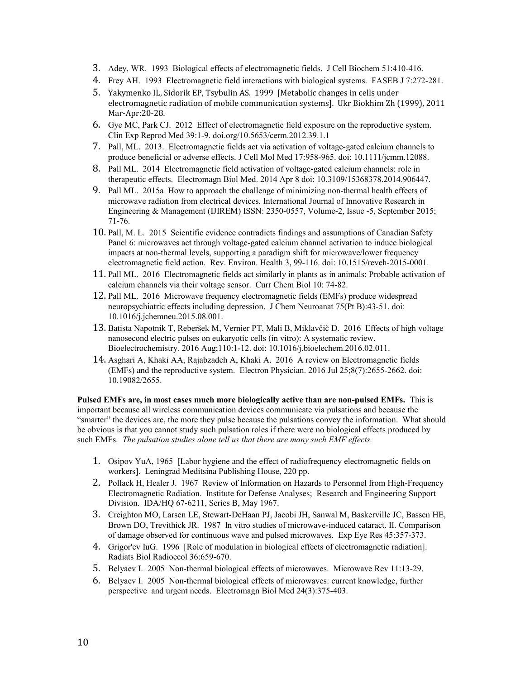- 3. Adey, WR. 1993 Biological effects of electromagnetic fields. J Cell Biochem 51:410-416.
- 4. Frey AH. 1993 Electromagnetic field interactions with biological systems. FASEB J 7:272-281.
- 5. Yakymenko IL, Sidorik EP, Tsybulin AS. 1999 [Metabolic changes in cells under electromagnetic radiation of mobile communication systems]. Ukr Biokhim Zh (1999), 2011 Mar-Apr:20-28.
- 6. Gye MC, Park CJ. 2012 Effect of electromagnetic field exposure on the reproductive system. Clin Exp Reprod Med 39:1-9. doi.org/10.5653/cerm.2012.39.1.1
- 7. Pall, ML. 2013. Electromagnetic fields act via activation of voltage-gated calcium channels to produce beneficial or adverse effects. J Cell Mol Med 17:958-965. doi: 10.1111/jcmm.12088.
- 8. Pall ML. 2014 Electromagnetic field activation of voltage-gated calcium channels: role in therapeutic effects. Electromagn Biol Med. 2014 Apr 8 doi: 10.3109/15368378.2014.906447.
- 9. Pall ML. 2015a How to approach the challenge of minimizing non-thermal health effects of microwave radiation from electrical devices. International Journal of Innovative Research in Engineering & Management (IJIREM) ISSN: 2350-0557, Volume-2, Issue -5, September 2015; 71-76.
- 10. Pall, M. L. 2015 Scientific evidence contradicts findings and assumptions of Canadian Safety Panel 6: microwaves act through voltage-gated calcium channel activation to induce biological impacts at non-thermal levels, supporting a paradigm shift for microwave/lower frequency electromagnetic field action. Rev. Environ. Health 3, 99-116. doi: 10.1515/reveh-2015-0001.
- 11. Pall ML. 2016 Electromagnetic fields act similarly in plants as in animals: Probable activation of calcium channels via their voltage sensor. Curr Chem Biol 10: 74-82.
- 12. Pall ML. 2016 Microwave frequency electromagnetic fields (EMFs) produce widespread neuropsychiatric effects including depression. J Chem Neuroanat 75(Pt B):43-51. doi: 10.1016/j.jchemneu.2015.08.001.
- 13. Batista Napotnik T, Reberšek M, Vernier PT, Mali B, Miklavčič D. 2016 Effects of high voltage nanosecond electric pulses on eukaryotic cells (in vitro): A systematic review. Bioelectrochemistry. 2016 Aug;110:1-12. doi: 10.1016/j.bioelechem.2016.02.011.
- 14. Asghari A, Khaki AA, Rajabzadeh A, Khaki A. 2016 A review on Electromagnetic fields (EMFs) and the reproductive system. Electron Physician. 2016 Jul 25;8(7):2655-2662. doi: 10.19082/2655.

**Pulsed EMFs are, in most cases much more biologically active than are non-pulsed EMFs.** This is important because all wireless communication devices communicate via pulsations and because the "smarter" the devices are, the more they pulse because the pulsations convey the information. What should be obvious is that you cannot study such pulsation roles if there were no biological effects produced by such EMFs. *The pulsation studies alone tell us that there are many such EMF effects.*

- 1. Osipov YuA, 1965 [Labor hygiene and the effect of radiofrequency electromagnetic fields on workers]. Leningrad Meditsina Publishing House, 220 pp.
- 2. Pollack H, Healer J. 1967 Review of Information on Hazards to Personnel from High-Frequency Electromagnetic Radiation. Institute for Defense Analyses; Research and Engineering Support Division. IDA/HQ 67-6211, Series B, May 1967.
- 3. Creighton MO, Larsen LE, Stewart-DeHaan PJ, Jacobi JH, Sanwal M, Baskerville JC, Bassen HE, Brown DO, Trevithick JR. 1987 In vitro studies of microwave-induced cataract. II. Comparison of damage observed for continuous wave and pulsed microwaves. Exp Eye Res 45:357-373.
- 4. Grigor'ev IuG. 1996 [Role of modulation in biological effects of electromagnetic radiation]. Radiats Biol Radioecol 36:659-670.
- 5. Belyaev I. 2005 Non-thermal biological effects of microwaves. Microwave Rev 11:13-29.
- 6. Belyaev I. 2005 Non-thermal biological effects of microwaves: current knowledge, further perspective and urgent needs. Electromagn Biol Med 24(3):375-403.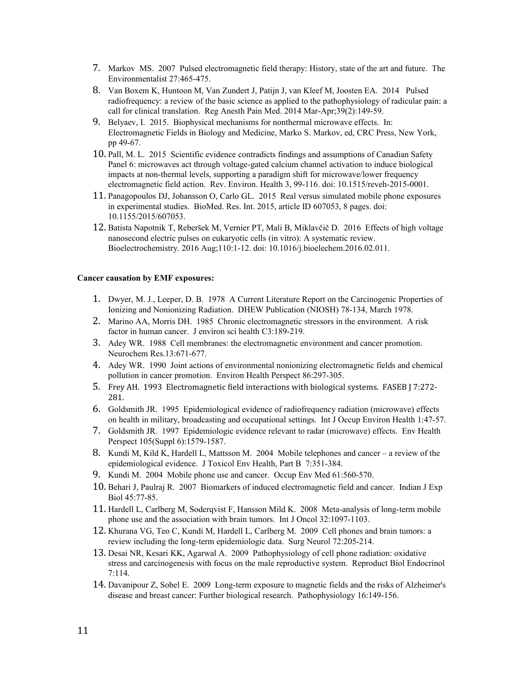- 7. Markov MS. 2007 Pulsed electromagnetic field therapy: History, state of the art and future. The Environmentalist 27:465-475.
- 8. Van Boxem K, Huntoon M, Van Zundert J, Patijn J, van Kleef M, Joosten EA. 2014 Pulsed radiofrequency: a review of the basic science as applied to the pathophysiology of radicular pain: a call for clinical translation. Reg Anesth Pain Med. 2014 Mar-Apr;39(2):149-59.
- 9. Belyaev, I. 2015. Biophysical mechanisms for nonthermal microwave effects. In: Electromagnetic Fields in Biology and Medicine, Marko S. Markov, ed, CRC Press, New York, pp 49-67.
- 10. Pall, M. L. 2015 Scientific evidence contradicts findings and assumptions of Canadian Safety Panel 6: microwaves act through voltage-gated calcium channel activation to induce biological impacts at non-thermal levels, supporting a paradigm shift for microwave/lower frequency electromagnetic field action. Rev. Environ. Health 3, 99-116. doi: 10.1515/reveh-2015-0001.
- 11. Panagopoulos DJ, Johansson O, Carlo GL. 2015 Real versus simulated mobile phone exposures in experimental studies. BioMed. Res. Int. 2015, article ID 607053, 8 pages. doi: 10.1155/2015/607053.
- 12. Batista Napotnik T, Reberšek M, Vernier PT, Mali B, Miklavčič D. 2016 Effects of high voltage nanosecond electric pulses on eukaryotic cells (in vitro): A systematic review. Bioelectrochemistry. 2016 Aug;110:1-12. doi: 10.1016/j.bioelechem.2016.02.011.

#### **Cancer causation by EMF exposures:**

- 1. Dwyer, M. J., Leeper, D. B. 1978 A Current Literature Report on the Carcinogenic Properties of Ionizing and Nonionizing Radiation. DHEW Publication (NIOSH) 78-134, March 1978.
- 2. Marino AA, Morris DH. 1985 Chronic electromagnetic stressors in the environment. A risk factor in human cancer. J environ sci health C3:189-219.
- 3. Adey WR. 1988 Cell membranes: the electromagnetic environment and cancer promotion. Neurochem Res.13:671-677.
- 4. Adey WR. 1990 Joint actions of environmental nonionizing electromagnetic fields and chemical pollution in cancer promotion. Environ Health Perspect 86:297-305.
- 5. Frey AH. 1993 Electromagnetic field interactions with biological systems. FASEB J 7:272- 281.
- 6. Goldsmith JR. 1995 Epidemiological evidence of radiofrequency radiation (microwave) effects on health in military, broadcasting and occupational settings. Int J Occup Environ Health 1:47-57.
- 7. Goldsmith JR. 1997 Epidemiologic evidence relevant to radar (microwave) effects. Env Health Perspect 105(Suppl 6):1579-1587.
- 8. Kundi M, Kild K, Hardell L, Mattsson M. 2004 Mobile telephones and cancer a review of the epidemiological evidence. J Toxicol Env Health, Part B 7:351-384.
- 9. Kundi M. 2004 Mobile phone use and cancer. Occup Env Med 61:560-570.
- 10. Behari J, Paulraj R. 2007 Biomarkers of induced electromagnetic field and cancer. Indian J Exp Biol 45:77-85.
- 11. Hardell L, Carlberg M, Soderqvist F, Hansson Mild K. 2008 Meta-analysis of long-term mobile phone use and the association with brain tumors. Int J Oncol 32:1097-1103.
- 12. Khurana VG, Teo C, Kundi M, Hardell L, Carlberg M. 2009 Cell phones and brain tumors: a review including the long-term epidemiologic data. Surg Neurol 72:205-214.
- 13. Desai NR, Kesari KK, Agarwal A. 2009 Pathophysiology of cell phone radiation: oxidative stress and carcinogenesis with focus on the male reproductive system. Reproduct Biol Endocrinol 7:114.
- 14. Davanipour Z, Sobel E. 2009 Long-term exposure to magnetic fields and the risks of Alzheimer's disease and breast cancer: Further biological research. Pathophysiology 16:149-156.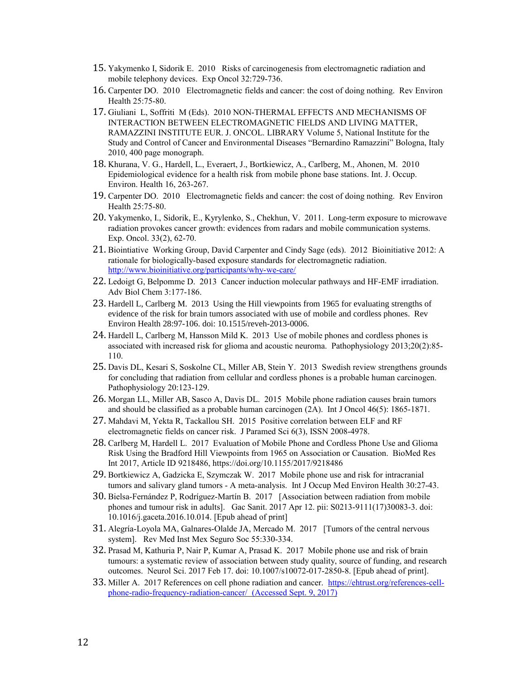- 15. Yakymenko I, Sidorik E. 2010 Risks of carcinogenesis from electromagnetic radiation and mobile telephony devices. Exp Oncol 32:729-736.
- 16. Carpenter DO. 2010 Electromagnetic fields and cancer: the cost of doing nothing. Rev Environ Health 25:75-80.
- 17. Giuliani L, Soffriti M (Eds). 2010 NON-THERMAL EFFECTS AND MECHANISMS OF INTERACTION BETWEEN ELECTROMAGNETIC FIELDS AND LIVING MATTER, RAMAZZINI INSTITUTE EUR. J. ONCOL. LIBRARY Volume 5, National Institute for the Study and Control of Cancer and Environmental Diseases "Bernardino Ramazzini" Bologna, Italy 2010, 400 page monograph.
- 18. Khurana, V. G., Hardell, L., Everaert, J., Bortkiewicz, A., Carlberg, M., Ahonen, M. 2010 Epidemiological evidence for a health risk from mobile phone base stations. Int. J. Occup. Environ. Health 16, 263-267.
- 19. Carpenter DO. 2010 Electromagnetic fields and cancer: the cost of doing nothing. Rev Environ Health 25:75-80.
- 20. Yakymenko, I., Sidorik, E., Kyrylenko, S., Chekhun, V. 2011. Long-term exposure to microwave radiation provokes cancer growth: evidences from radars and mobile communication systems. Exp. Oncol. 33(2), 62-70.
- 21. Biointiative Working Group, David Carpenter and Cindy Sage (eds). 2012 Bioinitiative 2012: A rationale for biologically-based exposure standards for electromagnetic radiation. <http://www.bioinitiative.org/participants/why-we-care/>
- 22. Ledoigt G, Belpomme D. 2013 Cancer induction molecular pathways and HF-EMF irradiation. Adv Biol Chem 3:177-186.
- 23. Hardell L, Carlberg M. 2013 Using the Hill viewpoints from 1965 for evaluating strengths of evidence of the risk for brain tumors associated with use of mobile and cordless phones. Rev Environ Health 28:97-106. doi: 10.1515/reveh-2013-0006.
- 24. Hardell L, Carlberg M, Hansson Mild K. 2013 Use of mobile phones and cordless phones is associated with increased risk for glioma and acoustic neuroma. Pathophysiology 2013;20(2):85- 110.
- 25. Davis DL, Kesari S, Soskolne CL, Miller AB, Stein Y. 2013 Swedish review strengthens grounds for concluding that radiation from cellular and cordless phones is a probable human carcinogen. Pathophysiology 20:123-129.
- 26. Morgan LL, Miller AB, Sasco A, Davis DL. 2015 Mobile phone radiation causes brain tumors and should be classified as a probable human carcinogen (2A). Int J Oncol 46(5): 1865-1871.
- 27. Mahdavi M, Yekta R, Tackallou SH. 2015 Positive correlation between ELF and RF electromagnetic fields on cancer risk. J Paramed Sci 6(3), ISSN 2008-4978.
- 28. Carlberg M, Hardell L. 2017 Evaluation of Mobile Phone and Cordless Phone Use and Glioma Risk Using the Bradford Hill Viewpoints from 1965 on Association or Causation. BioMed Res Int 2017, Article ID 9218486, https://doi.org/10.1155/2017/9218486
- 29. Bortkiewicz A, Gadzicka E, Szymczak W. 2017 Mobile phone use and risk for intracranial tumors and salivary gland tumors - A meta-analysis. Int J Occup Med Environ Health 30:27-43.
- 30. Bielsa-Fernández P, Rodríguez-Martín B. 2017 [Association between radiation from mobile phones and tumour risk in adults]. Gac Sanit. 2017 Apr 12. pii: S0213-9111(17)30083-3. doi: 10.1016/j.gaceta.2016.10.014. [Epub ahead of print]
- 31. Alegría-Loyola MA, Galnares-Olalde JA, Mercado M. 2017 [Tumors of the central nervous system]. Rev Med Inst Mex Seguro Soc 55:330-334.
- 32. Prasad M, Kathuria P, Nair P, Kumar A, Prasad K. 2017 Mobile phone use and risk of brain tumours: a systematic review of association between study quality, source of funding, and research outcomes. Neurol Sci. 2017 Feb 17. doi: 10.1007/s10072-017-2850-8. [Epub ahead of print].
- 33. Miller A. 2017 References on cell phone radiation and cancer. [https://ehtrust.org/references-cell](https://ehtrust.org/references-cell-phone-radio-frequency-radiation-cancer/)  [phone-radio-frequency-radiation-cancer/](https://ehtrust.org/references-cell-phone-radio-frequency-radiation-cancer/) (Accessed Sept. 9, 2017)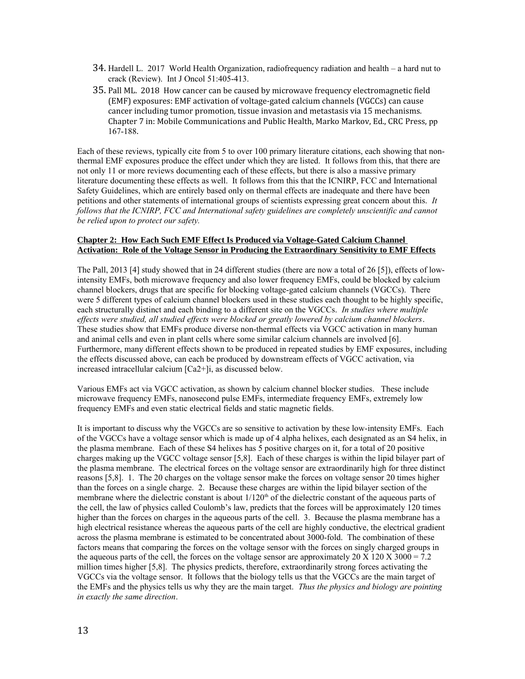- 34. Hardell L. 2017 World Health Organization, radiofrequency radiation and health a hard nut to crack (Review). Int J Oncol 51:405-413.
- 35. Pall ML. 2018 How cancer can be caused by microwave frequency electromagnetic field (EMF) exposures: EMF activation of voltage-gated calcium channels (VGCCs) can cause cancer including tumor promotion, tissue invasion and metastasis via 15 mechanisms. Chapter 7 in: Mobile Communications and Public Health, Marko Markov, Ed., CRC Press, pp 167-188.

Each of these reviews, typically cite from 5 to over 100 primary literature citations, each showing that nonthermal EMF exposures produce the effect under which they are listed. It follows from this, that there are not only 11 or more reviews documenting each of these effects, but there is also a massive primary literature documenting these effects as well. It follows from this that the ICNIRP, FCC and International Safety Guidelines, which are entirely based only on thermal effects are inadequate and there have been petitions and other statements of international groups of scientists expressing great concern about this. *It follows that the ICNIRP, FCC and International safety guidelines are completely unscientific and cannot be relied upon to protect our safety.*

#### **Chapter 2: How Each Such EMF Effect Is Produced via Voltage-Gated Calcium Channel Activation: Role of the Voltage Sensor in Producing the Extraordinary Sensitivity to EMF Effects**

The Pall, 2013 [4] study showed that in 24 different studies (there are now a total of 26 [5]), effects of lowintensity EMFs, both microwave frequency and also lower frequency EMFs, could be blocked by calcium channel blockers, drugs that are specific for blocking voltage-gated calcium channels (VGCCs). There were 5 different types of calcium channel blockers used in these studies each thought to be highly specific, each structurally distinct and each binding to a different site on the VGCCs. *In studies where multiple effects were studied, all studied effects were blocked or greatly lowered by calcium channel blockers*. These studies show that EMFs produce diverse non-thermal effects via VGCC activation in many human and animal cells and even in plant cells where some similar calcium channels are involved [6]. Furthermore, many different effects shown to be produced in repeated studies by EMF exposures, including the effects discussed above, can each be produced by downstream effects of VGCC activation, via increased intracellular calcium [Ca2+]i, as discussed below.

Various EMFs act via VGCC activation, as shown by calcium channel blocker studies. These include microwave frequency EMFs, nanosecond pulse EMFs, intermediate frequency EMFs, extremely low frequency EMFs and even static electrical fields and static magnetic fields.

It is important to discuss why the VGCCs are so sensitive to activation by these low-intensity EMFs. Each of the VGCCs have a voltage sensor which is made up of 4 alpha helixes, each designated as an S4 helix, in the plasma membrane. Each of these S4 helixes has  $\overline{5}$  positive charges on it, for a total of 20 positive charges making up the VGCC voltage sensor [5,8]. Each of these charges is within the lipid bilayer part of the plasma membrane. The electrical forces on the voltage sensor are extraordinarily high for three distinct reasons [5,8]. 1. The 20 charges on the voltage sensor make the forces on voltage sensor 20 times higher than the forces on a single charge. 2. Because these charges are within the lipid bilayer section of the membrane where the dielectric constant is about  $1/120<sup>th</sup>$  of the dielectric constant of the aqueous parts of the cell, the law of physics called Coulomb's law, predicts that the forces will be approximately 120 times higher than the forces on charges in the aqueous parts of the cell. 3. Because the plasma membrane has a high electrical resistance whereas the aqueous parts of the cell are highly conductive, the electrical gradient across the plasma membrane is estimated to be concentrated about 3000-fold. The combination of these factors means that comparing the forces on the voltage sensor with the forces on singly charged groups in the aqueous parts of the cell, the forces on the voltage sensor are approximately  $20 \times 120 \times 3000 = 7.2$ million times higher [5,8]. The physics predicts, therefore, extraordinarily strong forces activating the VGCCs via the voltage sensor. It follows that the biology tells us that the VGCCs are the main target of the EMFs and the physics tells us why they are the main target. *Thus the physics and biology are pointing in exactly the same direction*.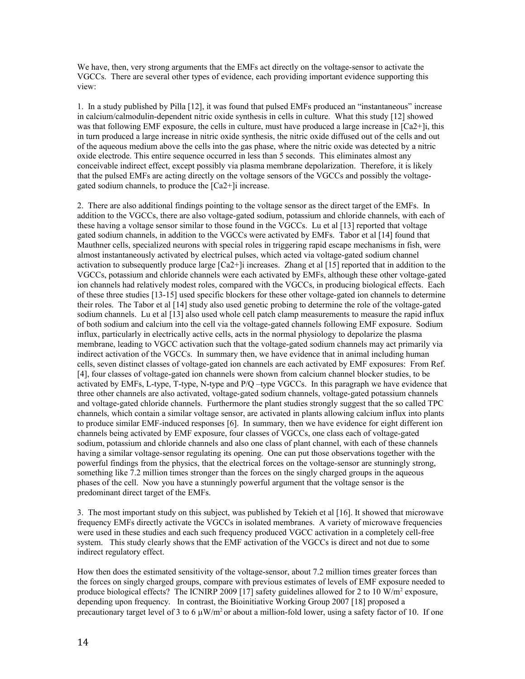We have, then, very strong arguments that the EMFs act directly on the voltage-sensor to activate the VGCCs. There are several other types of evidence, each providing important evidence supporting this view:

1. In a study published by Pilla [12], it was found that pulsed EMFs produced an "instantaneous" increase in calcium/calmodulin-dependent nitric oxide synthesis in cells in culture. What this study [12] showed was that following EMF exposure, the cells in culture, must have produced a large increase in [Ca2+]i, this in turn produced a large increase in nitric oxide synthesis, the nitric oxide diffused out of the cells and out of the aqueous medium above the cells into the gas phase, where the nitric oxide was detected by a nitric oxide electrode. This entire sequence occurred in less than 5 seconds. This eliminates almost any conceivable indirect effect, except possibly via plasma membrane depolarization. Therefore, it is likely that the pulsed EMFs are acting directly on the voltage sensors of the VGCCs and possibly the voltagegated sodium channels, to produce the [Ca2+]i increase.

2. There are also additional findings pointing to the voltage sensor as the direct target of the EMFs. In addition to the VGCCs, there are also voltage-gated sodium, potassium and chloride channels, with each of these having a voltage sensor similar to those found in the VGCCs. Lu et al [13] reported that voltage gated sodium channels, in addition to the VGCCs were activated by EMFs. Tabor et al [14] found that Mauthner cells, specialized neurons with special roles in triggering rapid escape mechanisms in fish, were almost instantaneously activated by electrical pulses, which acted via voltage-gated sodium channel activation to subsequently produce large [Ca2+]i increases. Zhang et al [15] reported that in addition to the VGCCs, potassium and chloride channels were each activated by EMFs, although these other voltage-gated ion channels had relatively modest roles, compared with the VGCCs, in producing biological effects. Each of these three studies [13-15] used specific blockers for these other voltage-gated ion channels to determine their roles. The Tabor et al [14] study also used genetic probing to determine the role of the voltage-gated sodium channels. Lu et al [13] also used whole cell patch clamp measurements to measure the rapid influx of both sodium and calcium into the cell via the voltage-gated channels following EMF exposure. Sodium influx, particularly in electrically active cells, acts in the normal physiology to depolarize the plasma membrane, leading to VGCC activation such that the voltage-gated sodium channels may act primarily via indirect activation of the VGCCs. In summary then, we have evidence that in animal including human cells, seven distinct classes of voltage-gated ion channels are each activated by EMF exposures: From Ref. [4], four classes of voltage-gated ion channels were shown from calcium channel blocker studies, to be activated by EMFs, L-type, T-type, N-type and P/Q –type VGCCs. In this paragraph we have evidence that three other channels are also activated, voltage-gated sodium channels, voltage-gated potassium channels and voltage-gated chloride channels. Furthermore the plant studies strongly suggest that the so called TPC channels, which contain a similar voltage sensor, are activated in plants allowing calcium influx into plants to produce similar EMF-induced responses [6]. In summary, then we have evidence for eight different ion channels being activated by EMF exposure, four classes of VGCCs, one class each of voltage-gated sodium, potassium and chloride channels and also one class of plant channel, with each of these channels having a similar voltage-sensor regulating its opening. One can put those observations together with the powerful findings from the physics, that the electrical forces on the voltage-sensor are stunningly strong, something like 7.2 million times stronger than the forces on the singly charged groups in the aqueous phases of the cell. Now you have a stunningly powerful argument that the voltage sensor is the predominant direct target of the EMFs.

3. The most important study on this subject, was published by Tekieh et al [16]. It showed that microwave frequency EMFs directly activate the VGCCs in isolated membranes. A variety of microwave frequencies were used in these studies and each such frequency produced VGCC activation in a completely cell-free system. This study clearly shows that the EMF activation of the VGCCs is direct and not due to some indirect regulatory effect.

How then does the estimated sensitivity of the voltage-sensor, about 7.2 million times greater forces than the forces on singly charged groups, compare with previous estimates of levels of EMF exposure needed to produce biological effects? The ICNIRP 2009 [17] safety guidelines allowed for 2 to 10  $W/m^2$  exposure, depending upon frequency. In contrast, the Bioinitiative Working Group 2007 [18] proposed a precautionary target level of 3 to 6  $\mu$ W/m<sup>2</sup> or about a million-fold lower, using a safety factor of 10. If one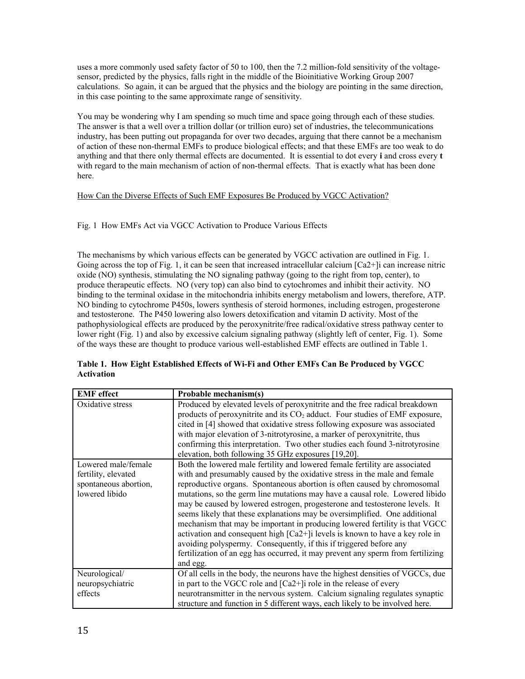uses a more commonly used safety factor of 50 to 100, then the 7.2 million-fold sensitivity of the voltagesensor, predicted by the physics, falls right in the middle of the Bioinitiative Working Group 2007 calculations. So again, it can be argued that the physics and the biology are pointing in the same direction, in this case pointing to the same approximate range of sensitivity.

You may be wondering why I am spending so much time and space going through each of these studies. The answer is that a well over a trillion dollar (or trillion euro) set of industries, the telecommunications industry, has been putting out propaganda for over two decades, arguing that there cannot be a mechanism of action of these non-thermal EMFs to produce biological effects; and that these EMFs are too weak to do anything and that there only thermal effects are documented. It is essential to dot every **i** and cross every **t** with regard to the main mechanism of action of non-thermal effects. That is exactly what has been done here.

## How Can the Diverse Effects of Such EMF Exposures Be Produced by VGCC Activation?

Fig. 1 How EMFs Act via VGCC Activation to Produce Various Effects

The mechanisms by which various effects can be generated by VGCC activation are outlined in Fig. 1. Going across the top of Fig. 1, it can be seen that increased intracellular calcium [Ca2+]i can increase nitric oxide (NO) synthesis, stimulating the NO signaling pathway (going to the right from top, center), to produce therapeutic effects. NO (very top) can also bind to cytochromes and inhibit their activity. NO binding to the terminal oxidase in the mitochondria inhibits energy metabolism and lowers, therefore, ATP. NO binding to cytochrome P450s, lowers synthesis of steroid hormones, including estrogen, progesterone and testosterone. The P450 lowering also lowers detoxification and vitamin D activity. Most of the pathophysiological effects are produced by the peroxynitrite/free radical/oxidative stress pathway center to lower right (Fig. 1) and also by excessive calcium signaling pathway (slightly left of center, Fig. 1). Some of the ways these are thought to produce various well-established EMF effects are outlined in Table 1.

| <b>EMF</b> effect                                                                     | Probable mechanism(s)                                                                                                                                                                                                                                                                                                                                                                                                                                                                                                                                                                                                                                                                                                                                                                                                  |
|---------------------------------------------------------------------------------------|------------------------------------------------------------------------------------------------------------------------------------------------------------------------------------------------------------------------------------------------------------------------------------------------------------------------------------------------------------------------------------------------------------------------------------------------------------------------------------------------------------------------------------------------------------------------------------------------------------------------------------------------------------------------------------------------------------------------------------------------------------------------------------------------------------------------|
| Oxidative stress                                                                      | Produced by elevated levels of peroxynitrite and the free radical breakdown<br>products of peroxynitrite and its $CO2$ adduct. Four studies of EMF exposure,<br>cited in [4] showed that oxidative stress following exposure was associated<br>with major elevation of 3-nitrotyrosine, a marker of peroxynitrite, thus<br>confirming this interpretation. Two other studies each found 3-nitrotyrosine<br>elevation, both following 35 GHz exposures [19,20].                                                                                                                                                                                                                                                                                                                                                         |
| Lowered male/female<br>fertility, elevated<br>spontaneous abortion,<br>lowered libido | Both the lowered male fertility and lowered female fertility are associated<br>with and presumably caused by the oxidative stress in the male and female<br>reproductive organs. Spontaneous abortion is often caused by chromosomal<br>mutations, so the germ line mutations may have a causal role. Lowered libido<br>may be caused by lowered estrogen, progesterone and testosterone levels. It<br>seems likely that these explanations may be oversimplified. One additional<br>mechanism that may be important in producing lowered fertility is that VGCC<br>activation and consequent high [Ca2+] i levels is known to have a key role in<br>avoiding polyspermy. Consequently, if this if triggered before any<br>fertilization of an egg has occurred, it may prevent any sperm from fertilizing<br>and egg. |
| Neurological/<br>neuropsychiatric<br>effects                                          | Of all cells in the body, the neurons have the highest densities of VGCCs, due<br>in part to the VGCC role and [Ca2+] irole in the release of every<br>neurotransmitter in the nervous system. Calcium signaling regulates synaptic<br>structure and function in 5 different ways, each likely to be involved here.                                                                                                                                                                                                                                                                                                                                                                                                                                                                                                    |

**Table 1. How Eight Established Effects of Wi-Fi and Other EMFs Can Be Produced by VGCC Activation**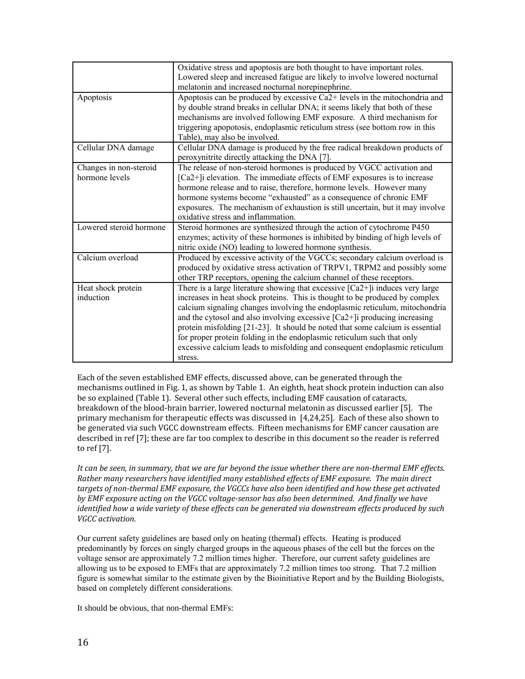|                                          | Oxidative stress and apoptosis are both thought to have important roles.<br>Lowered sleep and increased fatigue are likely to involve lowered nocturnal<br>melatonin and increased nocturnal norepinephrine.                                                                                                                                                                                                                                                                                                                                                                 |
|------------------------------------------|------------------------------------------------------------------------------------------------------------------------------------------------------------------------------------------------------------------------------------------------------------------------------------------------------------------------------------------------------------------------------------------------------------------------------------------------------------------------------------------------------------------------------------------------------------------------------|
| Apoptosis                                | Apoptosis can be produced by excessive Ca2+ levels in the mitochondria and<br>by double strand breaks in cellular DNA; it seems likely that both of these<br>mechanisms are involved following EMF exposure. A third mechanism for<br>triggering apopotosis, endoplasmic reticulum stress (see bottom row in this<br>Table), may also be involved.                                                                                                                                                                                                                           |
| Cellular DNA damage                      | Cellular DNA damage is produced by the free radical breakdown products of<br>peroxynitrite directly attacking the DNA [7].                                                                                                                                                                                                                                                                                                                                                                                                                                                   |
| Changes in non-steroid<br>hormone levels | The release of non-steroid hormones is produced by VGCC activation and<br>[Ca2+]i elevation. The immediate effects of EMF exposures is to increase<br>hormone release and to raise, therefore, hormone levels. However many<br>hormone systems become "exhausted" as a consequence of chronic EMF<br>exposures. The mechanism of exhaustion is still uncertain, but it may involve<br>oxidative stress and inflammation.                                                                                                                                                     |
| Lowered steroid hormone                  | Steroid hormones are synthesized through the action of cytochrome P450<br>enzymes; activity of these hormones is inhibited by binding of high levels of<br>nitric oxide (NO) leading to lowered hormone synthesis.                                                                                                                                                                                                                                                                                                                                                           |
| Calcium overload                         | Produced by excessive activity of the VGCCs; secondary calcium overload is<br>produced by oxidative stress activation of TRPV1, TRPM2 and possibly some<br>other TRP receptors, opening the calcium channel of these receptors.                                                                                                                                                                                                                                                                                                                                              |
| Heat shock protein<br>induction          | There is a large literature showing that excessive $[Ca2+]$ induces very large<br>increases in heat shock proteins. This is thought to be produced by complex<br>calcium signaling changes involving the endoplasmic reticulum, mitochondria<br>and the cytosol and also involving excessive [Ca2+] producing increasing<br>protein misfolding [21-23]. It should be noted that some calcium is essential<br>for proper protein folding in the endoplasmic reticulum such that only<br>excessive calcium leads to misfolding and consequent endoplasmic reticulum<br>stress. |

Each of the seven established EMF effects, discussed above, can be generated through the mechanisms outlined in Fig. 1, as shown by Table 1. An eighth, heat shock protein induction can also be so explained (Table 1). Several other such effects, including EMF causation of cataracts, breakdown of the blood-brain barrier, lowered nocturnal melatonin as discussed earlier [5]. The primary mechanism for therapeutic effects was discussed in [4,24,25]. Each of these also shown to be generated via such VGCC downstream effects. Fifteen mechanisms for EMF cancer causation are described in ref [7]; these are far too complex to describe in this document so the reader is referred to ref [7].

*It can be seen, in summary, that we are far beyond the issue whether there are non-thermal EMF effects. Rather many researchers have identified many established effects of EMF exposure. The main direct targets of non-thermal EMF exposure, the VGCCs have also been identified and how these get activated by EMF exposure acting on the VGCC voltage-sensor has also been determined. And finally we have identified how a wide variety of these effects can be generated via downstream effects produced by such VGCC activation.* 

Our current safety guidelines are based only on heating (thermal) effects. Heating is produced predominantly by forces on singly charged groups in the aqueous phases of the cell but the forces on the voltage sensor are approximately 7.2 million times higher. Therefore, our current safety guidelines are allowing us to be exposed to EMFs that are approximately 7.2 million times too strong. That 7.2 million figure is somewhat similar to the estimate given by the Bioinitiative Report and by the Building Biologists, based on completely different considerations.

It should be obvious, that non-thermal EMFs: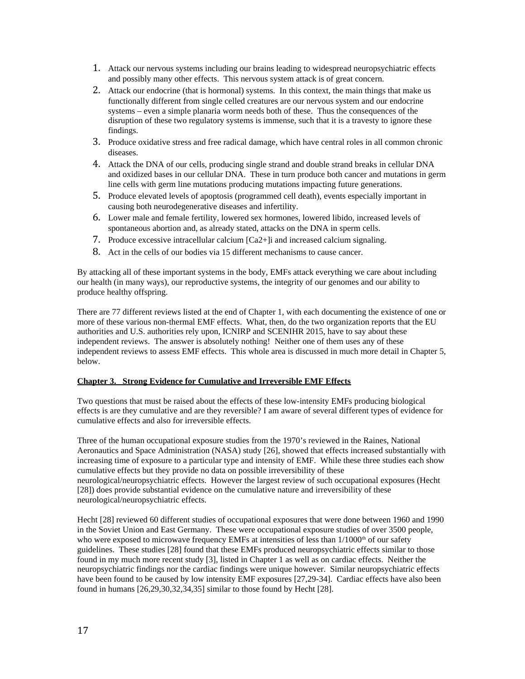- 1. Attack our nervous systems including our brains leading to widespread neuropsychiatric effects and possibly many other effects. This nervous system attack is of great concern.
- 2. Attack our endocrine (that is hormonal) systems. In this context, the main things that make us functionally different from single celled creatures are our nervous system and our endocrine systems – even a simple planaria worm needs both of these. Thus the consequences of the disruption of these two regulatory systems is immense, such that it is a travesty to ignore these findings.
- 3. Produce oxidative stress and free radical damage, which have central roles in all common chronic diseases.
- 4. Attack the DNA of our cells, producing single strand and double strand breaks in cellular DNA and oxidized bases in our cellular DNA. These in turn produce both cancer and mutations in germ line cells with germ line mutations producing mutations impacting future generations.
- 5. Produce elevated levels of apoptosis (programmed cell death), events especially important in causing both neurodegenerative diseases and infertility.
- 6. Lower male and female fertility, lowered sex hormones, lowered libido, increased levels of spontaneous abortion and, as already stated, attacks on the DNA in sperm cells.
- 7. Produce excessive intracellular calcium [Ca2+]i and increased calcium signaling.
- 8. Act in the cells of our bodies via 15 different mechanisms to cause cancer.

By attacking all of these important systems in the body, EMFs attack everything we care about including our health (in many ways), our reproductive systems, the integrity of our genomes and our ability to produce healthy offspring.

There are 77 different reviews listed at the end of Chapter 1, with each documenting the existence of one or more of these various non-thermal EMF effects. What, then, do the two organization reports that the EU authorities and U.S. authorities rely upon, ICNIRP and SCENIHR 2015, have to say about these independent reviews. The answer is absolutely nothing! Neither one of them uses any of these independent reviews to assess EMF effects. This whole area is discussed in much more detail in Chapter 5, below.

## **Chapter 3. Strong Evidence for Cumulative and Irreversible EMF Effects**

Two questions that must be raised about the effects of these low-intensity EMFs producing biological effects is are they cumulative and are they reversible? I am aware of several different types of evidence for cumulative effects and also for irreversible effects.

Three of the human occupational exposure studies from the 1970's reviewed in the Raines, National Aeronautics and Space Administration (NASA) study [26], showed that effects increased substantially with increasing time of exposure to a particular type and intensity of EMF. While these three studies each show cumulative effects but they provide no data on possible irreversibility of these neurological/neuropsychiatric effects. However the largest review of such occupational exposures (Hecht [28]) does provide substantial evidence on the cumulative nature and irreversibility of these neurological/neuropsychiatric effects.

Hecht [28] reviewed 60 different studies of occupational exposures that were done between 1960 and 1990 in the Soviet Union and East Germany. These were occupational exposure studies of over 3500 people, who were exposed to microwave frequency EMFs at intensities of less than  $1/1000<sup>th</sup>$  of our safety guidelines. These studies [28] found that these EMFs produced neuropsychiatric effects similar to those found in my much more recent study [3], listed in Chapter 1 as well as on cardiac effects. Neither the neuropsychiatric findings nor the cardiac findings were unique however. Similar neuropsychiatric effects have been found to be caused by low intensity EMF exposures [27,29-34]. Cardiac effects have also been found in humans [26,29,30,32,34,35] similar to those found by Hecht [28].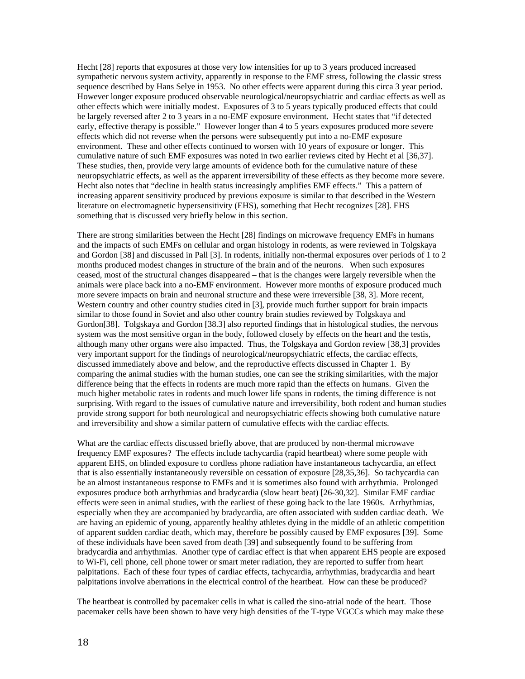Hecht [28] reports that exposures at those very low intensities for up to 3 years produced increased sympathetic nervous system activity, apparently in response to the EMF stress, following the classic stress sequence described by Hans Selye in 1953. No other effects were apparent during this circa 3 year period. However longer exposure produced observable neurological/neuropsychiatric and cardiac effects as well as other effects which were initially modest. Exposures of 3 to 5 years typically produced effects that could be largely reversed after 2 to 3 years in a no-EMF exposure environment. Hecht states that "if detected early, effective therapy is possible." However longer than 4 to 5 years exposures produced more severe effects which did not reverse when the persons were subsequently put into a no-EMF exposure environment. These and other effects continued to worsen with 10 years of exposure or longer. This cumulative nature of such EMF exposures was noted in two earlier reviews cited by Hecht et al [36,37]. These studies, then, provide very large amounts of evidence both for the cumulative nature of these neuropsychiatric effects, as well as the apparent irreversibility of these effects as they become more severe. Hecht also notes that "decline in health status increasingly amplifies EMF effects." This a pattern of increasing apparent sensitivity produced by previous exposure is similar to that described in the Western literature on electromagnetic hypersensitivity (EHS), something that Hecht recognizes [28]. EHS something that is discussed very briefly below in this section.

There are strong similarities between the Hecht [28] findings on microwave frequency EMFs in humans and the impacts of such EMFs on cellular and organ histology in rodents, as were reviewed in Tolgskaya and Gordon [38] and discussed in Pall [3]. In rodents, initially non-thermal exposures over periods of 1 to 2 months produced modest changes in structure of the brain and of the neurons. When such exposures ceased, most of the structural changes disappeared – that is the changes were largely reversible when the animals were place back into a no-EMF environment. However more months of exposure produced much more severe impacts on brain and neuronal structure and these were irreversible [38, 3]. More recent, Western country and other country studies cited in [3], provide much further support for brain impacts similar to those found in Soviet and also other country brain studies reviewed by Tolgskaya and Gordon[38]. Tolgskaya and Gordon [38.3] also reported findings that in histological studies, the nervous system was the most sensitive organ in the body, followed closely by effects on the heart and the testis, although many other organs were also impacted. Thus, the Tolgskaya and Gordon review [38,3] provides very important support for the findings of neurological/neuropsychiatric effects, the cardiac effects, discussed immediately above and below, and the reproductive effects discussed in Chapter 1. By comparing the animal studies with the human studies, one can see the striking similarities, with the major difference being that the effects in rodents are much more rapid than the effects on humans. Given the much higher metabolic rates in rodents and much lower life spans in rodents, the timing difference is not surprising. With regard to the issues of cumulative nature and irreversibility, both rodent and human studies provide strong support for both neurological and neuropsychiatric effects showing both cumulative nature and irreversibility and show a similar pattern of cumulative effects with the cardiac effects.

What are the cardiac effects discussed briefly above, that are produced by non-thermal microwave frequency EMF exposures? The effects include tachycardia (rapid heartbeat) where some people with apparent EHS, on blinded exposure to cordless phone radiation have instantaneous tachycardia, an effect that is also essentially instantaneously reversible on cessation of exposure [28,35,36]. So tachycardia can be an almost instantaneous response to EMFs and it is sometimes also found with arrhythmia. Prolonged exposures produce both arrhythmias and bradycardia (slow heart beat) [26-30,32]. Similar EMF cardiac effects were seen in animal studies, with the earliest of these going back to the late 1960s. Arrhythmias, especially when they are accompanied by bradycardia, are often associated with sudden cardiac death. We are having an epidemic of young, apparently healthy athletes dying in the middle of an athletic competition of apparent sudden cardiac death, which may, therefore be possibly caused by EMF exposures [39]. Some of these individuals have been saved from death [39] and subsequently found to be suffering from bradycardia and arrhythmias. Another type of cardiac effect is that when apparent EHS people are exposed to Wi-Fi, cell phone, cell phone tower or smart meter radiation, they are reported to suffer from heart palpitations. Each of these four types of cardiac effects, tachycardia, arrhythmias, bradycardia and heart palpitations involve aberrations in the electrical control of the heartbeat. How can these be produced?

The heartbeat is controlled by pacemaker cells in what is called the sino-atrial node of the heart. Those pacemaker cells have been shown to have very high densities of the T-type VGCCs which may make these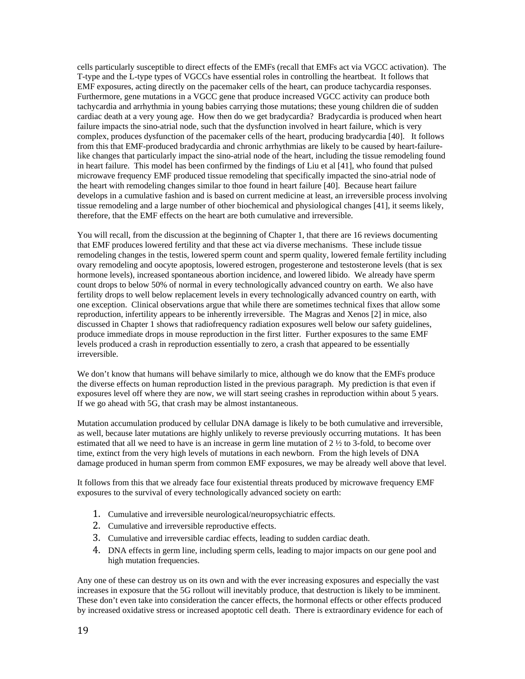cells particularly susceptible to direct effects of the EMFs (recall that EMFs act via VGCC activation). The T-type and the L-type types of VGCCs have essential roles in controlling the heartbeat. It follows that EMF exposures, acting directly on the pacemaker cells of the heart, can produce tachycardia responses. Furthermore, gene mutations in a VGCC gene that produce increased VGCC activity can produce both tachycardia and arrhythmia in young babies carrying those mutations; these young children die of sudden cardiac death at a very young age. How then do we get bradycardia? Bradycardia is produced when heart failure impacts the sino-atrial node, such that the dysfunction involved in heart failure, which is very complex, produces dysfunction of the pacemaker cells of the heart, producing bradycardia [40]. It follows from this that EMF-produced bradycardia and chronic arrhythmias are likely to be caused by heart-failurelike changes that particularly impact the sino-atrial node of the heart, including the tissue remodeling found in heart failure. This model has been confirmed by the findings of Liu et al [41], who found that pulsed microwave frequency EMF produced tissue remodeling that specifically impacted the sino-atrial node of the heart with remodeling changes similar to thoe found in heart failure [40]. Because heart failure develops in a cumulative fashion and is based on current medicine at least, an irreversible process involving tissue remodeling and a large number of other biochemical and physiological changes [41], it seems likely, therefore, that the EMF effects on the heart are both cumulative and irreversible.

You will recall, from the discussion at the beginning of Chapter 1, that there are 16 reviews documenting that EMF produces lowered fertility and that these act via diverse mechanisms. These include tissue remodeling changes in the testis, lowered sperm count and sperm quality, lowered female fertility including ovary remodeling and oocyte apoptosis, lowered estrogen, progesterone and testosterone levels (that is sex hormone levels), increased spontaneous abortion incidence, and lowered libido. We already have sperm count drops to below 50% of normal in every technologically advanced country on earth. We also have fertility drops to well below replacement levels in every technologically advanced country on earth, with one exception. Clinical observations argue that while there are sometimes technical fixes that allow some reproduction, infertility appears to be inherently irreversible. The Magras and Xenos [2] in mice, also discussed in Chapter 1 shows that radiofrequency radiation exposures well below our safety guidelines, produce immediate drops in mouse reproduction in the first litter. Further exposures to the same EMF levels produced a crash in reproduction essentially to zero, a crash that appeared to be essentially irreversible.

We don't know that humans will behave similarly to mice, although we do know that the EMFs produce the diverse effects on human reproduction listed in the previous paragraph. My prediction is that even if exposures level off where they are now, we will start seeing crashes in reproduction within about 5 years. If we go ahead with 5G, that crash may be almost instantaneous.

Mutation accumulation produced by cellular DNA damage is likely to be both cumulative and irreversible, as well, because later mutations are highly unlikely to reverse previously occurring mutations. It has been estimated that all we need to have is an increase in germ line mutation of 2 ½ to 3-fold, to become over time, extinct from the very high levels of mutations in each newborn. From the high levels of DNA damage produced in human sperm from common EMF exposures, we may be already well above that level.

It follows from this that we already face four existential threats produced by microwave frequency EMF exposures to the survival of every technologically advanced society on earth:

- 1. Cumulative and irreversible neurological/neuropsychiatric effects.
- 2. Cumulative and irreversible reproductive effects.
- 3. Cumulative and irreversible cardiac effects, leading to sudden cardiac death.
- 4. DNA effects in germ line, including sperm cells, leading to major impacts on our gene pool and high mutation frequencies.

Any one of these can destroy us on its own and with the ever increasing exposures and especially the vast increases in exposure that the 5G rollout will inevitably produce, that destruction is likely to be imminent. These don't even take into consideration the cancer effects, the hormonal effects or other effects produced by increased oxidative stress or increased apoptotic cell death. There is extraordinary evidence for each of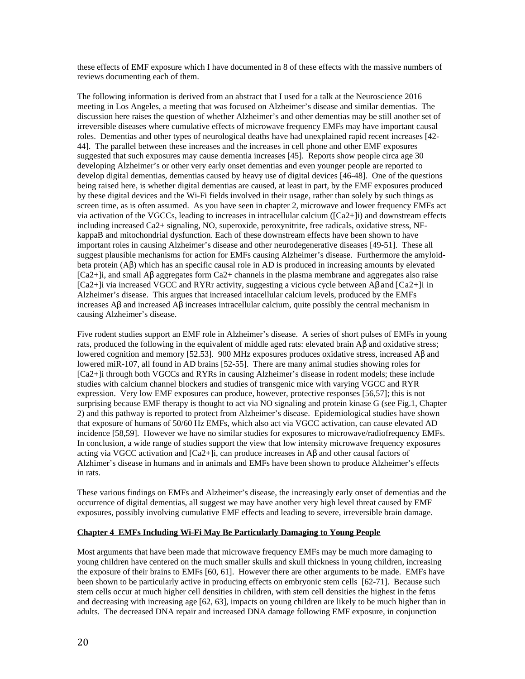these effects of EMF exposure which I have documented in 8 of these effects with the massive numbers of reviews documenting each of them.

The following information is derived from an abstract that I used for a talk at the Neuroscience 2016 meeting in Los Angeles, a meeting that was focused on Alzheimer's disease and similar dementias. The discussion here raises the question of whether Alzheimer's and other dementias may be still another set of irreversible diseases where cumulative effects of microwave frequency EMFs may have important causal roles. Dementias and other types of neurological deaths have had unexplained rapid recent increases [42- 44]. The parallel between these increases and the increases in cell phone and other EMF exposures suggested that such exposures may cause dementia increases [45]. Reports show people circa age 30 developing Alzheimer's or other very early onset dementias and even younger people are reported to develop digital dementias, dementias caused by heavy use of digital devices [46-48]. One of the questions being raised here, is whether digital dementias are caused, at least in part, by the EMF exposures produced by these digital devices and the Wi-Fi fields involved in their usage, rather than solely by such things as screen time, as is often assumed. As you have seen in chapter 2, microwave and lower frequency EMFs act via activation of the VGCCs, leading to increases in intracellular calcium ( $[Ca2+1i)$ ) and downstream effects including increased Ca2+ signaling, NO, superoxide, peroxynitrite, free radicals, oxidative stress, NFkappaB and mitochondrial dysfunction. Each of these downstream effects have been shown to have important roles in causing Alzheimer's disease and other neurodegenerative diseases [49-51]. These all suggest plausible mechanisms for action for EMFs causing Alzheimer's disease. Furthermore the amyloidbeta protein  $(A\beta)$  which has an specific causal role in AD is produced in increasing amounts by elevated  $[Ca2+]$ i, and small A $\beta$  aggregates form Ca2+ channels in the plasma membrane and aggregates also raise  $[Ca2+]$ i via increased VGCC and RYRr activity, suggesting a vicious cycle between A $\beta$  and  $[Ca2+]$ i in Alzheimer's disease. This argues that increased intacellular calcium levels, produced by the EMFs increases A $\beta$  and increased A $\beta$  increases intracellular calcium, quite possibly the central mechanism in causing Alzheimer's disease.

Five rodent studies support an EMF role in Alzheimer's disease. A series of short pulses of EMFs in young rats, produced the following in the equivalent of middle aged rats: elevated brain  $\beta$  and oxidative stress; lowered cognition and memory [52.53]. 900 MHz exposures produces oxidative stress, increased Aβ and lowered miR-107, all found in AD brains [52-55]. There are many animal studies showing roles for [Ca2+]i through both VGCCs and RYRs in causing Alzheimer's disease in rodent models; these include studies with calcium channel blockers and studies of transgenic mice with varying VGCC and RYR expression. Very low EMF exposures can produce, however, protective responses [56,57]; this is not surprising because EMF therapy is thought to act via NO signaling and protein kinase G (see Fig.1, Chapter 2) and this pathway is reported to protect from Alzheimer's disease. Epidemiological studies have shown that exposure of humans of 50/60 Hz EMFs, which also act via VGCC activation, can cause elevated AD incidence [58,59]. However we have no similar studies for exposures to microwave/radiofrequency EMFs. In conclusion, a wide range of studies support the view that low intensity microwave frequency exposures acting via VGCC activation and  $[Ca2+]$ i, can produce increases in Aβ and other causal factors of Alzhimer's disease in humans and in animals and EMFs have been shown to produce Alzheimer's effects in rats.

These various findings on EMFs and Alzheimer's disease, the increasingly early onset of dementias and the occurrence of digital dementias, all suggest we may have another very high level threat caused by EMF exposures, possibly involving cumulative EMF effects and leading to severe, irreversible brain damage.

#### **Chapter 4 EMFs Including Wi-Fi May Be Particularly Damaging to Young People**

Most arguments that have been made that microwave frequency EMFs may be much more damaging to young children have centered on the much smaller skulls and skull thickness in young children, increasing the exposure of their brains to EMFs [60, 61]. However there are other arguments to be made. EMFs have been shown to be particularly active in producing effects on embryonic stem cells [62-71]. Because such stem cells occur at much higher cell densities in children, with stem cell densities the highest in the fetus and decreasing with increasing age [62, 63], impacts on young children are likely to be much higher than in adults. The decreased DNA repair and increased DNA damage following EMF exposure, in conjunction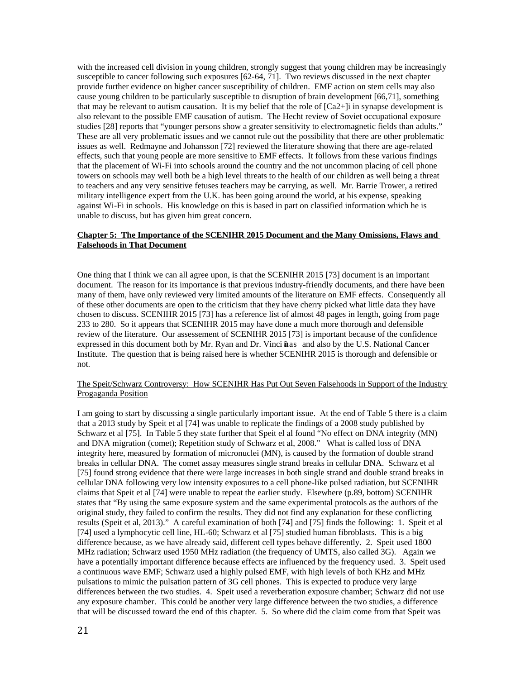with the increased cell division in young children, strongly suggest that young children may be increasingly susceptible to cancer following such exposures [62-64, 71]. Two reviews discussed in the next chapter provide further evidence on higher cancer susceptibility of children. EMF action on stem cells may also cause young children to be particularly susceptible to disruption of brain development [66,71], something that may be relevant to autism causation. It is my belief that the role of  $\lceil Ca2+ \rceil$  in synapse development is also relevant to the possible EMF causation of autism. The Hecht review of Soviet occupational exposure studies [28] reports that "younger persons show a greater sensitivity to electromagnetic fields than adults." These are all very problematic issues and we cannot rule out the possibility that there are other problematic issues as well. Redmayne and Johansson [72] reviewed the literature showing that there are age-related effects, such that young people are more sensitive to EMF effects. It follows from these various findings that the placement of Wi-Fi into schools around the country and the not uncommon placing of cell phone towers on schools may well both be a high level threats to the health of our children as well being a threat to teachers and any very sensitive fetuses teachers may be carrying, as well. Mr. Barrie Trower, a retired military intelligence expert from the U.K. has been going around the world, at his expense, speaking against Wi-Fi in schools. His knowledge on this is based in part on classified information which he is unable to discuss, but has given him great concern.

## **Chapter 5: The Importance of the SCENIHR 2015 Document and the Many Omissions, Flaws and Falsehoods in That Document**

One thing that I think we can all agree upon, is that the SCENIHR 2015 [73] document is an important document. The reason for its importance is that previous industry-friendly documents, and there have been many of them, have only reviewed very limited amounts of the literature on EMF effects. Consequently all of these other documents are open to the criticism that they have cherry picked what little data they have chosen to discuss. SCENIHR 2015 [73] has a reference list of almost 48 pages in length, going from page 233 to 280. So it appears that SCENIHR 2015 may have done a much more thorough and defensible review of the literature. Our assessement of SCENIHR 2015 [73] is important because of the confidence expressed in this document both by Mr. Ryan and Dr. Vinci unas and also by the U.S. National Cancer Institute. The question that is being raised here is whether SCENIHR 2015 is thorough and defensible or not.

## The Speit/Schwarz Controversy: How SCENIHR Has Put Out Seven Falsehoods in Support of the Industry Progaganda Position

I am going to start by discussing a single particularly important issue. At the end of Table 5 there is a claim that a 2013 study by Speit et al [74] was unable to replicate the findings of a 2008 study published by Schwarz et al [75]. In Table 5 they state further that Speit el al found "No effect on DNA integrity (MN) and DNA migration (comet); Repetition study of Schwarz et al, 2008." What is called loss of DNA integrity here, measured by formation of micronuclei (MN), is caused by the formation of double strand breaks in cellular DNA. The comet assay measures single strand breaks in cellular DNA. Schwarz et al [75] found strong evidence that there were large increases in both single strand and double strand breaks in cellular DNA following very low intensity exposures to a cell phone-like pulsed radiation, but SCENIHR claims that Speit et al [74] were unable to repeat the earlier study. Elsewhere (p.89, bottom) SCENIHR states that "By using the same exposure system and the same experimental protocols as the authors of the original study, they failed to confirm the results. They did not find any explanation for these conflicting results (Speit et al, 2013)." A careful examination of both [74] and [75] finds the following: 1. Speit et al [74] used a lymphocytic cell line, HL-60; Schwarz et al [75] studied human fibroblasts. This is a big difference because, as we have already said, different cell types behave differently. 2. Speit used 1800 MHz radiation; Schwarz used 1950 MHz radiation (the frequency of UMTS, also called 3G). Again we have a potentially important difference because effects are influenced by the frequency used. 3. Speit used a continuous wave EMF; Schwarz used a highly pulsed EMF, with high levels of both KHz and MHz pulsations to mimic the pulsation pattern of 3G cell phones. This is expected to produce very large differences between the two studies. 4. Speit used a reverberation exposure chamber; Schwarz did not use any exposure chamber. This could be another very large difference between the two studies, a difference that will be discussed toward the end of this chapter. 5. So where did the claim come from that Speit was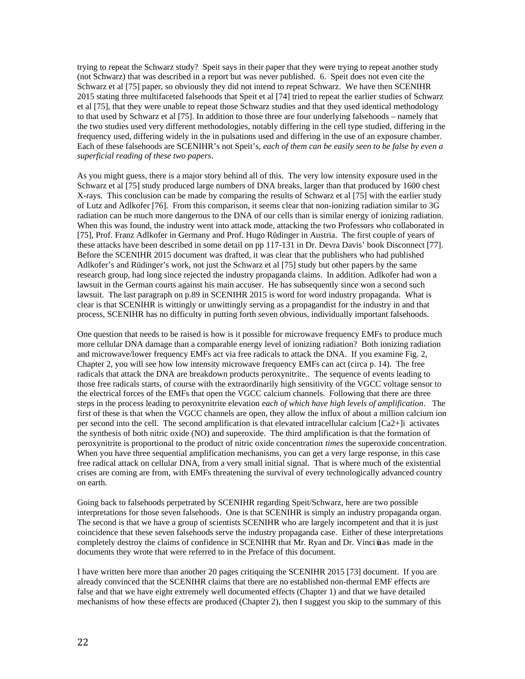trying to repeat the Schwarz study? Speit says in their paper that they were trying to repeat another study (not Schwarz) that was described in a report but was never published. 6. Speit does not even cite the Schwarz et al [75] paper, so obviously they did not intend to repeat Schwarz. We have then SCENIHR 2015 stating three multifaceted falsehoods that Speit et al [74] tried to repeat the earlier studies of Schwarz et al [75], that they were unable to repeat those Schwarz studies and that they used identical methodology to that used by Schwarz et al [75]. In addition to those three are four underlying falsehoods – namely that the two studies used very different methodologies, notably differing in the cell type studied, differing in the frequency used, differing widely in the in pulsations used and differing in the use of an exposure chamber. Each of these falsehoods are SCENIHR's not Speit's, *each of them can be easily seen to be false by even a superficial reading of these two papers*.

As you might guess, there is a major story behind all of this. The very low intensity exposure used in the Schwarz et al [75] study produced large numbers of DNA breaks, larger than that produced by 1600 chest X-rays. This conclusion can be made by comparing the results of Schwarz et al [75] with the earlier study of Lutz and Adlkofer [76]. From this comparison, it seems clear that non-ionizing radiation similar to 3G radiation can be much more dangerous to the DNA of our cells than is similar energy of ionizing radiation. When this was found, the industry went into attack mode, attacking the two Professors who collaborated in [75], Prof. Franz Adlkofer in Germany and Prof. Hugo Rüdinger in Austria. The first couple of years of these attacks have been described in some detail on pp 117-131 in Dr. Devra Davis' book Disconnect [77]. Before the SCENIHR 2015 document was drafted, it was clear that the publishers who had published Adlkofer's and Rüdinger's work, not just the Schwarz et al [75] study but other papers by the same research group, had long since rejected the industry propaganda claims. In addition. Adlkofer had won a lawsuit in the German courts against his main accuser. He has subsequently since won a second such lawsuit. The last paragraph on p.89 in SCENIHR 2015 is word for word industry propaganda. What is clear is that SCENIHR is wittingly or unwittingly serving as a propagandist for the industry in and that process, SCENIHR has no difficulty in putting forth seven obvious, individually important falsehoods.

One question that needs to be raised is how is it possible for microwave frequency EMFs to produce much more cellular DNA damage than a comparable energy level of ionizing radiation? Both ionizing radiation and microwave/lower frequency EMFs act via free radicals to attack the DNA. If you examine Fig. 2, Chapter 2, you will see how low intensity microwave frequency EMFs can act (circa p. 14). The free radicals that attack the DNA are breakdown products peroxynitrite.. The sequence of events leading to those free radicals starts, of course with the extraordinarily high sensitivity of the VGCC voltage sensor to the electrical forces of the EMFs that open the VGCC calcium channels. Following that there are three steps in the process leading to peroxynitrite elevation *each of which have high levels of amplification*. The first of these is that when the VGCC channels are open, they allow the influx of about a million calcium ion per second into the cell. The second amplification is that elevated intracellular calcium [Ca2+]i activates the synthesis of both nitric oxide (NO) and superoxide. The third amplification is that the formation of peroxynitrite is proportional to the product of nitric oxide concentration *times* the superoxide concentration. When you have three sequential amplification mechanisms, you can get a very large response, in this case free radical attack on cellular DNA, from a very small initial signal. That is where much of the existential crises are coming are from, with EMFs threatening the survival of every technologically advanced country on earth.

Going back to falsehoods perpetrated by SCENIHR regarding Speit/Schwarz, here are two possible interpretations for those seven falsehoods. One is that SCENIHR is simply an industry propaganda organ. The second is that we have a group of scientists SCENIHR who are largely incompetent and that it is just coincidence that these seven falsehoods serve the industry propaganda case. Either of these interpretations completely destroy the claims of confidence in SCENIHR that Mr. Ryan and Dr. Vinci unas made in the documents they wrote that were referred to in the Preface of this document.

I have written here more than another 20 pages critiquing the SCENIHR 2015 [73] document. If you are already convinced that the SCENIHR claims that there are no established non-thermal EMF effects are false and that we have eight extremely well documented effects (Chapter 1) and that we have detailed mechanisms of how these effects are produced (Chapter 2), then I suggest you skip to the summary of this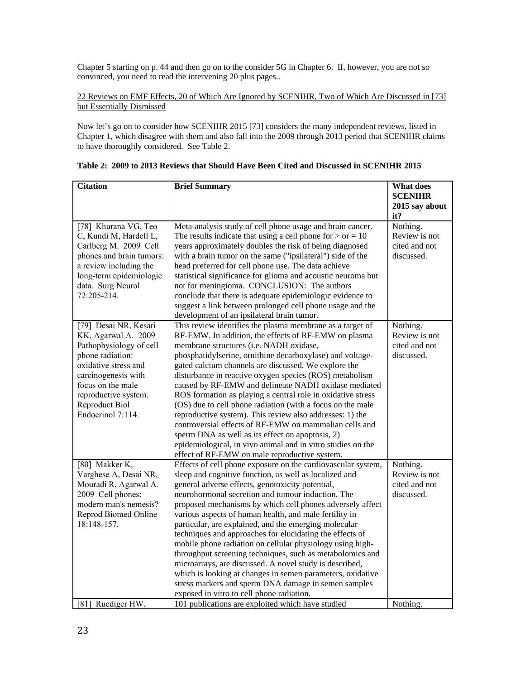Chapter 5 starting on p. 44 and then go on to the consider 5G in Chapter 6. If, however, you are not so convinced, you need to read the intervening 20 plus pages..

## 22 Reviews on EMF Effects, 20 of Which Are Ignored by SCENIHR, Two of Which Are Discussed in [73] but Essentially Dismissed

Now let's go on to consider how SCENIHR 2015 [73] considers the many independent reviews, listed in Chapter 1, which disagree with them and also fall into the 2009 through 2013 period that SCENIHR claims to have thoroughly considered. See Table 2.

| <b>Citation</b>                                                                                                                                                                                                                | <b>Brief Summary</b>                                                                                                                                                                                                                                                                                                                                                                                                                                                                                                                                                                                                                                                                                                                                                                                                                | What does<br><b>SCENIHR</b>                              |
|--------------------------------------------------------------------------------------------------------------------------------------------------------------------------------------------------------------------------------|-------------------------------------------------------------------------------------------------------------------------------------------------------------------------------------------------------------------------------------------------------------------------------------------------------------------------------------------------------------------------------------------------------------------------------------------------------------------------------------------------------------------------------------------------------------------------------------------------------------------------------------------------------------------------------------------------------------------------------------------------------------------------------------------------------------------------------------|----------------------------------------------------------|
|                                                                                                                                                                                                                                |                                                                                                                                                                                                                                                                                                                                                                                                                                                                                                                                                                                                                                                                                                                                                                                                                                     | 2015 say about<br>it?                                    |
| [78] Khurana VG, Teo<br>C, Kundi M, Hardell L,<br>Carlberg M. 2009 Cell<br>phones and brain tumors:<br>a review including the<br>long-term epidemiologic<br>data. Surg Neurol<br>72:205-214.                                   | Meta-analysis study of cell phone usage and brain cancer.<br>The results indicate that using a cell phone for $>$ or = 10<br>years approximately doubles the risk of being diagnosed<br>with a brain tumor on the same ("ipsilateral") side of the<br>head preferred for cell phone use. The data achieve<br>statistical significance for glioma and acoustic neuroma but<br>not for meningioma. CONCLUSION: The authors<br>conclude that there is adequate epidemiologic evidence to<br>suggest a link between prolonged cell phone usage and the<br>development of an ipsilateral brain tumor.                                                                                                                                                                                                                                    | Nothing.<br>Review is not<br>cited and not<br>discussed. |
| [79] Desai NR, Kesari<br>KK, Agarwal A. 2009<br>Pathophysiology of cell<br>phone radiation:<br>oxidative stress and<br>carcinogenesis with<br>focus on the male<br>reproductive system.<br>Reproduct Biol<br>Endocrinol 7:114. | This review identifies the plasma membrane as a target of<br>RF-EMW. In addition, the effects of RF-EMW on plasma<br>membrane structures (i.e. NADH oxidase,<br>phosphatidylserine, ornithine decarboxylase) and voltage-<br>gated calcium channels are discussed. We explore the<br>disturbance in reactive oxygen species (ROS) metabolism<br>caused by RF-EMW and delineate NADH oxidase mediated<br>ROS formation as playing a central role in oxidative stress<br>(OS) due to cell phone radiation (with a focus on the male<br>reproductive system). This review also addresses: 1) the<br>controversial effects of RF-EMW on mammalian cells and<br>sperm DNA as well as its effect on apoptosis, 2)<br>epidemiological, in vivo animal and in vitro studies on the<br>effect of RF-EMW on male reproductive system.         | Nothing.<br>Review is not<br>cited and not<br>discussed. |
| [80] Makker K,<br>Varghese A, Desai NR,<br>Mouradi R, Agarwal A.<br>2009 Cell phones:<br>modern man's nemesis?<br>Reprod Biomed Online<br>18:148-157.                                                                          | Effects of cell phone exposure on the cardiovascular system,<br>sleep and cognitive function, as well as localized and<br>general adverse effects, genotoxicity potential,<br>neurohormonal secretion and tumour induction. The<br>proposed mechanisms by which cell phones adversely affect<br>various aspects of human health, and male fertility in<br>particular, are explained, and the emerging molecular<br>techniques and approaches for elucidating the effects of<br>mobile phone radiation on cellular physiology using high-<br>throughput screening techniques, such as metabolomics and<br>microarrays, are discussed. A novel study is described,<br>which is looking at changes in semen parameters, oxidative<br>stress markers and sperm DNA damage in semen samples<br>exposed in vitro to cell phone radiation. | Nothing.<br>Review is not<br>cited and not<br>discussed. |
| [81] Ruediger HW.                                                                                                                                                                                                              | 101 publications are exploited which have studied                                                                                                                                                                                                                                                                                                                                                                                                                                                                                                                                                                                                                                                                                                                                                                                   | Nothing.                                                 |

|  |  |  |  |  | Table 2: 2009 to 2013 Reviews that Should Have Been Cited and Discussed in SCENIHR 2015 |
|--|--|--|--|--|-----------------------------------------------------------------------------------------|
|--|--|--|--|--|-----------------------------------------------------------------------------------------|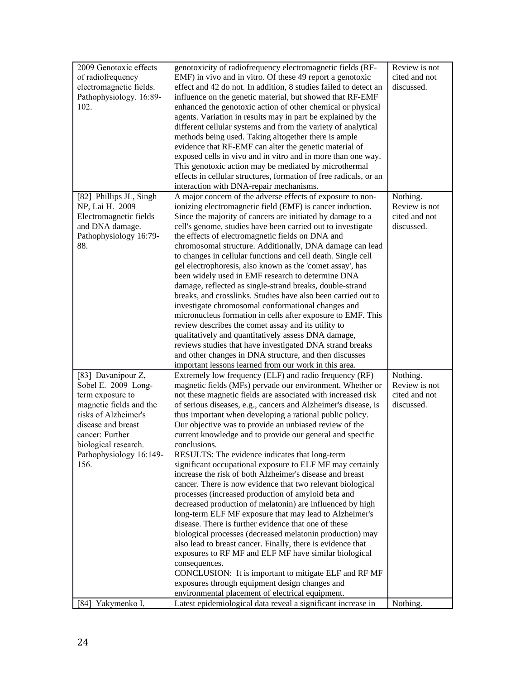| 2009 Genotoxic effects<br>of radiofrequency<br>electromagnetic fields.<br>Pathophysiology. 16:89-<br>102. | genotoxicity of radiofrequency electromagnetic fields (RF-<br>EMF) in vivo and in vitro. Of these 49 report a genotoxic<br>effect and 42 do not. In addition, 8 studies failed to detect an<br>influence on the genetic material, but showed that RF-EMF<br>enhanced the genotoxic action of other chemical or physical<br>agents. Variation in results may in part be explained by the<br>different cellular systems and from the variety of analytical<br>methods being used. Taking altogether there is ample<br>evidence that RF-EMF can alter the genetic material of<br>exposed cells in vivo and in vitro and in more than one way.<br>This genotoxic action may be mediated by microthermal<br>effects in cellular structures, formation of free radicals, or an<br>interaction with DNA-repair mechanisms. | Review is not<br>cited and not<br>discussed. |
|-----------------------------------------------------------------------------------------------------------|---------------------------------------------------------------------------------------------------------------------------------------------------------------------------------------------------------------------------------------------------------------------------------------------------------------------------------------------------------------------------------------------------------------------------------------------------------------------------------------------------------------------------------------------------------------------------------------------------------------------------------------------------------------------------------------------------------------------------------------------------------------------------------------------------------------------|----------------------------------------------|
| [82] Phillips JL, Singh                                                                                   | A major concern of the adverse effects of exposure to non-                                                                                                                                                                                                                                                                                                                                                                                                                                                                                                                                                                                                                                                                                                                                                          | Nothing.                                     |
| NP, Lai H. 2009<br>Electromagnetic fields                                                                 | ionizing electromagnetic field (EMF) is cancer induction.<br>Since the majority of cancers are initiated by damage to a                                                                                                                                                                                                                                                                                                                                                                                                                                                                                                                                                                                                                                                                                             | Review is not<br>cited and not               |
| and DNA damage.                                                                                           | cell's genome, studies have been carried out to investigate                                                                                                                                                                                                                                                                                                                                                                                                                                                                                                                                                                                                                                                                                                                                                         | discussed.                                   |
| Pathophysiology 16:79-                                                                                    | the effects of electromagnetic fields on DNA and                                                                                                                                                                                                                                                                                                                                                                                                                                                                                                                                                                                                                                                                                                                                                                    |                                              |
| 88.                                                                                                       | chromosomal structure. Additionally, DNA damage can lead                                                                                                                                                                                                                                                                                                                                                                                                                                                                                                                                                                                                                                                                                                                                                            |                                              |
|                                                                                                           | to changes in cellular functions and cell death. Single cell                                                                                                                                                                                                                                                                                                                                                                                                                                                                                                                                                                                                                                                                                                                                                        |                                              |
|                                                                                                           | gel electrophoresis, also known as the 'comet assay', has                                                                                                                                                                                                                                                                                                                                                                                                                                                                                                                                                                                                                                                                                                                                                           |                                              |
|                                                                                                           | been widely used in EMF research to determine DNA<br>damage, reflected as single-strand breaks, double-strand                                                                                                                                                                                                                                                                                                                                                                                                                                                                                                                                                                                                                                                                                                       |                                              |
|                                                                                                           | breaks, and crosslinks. Studies have also been carried out to                                                                                                                                                                                                                                                                                                                                                                                                                                                                                                                                                                                                                                                                                                                                                       |                                              |
|                                                                                                           | investigate chromosomal conformational changes and                                                                                                                                                                                                                                                                                                                                                                                                                                                                                                                                                                                                                                                                                                                                                                  |                                              |
|                                                                                                           | micronucleus formation in cells after exposure to EMF. This                                                                                                                                                                                                                                                                                                                                                                                                                                                                                                                                                                                                                                                                                                                                                         |                                              |
|                                                                                                           | review describes the comet assay and its utility to                                                                                                                                                                                                                                                                                                                                                                                                                                                                                                                                                                                                                                                                                                                                                                 |                                              |
|                                                                                                           | qualitatively and quantitatively assess DNA damage,                                                                                                                                                                                                                                                                                                                                                                                                                                                                                                                                                                                                                                                                                                                                                                 |                                              |
|                                                                                                           | reviews studies that have investigated DNA strand breaks                                                                                                                                                                                                                                                                                                                                                                                                                                                                                                                                                                                                                                                                                                                                                            |                                              |
|                                                                                                           | and other changes in DNA structure, and then discusses<br>important lessons learned from our work in this area.                                                                                                                                                                                                                                                                                                                                                                                                                                                                                                                                                                                                                                                                                                     |                                              |
| [83] Davanipour Z,                                                                                        | Extremely low frequency (ELF) and radio frequency (RF)                                                                                                                                                                                                                                                                                                                                                                                                                                                                                                                                                                                                                                                                                                                                                              | Nothing.                                     |
| Sobel E. 2009 Long-                                                                                       | magnetic fields (MFs) pervade our environment. Whether or                                                                                                                                                                                                                                                                                                                                                                                                                                                                                                                                                                                                                                                                                                                                                           | Review is not                                |
| term exposure to                                                                                          | not these magnetic fields are associated with increased risk                                                                                                                                                                                                                                                                                                                                                                                                                                                                                                                                                                                                                                                                                                                                                        | cited and not                                |
| magnetic fields and the                                                                                   | of serious diseases, e.g., cancers and Alzheimer's disease, is                                                                                                                                                                                                                                                                                                                                                                                                                                                                                                                                                                                                                                                                                                                                                      | discussed.                                   |
| risks of Alzheimer's                                                                                      | thus important when developing a rational public policy.                                                                                                                                                                                                                                                                                                                                                                                                                                                                                                                                                                                                                                                                                                                                                            |                                              |
| disease and breast                                                                                        | Our objective was to provide an unbiased review of the                                                                                                                                                                                                                                                                                                                                                                                                                                                                                                                                                                                                                                                                                                                                                              |                                              |
| cancer: Further<br>biological research.                                                                   | current knowledge and to provide our general and specific<br>conclusions.                                                                                                                                                                                                                                                                                                                                                                                                                                                                                                                                                                                                                                                                                                                                           |                                              |
| Pathophysiology 16:149-                                                                                   | RESULTS: The evidence indicates that long-term                                                                                                                                                                                                                                                                                                                                                                                                                                                                                                                                                                                                                                                                                                                                                                      |                                              |
| 156.                                                                                                      | significant occupational exposure to ELF MF may certainly                                                                                                                                                                                                                                                                                                                                                                                                                                                                                                                                                                                                                                                                                                                                                           |                                              |
|                                                                                                           | increase the risk of both Alzheimer's disease and breast                                                                                                                                                                                                                                                                                                                                                                                                                                                                                                                                                                                                                                                                                                                                                            |                                              |
|                                                                                                           | cancer. There is now evidence that two relevant biological                                                                                                                                                                                                                                                                                                                                                                                                                                                                                                                                                                                                                                                                                                                                                          |                                              |
|                                                                                                           | processes (increased production of amyloid beta and                                                                                                                                                                                                                                                                                                                                                                                                                                                                                                                                                                                                                                                                                                                                                                 |                                              |
|                                                                                                           | decreased production of melatonin) are influenced by high                                                                                                                                                                                                                                                                                                                                                                                                                                                                                                                                                                                                                                                                                                                                                           |                                              |
|                                                                                                           | long-term ELF MF exposure that may lead to Alzheimer's<br>disease. There is further evidence that one of these                                                                                                                                                                                                                                                                                                                                                                                                                                                                                                                                                                                                                                                                                                      |                                              |
|                                                                                                           | biological processes (decreased melatonin production) may                                                                                                                                                                                                                                                                                                                                                                                                                                                                                                                                                                                                                                                                                                                                                           |                                              |
|                                                                                                           | also lead to breast cancer. Finally, there is evidence that                                                                                                                                                                                                                                                                                                                                                                                                                                                                                                                                                                                                                                                                                                                                                         |                                              |
|                                                                                                           | exposures to RF MF and ELF MF have similar biological                                                                                                                                                                                                                                                                                                                                                                                                                                                                                                                                                                                                                                                                                                                                                               |                                              |
|                                                                                                           | consequences.                                                                                                                                                                                                                                                                                                                                                                                                                                                                                                                                                                                                                                                                                                                                                                                                       |                                              |
|                                                                                                           | CONCLUSION: It is important to mitigate ELF and RF MF                                                                                                                                                                                                                                                                                                                                                                                                                                                                                                                                                                                                                                                                                                                                                               |                                              |
|                                                                                                           | exposures through equipment design changes and<br>environmental placement of electrical equipment.                                                                                                                                                                                                                                                                                                                                                                                                                                                                                                                                                                                                                                                                                                                  |                                              |
| Yakymenko I,<br>[84]                                                                                      | Latest epidemiological data reveal a significant increase in                                                                                                                                                                                                                                                                                                                                                                                                                                                                                                                                                                                                                                                                                                                                                        | Nothing.                                     |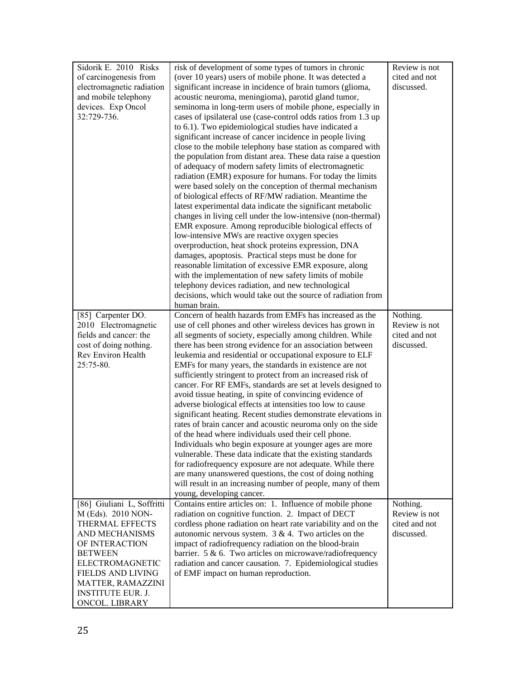| Sidorik E. 2010 Risks<br>of carcinogenesis from<br>electromagnetic radiation<br>and mobile telephony<br>devices. Exp Oncol<br>32:729-736.                                                                                                          | risk of development of some types of tumors in chronic<br>(over 10 years) users of mobile phone. It was detected a<br>significant increase in incidence of brain tumors (glioma,<br>acoustic neuroma, meningioma), parotid gland tumor,<br>seminoma in long-term users of mobile phone, especially in<br>cases of ipsilateral use (case-control odds ratios from 1.3 up<br>to 6.1). Two epidemiological studies have indicated a<br>significant increase of cancer incidence in people living<br>close to the mobile telephony base station as compared with<br>the population from distant area. These data raise a question<br>of adequacy of modern safety limits of electromagnetic<br>radiation (EMR) exposure for humans. For today the limits<br>were based solely on the conception of thermal mechanism<br>of biological effects of RF/MW radiation. Meantime the<br>latest experimental data indicate the significant metabolic                                                                                                                                                                                                                               | Review is not<br>cited and not<br>discussed.             |
|----------------------------------------------------------------------------------------------------------------------------------------------------------------------------------------------------------------------------------------------------|-------------------------------------------------------------------------------------------------------------------------------------------------------------------------------------------------------------------------------------------------------------------------------------------------------------------------------------------------------------------------------------------------------------------------------------------------------------------------------------------------------------------------------------------------------------------------------------------------------------------------------------------------------------------------------------------------------------------------------------------------------------------------------------------------------------------------------------------------------------------------------------------------------------------------------------------------------------------------------------------------------------------------------------------------------------------------------------------------------------------------------------------------------------------------|----------------------------------------------------------|
|                                                                                                                                                                                                                                                    | changes in living cell under the low-intensive (non-thermal)<br>EMR exposure. Among reproducible biological effects of<br>low-intensive MWs are reactive oxygen species<br>overproduction, heat shock proteins expression, DNA<br>damages, apoptosis. Practical steps must be done for<br>reasonable limitation of excessive EMR exposure, along<br>with the implementation of new safety limits of mobile<br>telephony devices radiation, and new technological<br>decisions, which would take out the source of radiation from<br>human brain.                                                                                                                                                                                                                                                                                                                                                                                                                                                                                                                                                                                                                        |                                                          |
| [85] Carpenter DO.<br>2010 Electromagnetic<br>fields and cancer: the<br>cost of doing nothing.<br>Rev Environ Health<br>25:75-80.                                                                                                                  | Concern of health hazards from EMFs has increased as the<br>use of cell phones and other wireless devices has grown in<br>all segments of society, especially among children. While<br>there has been strong evidence for an association between<br>leukemia and residential or occupational exposure to ELF<br>EMFs for many years, the standards in existence are not<br>sufficiently stringent to protect from an increased risk of<br>cancer. For RF EMFs, standards are set at levels designed to<br>avoid tissue heating, in spite of convincing evidence of<br>adverse biological effects at intensities too low to cause<br>significant heating. Recent studies demonstrate elevations in<br>rates of brain cancer and acoustic neuroma only on the side<br>of the head where individuals used their cell phone.<br>Individuals who begin exposure at younger ages are more<br>vulnerable. These data indicate that the existing standards<br>for radiofrequency exposure are not adequate. While there<br>are many unanswered questions, the cost of doing nothing<br>will result in an increasing number of people, many of them<br>young, developing cancer. | Nothing.<br>Review is not<br>cited and not<br>discussed. |
| [86] Giuliani L, Soffritti<br>M (Eds). 2010 NON-<br>THERMAL EFFECTS<br>AND MECHANISMS<br>OF INTERACTION<br><b>BETWEEN</b><br><b>ELECTROMAGNETIC</b><br><b>FIELDS AND LIVING</b><br>MATTER, RAMAZZINI<br><b>INSTITUTE EUR. J.</b><br>ONCOL. LIBRARY | Contains entire articles on: 1. Influence of mobile phone<br>radiation on cognitive function. 2. Impact of DECT<br>cordless phone radiation on heart rate variability and on the<br>autonomic nervous system. $3 & 4$ . Two articles on the<br>impact of radiofrequency radiation on the blood-brain<br>barrier. $5 & 6$ . Two articles on microwave/radiofrequency<br>radiation and cancer causation. 7. Epidemiological studies<br>of EMF impact on human reproduction.                                                                                                                                                                                                                                                                                                                                                                                                                                                                                                                                                                                                                                                                                               | Nothing.<br>Review is not<br>cited and not<br>discussed. |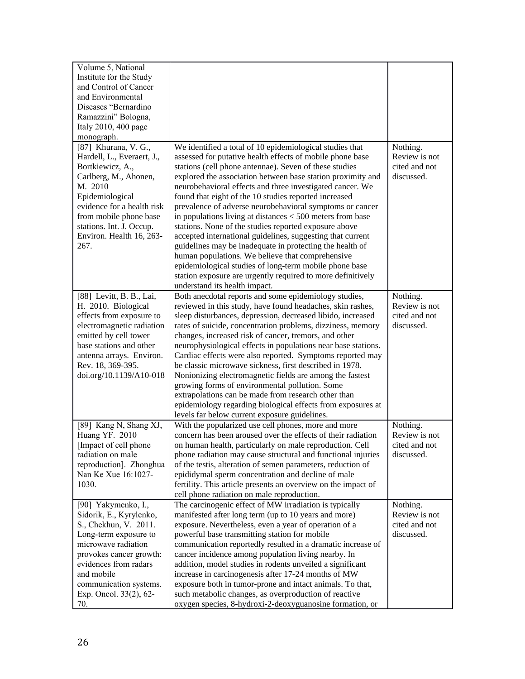| Volume 5, National                               |                                                                                                                   |               |
|--------------------------------------------------|-------------------------------------------------------------------------------------------------------------------|---------------|
| Institute for the Study<br>and Control of Cancer |                                                                                                                   |               |
| and Environmental                                |                                                                                                                   |               |
| Diseases "Bernardino                             |                                                                                                                   |               |
| Ramazzini" Bologna,                              |                                                                                                                   |               |
| Italy 2010, 400 page                             |                                                                                                                   |               |
| monograph.                                       |                                                                                                                   |               |
| [87] Khurana, V. G.,                             | We identified a total of 10 epidemiological studies that                                                          | Nothing.      |
| Hardell, L., Everaert, J.,                       | assessed for putative health effects of mobile phone base                                                         | Review is not |
| Bortkiewicz, A.,                                 | stations (cell phone antennae). Seven of these studies                                                            | cited and not |
| Carlberg, M., Ahonen,                            | explored the association between base station proximity and                                                       | discussed.    |
| M. 2010                                          | neurobehavioral effects and three investigated cancer. We                                                         |               |
| Epidemiological                                  | found that eight of the 10 studies reported increased                                                             |               |
| evidence for a health risk                       | prevalence of adverse neurobehavioral symptoms or cancer                                                          |               |
| from mobile phone base                           | in populations living at distances $<$ 500 meters from base                                                       |               |
| stations. Int. J. Occup.                         | stations. None of the studies reported exposure above                                                             |               |
| Environ. Health 16, 263-                         | accepted international guidelines, suggesting that current                                                        |               |
| 267.                                             | guidelines may be inadequate in protecting the health of                                                          |               |
|                                                  | human populations. We believe that comprehensive                                                                  |               |
|                                                  | epidemiological studies of long-term mobile phone base                                                            |               |
|                                                  | station exposure are urgently required to more definitively                                                       |               |
| [88] Levitt, B. B., Lai,                         | understand its health impact.<br>Both anecdotal reports and some epidemiology studies,                            | Nothing.      |
| H. 2010. Biological                              | reviewed in this study, have found headaches, skin rashes,                                                        | Review is not |
| effects from exposure to                         | sleep disturbances, depression, decreased libido, increased                                                       | cited and not |
| electromagnetic radiation                        | rates of suicide, concentration problems, dizziness, memory                                                       | discussed.    |
| emitted by cell tower                            | changes, increased risk of cancer, tremors, and other                                                             |               |
| base stations and other                          | neurophysiological effects in populations near base stations.                                                     |               |
| antenna arrays. Environ.                         | Cardiac effects were also reported. Symptoms reported may                                                         |               |
| Rev. 18, 369-395.                                | be classic microwave sickness, first described in 1978.                                                           |               |
| doi.org/10.1139/A10-018                          | Nonionizing electromagnetic fields are among the fastest                                                          |               |
|                                                  | growing forms of environmental pollution. Some                                                                    |               |
|                                                  | extrapolations can be made from research other than                                                               |               |
|                                                  | epidemiology regarding biological effects from exposures at                                                       |               |
|                                                  | levels far below current exposure guidelines.                                                                     |               |
| [89] Kang N, Shang XJ,                           | With the popularized use cell phones, more and more                                                               | Nothing.      |
| Huang YF. 2010                                   | concern has been aroused over the effects of their radiation                                                      | Review is not |
| [Impact of cell phone                            | on human health, particularly on male reproduction. Cell                                                          | cited and not |
| radiation on male<br>reproduction]. Zhonghua     | phone radiation may cause structural and functional injuries                                                      | discussed.    |
| Nan Ke Xue 16:1027-                              | of the testis, alteration of semen parameters, reduction of<br>epididymal sperm concentration and decline of male |               |
| 1030.                                            | fertility. This article presents an overview on the impact of                                                     |               |
|                                                  | cell phone radiation on male reproduction.                                                                        |               |
| [90] Yakymenko, I.,                              | The carcinogenic effect of MW irradiation is typically                                                            | Nothing.      |
| Sidorik, E., Kyrylenko,                          | manifested after long term (up to 10 years and more)                                                              | Review is not |
| S., Chekhun, V. 2011.                            | exposure. Nevertheless, even a year of operation of a                                                             | cited and not |
| Long-term exposure to                            | powerful base transmitting station for mobile                                                                     | discussed.    |
| microwave radiation                              | communication reportedly resulted in a dramatic increase of                                                       |               |
| provokes cancer growth:                          | cancer incidence among population living nearby. In                                                               |               |
| evidences from radars                            | addition, model studies in rodents unveiled a significant                                                         |               |
| and mobile                                       | increase in carcinogenesis after 17-24 months of MW                                                               |               |
| communication systems.                           | exposure both in tumor-prone and intact animals. To that,                                                         |               |
| Exp. Oncol. 33(2), 62-                           | such metabolic changes, as overproduction of reactive                                                             |               |
| 70.                                              | oxygen species, 8-hydroxi-2-deoxyguanosine formation, or                                                          |               |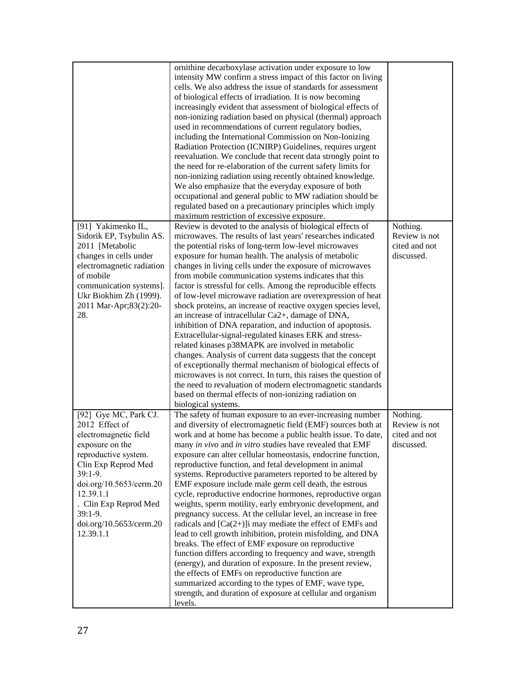|                                                                                                                                                                                                                                                                       | ornithine decarboxylase activation under exposure to low<br>intensity MW confirm a stress impact of this factor on living<br>cells. We also address the issue of standards for assessment<br>of biological effects of irradiation. It is now becoming<br>increasingly evident that assessment of biological effects of<br>non-ionizing radiation based on physical (thermal) approach<br>used in recommendations of current regulatory bodies,<br>including the International Commission on Non-Ionizing<br>Radiation Protection (ICNIRP) Guidelines, requires urgent<br>reevaluation. We conclude that recent data strongly point to<br>the need for re-elaboration of the current safety limits for<br>non-ionizing radiation using recently obtained knowledge.<br>We also emphasize that the everyday exposure of both<br>occupational and general public to MW radiation should be<br>regulated based on a precautionary principles which imply<br>maximum restriction of excessive exposure.                                                                                                                                                                                                     |                                                          |
|-----------------------------------------------------------------------------------------------------------------------------------------------------------------------------------------------------------------------------------------------------------------------|--------------------------------------------------------------------------------------------------------------------------------------------------------------------------------------------------------------------------------------------------------------------------------------------------------------------------------------------------------------------------------------------------------------------------------------------------------------------------------------------------------------------------------------------------------------------------------------------------------------------------------------------------------------------------------------------------------------------------------------------------------------------------------------------------------------------------------------------------------------------------------------------------------------------------------------------------------------------------------------------------------------------------------------------------------------------------------------------------------------------------------------------------------------------------------------------------------|----------------------------------------------------------|
| [91] Yakimenko IL,<br>Sidorik EP, Tsybulin AS.<br>2011 [Metabolic<br>changes in cells under<br>electromagnetic radiation<br>of mobile<br>communication systems].<br>Ukr Biokhim Zh (1999).<br>2011 Mar-Apr;83(2):20-<br>28.                                           | Review is devoted to the analysis of biological effects of<br>microwaves. The results of last years' researches indicated<br>the potential risks of long-term low-level microwaves<br>exposure for human health. The analysis of metabolic<br>changes in living cells under the exposure of microwaves<br>from mobile communication systems indicates that this<br>factor is stressful for cells. Among the reproducible effects<br>of low-level microwave radiation are overexpression of heat<br>shock proteins, an increase of reactive oxygen species level,<br>an increase of intracellular Ca2+, damage of DNA,<br>inhibition of DNA reparation, and induction of apoptosis.<br>Extracellular-signal-regulated kinases ERK and stress-<br>related kinases p38MAPK are involved in metabolic<br>changes. Analysis of current data suggests that the concept<br>of exceptionally thermal mechanism of biological effects of<br>microwaves is not correct. In turn, this raises the question of<br>the need to revaluation of modern electromagnetic standards<br>based on thermal effects of non-ionizing radiation on<br>biological systems.                                                      | Nothing.<br>Review is not<br>cited and not<br>discussed. |
| [92] Gye MC, Park CJ.<br>2012 Effect of<br>electromagnetic field<br>exposure on the<br>reproductive system.<br>Clin Exp Reprod Med<br>$39:1-9.$<br>doi.org/10.5653/cerm.20<br>12.39.1.1<br>. Clin Exp Reprod Med<br>$39:1-9.$<br>doi.org/10.5653/cerm.20<br>12.39.1.1 | The safety of human exposure to an ever-increasing number<br>and diversity of electromagnetic field (EMF) sources both at<br>work and at home has become a public health issue. To date,<br>many in vivo and in vitro studies have revealed that EMF<br>exposure can alter cellular homeostasis, endocrine function,<br>reproductive function, and fetal development in animal<br>systems. Reproductive parameters reported to be altered by<br>EMF exposure include male germ cell death, the estrous<br>cycle, reproductive endocrine hormones, reproductive organ<br>weights, sperm motility, early embryonic development, and<br>pregnancy success. At the cellular level, an increase in free<br>radicals and [Ca(2+)]i may mediate the effect of EMFs and<br>lead to cell growth inhibition, protein misfolding, and DNA<br>breaks. The effect of EMF exposure on reproductive<br>function differs according to frequency and wave, strength<br>(energy), and duration of exposure. In the present review,<br>the effects of EMFs on reproductive function are<br>summarized according to the types of EMF, wave type,<br>strength, and duration of exposure at cellular and organism<br>levels. | Nothing.<br>Review is not<br>cited and not<br>discussed. |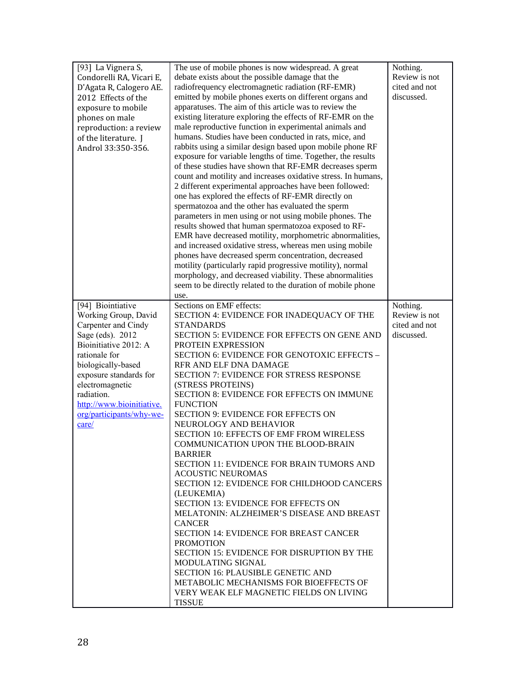| [93] La Vignera S,<br>Condorelli RA, Vicari E,<br>D'Agata R, Calogero AE.<br>2012 Effects of the<br>exposure to mobile<br>phones on male<br>reproduction: a review<br>of the literature. J<br>Androl 33:350-356.                                                                  | The use of mobile phones is now widespread. A great<br>debate exists about the possible damage that the<br>radiofrequency electromagnetic radiation (RF-EMR)<br>emitted by mobile phones exerts on different organs and<br>apparatuses. The aim of this article was to review the<br>existing literature exploring the effects of RF-EMR on the<br>male reproductive function in experimental animals and<br>humans. Studies have been conducted in rats, mice, and<br>rabbits using a similar design based upon mobile phone RF<br>exposure for variable lengths of time. Together, the results<br>of these studies have shown that RF-EMR decreases sperm<br>count and motility and increases oxidative stress. In humans,<br>2 different experimental approaches have been followed:<br>one has explored the effects of RF-EMR directly on<br>spermatozoa and the other has evaluated the sperm<br>parameters in men using or not using mobile phones. The<br>results showed that human spermatozoa exposed to RF-<br>EMR have decreased motility, morphometric abnormalities,<br>and increased oxidative stress, whereas men using mobile<br>phones have decreased sperm concentration, decreased<br>motility (particularly rapid progressive motility), normal<br>morphology, and decreased viability. These abnormalities<br>seem to be directly related to the duration of mobile phone<br>use. | Nothing.<br>Review is not<br>cited and not<br>discussed. |
|-----------------------------------------------------------------------------------------------------------------------------------------------------------------------------------------------------------------------------------------------------------------------------------|--------------------------------------------------------------------------------------------------------------------------------------------------------------------------------------------------------------------------------------------------------------------------------------------------------------------------------------------------------------------------------------------------------------------------------------------------------------------------------------------------------------------------------------------------------------------------------------------------------------------------------------------------------------------------------------------------------------------------------------------------------------------------------------------------------------------------------------------------------------------------------------------------------------------------------------------------------------------------------------------------------------------------------------------------------------------------------------------------------------------------------------------------------------------------------------------------------------------------------------------------------------------------------------------------------------------------------------------------------------------------------------------------------|----------------------------------------------------------|
| [94] Biointiative<br>Working Group, David<br>Carpenter and Cindy<br>Sage (eds). 2012<br>Bioinitiative 2012: A<br>rationale for<br>biologically-based<br>exposure standards for<br>electromagnetic<br>radiation.<br>http://www.bioinitiative.<br>org/participants/why-we-<br>care/ | Sections on EMF effects:<br>SECTION 4: EVIDENCE FOR INADEQUACY OF THE<br><b>STANDARDS</b><br>SECTION 5: EVIDENCE FOR EFFECTS ON GENE AND<br>PROTEIN EXPRESSION<br>SECTION 6: EVIDENCE FOR GENOTOXIC EFFECTS -<br>RFR AND ELF DNA DAMAGE<br>SECTION 7: EVIDENCE FOR STRESS RESPONSE<br>(STRESS PROTEINS)<br>SECTION 8: EVIDENCE FOR EFFECTS ON IMMUNE<br><b>FUNCTION</b><br><b>SECTION 9: EVIDENCE FOR EFFECTS ON</b><br>NEUROLOGY AND BEHAVIOR<br>SECTION 10: EFFECTS OF EMF FROM WIRELESS<br><b>COMMUNICATION UPON THE BLOOD-BRAIN</b><br><b>BARRIER</b><br><b>SECTION 11: EVIDENCE FOR BRAIN TUMORS AND</b><br><b>ACOUSTIC NEUROMAS</b><br><b>SECTION 12: EVIDENCE FOR CHILDHOOD CANCERS</b><br>(LEUKEMIA)<br>SECTION 13: EVIDENCE FOR EFFECTS ON<br>MELATONIN: ALZHEIMER'S DISEASE AND BREAST<br><b>CANCER</b><br>SECTION 14: EVIDENCE FOR BREAST CANCER<br><b>PROMOTION</b><br>SECTION 15: EVIDENCE FOR DISRUPTION BY THE<br>MODULATING SIGNAL<br><b>SECTION 16: PLAUSIBLE GENETIC AND</b><br>METABOLIC MECHANISMS FOR BIOEFFECTS OF<br>VERY WEAK ELF MAGNETIC FIELDS ON LIVING<br><b>TISSUE</b>                                                                                                                                                                                                                                                                                                   | Nothing.<br>Review is not<br>cited and not<br>discussed. |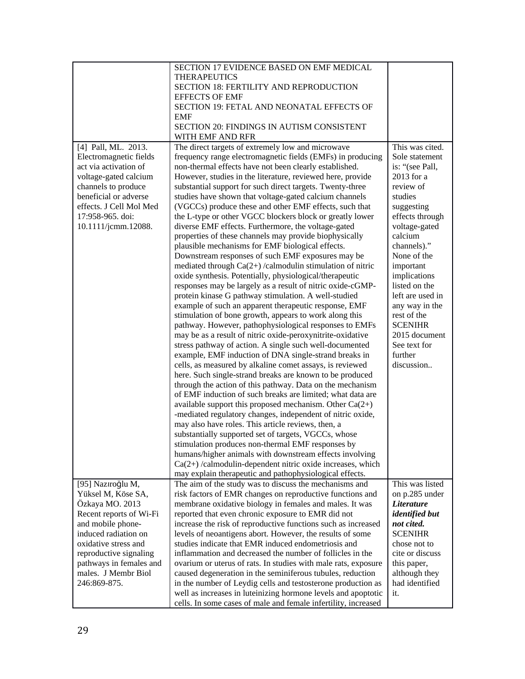|                         | SECTION 17 EVIDENCE BASED ON EMF MEDICAL                       |                       |
|-------------------------|----------------------------------------------------------------|-----------------------|
|                         | <b>THERAPEUTICS</b>                                            |                       |
|                         | <b>SECTION 18: FERTILITY AND REPRODUCTION</b>                  |                       |
|                         | <b>EFFECTS OF EMF</b>                                          |                       |
|                         | SECTION 19: FETAL AND NEONATAL EFFECTS OF                      |                       |
|                         | <b>EMF</b>                                                     |                       |
|                         |                                                                |                       |
|                         | SECTION 20: FINDINGS IN AUTISM CONSISTENT                      |                       |
|                         | WITH EMF AND RFR                                               |                       |
| [4] Pall, ML. 2013.     | The direct targets of extremely low and microwave              | This was cited.       |
| Electromagnetic fields  | frequency range electromagnetic fields (EMFs) in producing     | Sole statement        |
| act via activation of   | non-thermal effects have not been clearly established.         | is: "(see Pall,       |
| voltage-gated calcium   | However, studies in the literature, reviewed here, provide     | 2013 for a            |
| channels to produce     | substantial support for such direct targets. Twenty-three      | review of             |
| beneficial or adverse   | studies have shown that voltage-gated calcium channels         | studies               |
| effects. J Cell Mol Med | (VGCCs) produce these and other EMF effects, such that         | suggesting            |
| 17:958-965. doi:        | the L-type or other VGCC blockers block or greatly lower       | effects through       |
| 10.1111/jcmm.12088.     | diverse EMF effects. Furthermore, the voltage-gated            | voltage-gated         |
|                         | properties of these channels may provide biophysically         | calcium               |
|                         | plausible mechanisms for EMF biological effects.               | channels)."           |
|                         | Downstream responses of such EMF exposures may be              | None of the           |
|                         | mediated through $Ca(2+)$ /calmodulin stimulation of nitric    | important             |
|                         | oxide synthesis. Potentially, physiological/therapeutic        | implications          |
|                         | responses may be largely as a result of nitric oxide-cGMP-     | listed on the         |
|                         | protein kinase G pathway stimulation. A well-studied           | left are used in      |
|                         | example of such an apparent therapeutic response, EMF          |                       |
|                         |                                                                | any way in the        |
|                         | stimulation of bone growth, appears to work along this         | rest of the           |
|                         | pathway. However, pathophysiological responses to EMFs         | <b>SCENIHR</b>        |
|                         | may be as a result of nitric oxide-peroxynitrite-oxidative     | 2015 document         |
|                         | stress pathway of action. A single such well-documented        | See text for          |
|                         | example, EMF induction of DNA single-strand breaks in          | further               |
|                         | cells, as measured by alkaline comet assays, is reviewed       | discussion            |
|                         | here. Such single-strand breaks are known to be produced       |                       |
|                         | through the action of this pathway. Data on the mechanism      |                       |
|                         | of EMF induction of such breaks are limited; what data are     |                       |
|                         | available support this proposed mechanism. Other $Ca(2+)$      |                       |
|                         | -mediated regulatory changes, independent of nitric oxide,     |                       |
|                         | may also have roles. This article reviews, then, a             |                       |
|                         | substantially supported set of targets, VGCCs, whose           |                       |
|                         | stimulation produces non-thermal EMF responses by              |                       |
|                         | humans/higher animals with downstream effects involving        |                       |
|                         | $Ca(2+)$ /calmodulin-dependent nitric oxide increases, which   |                       |
|                         | may explain therapeutic and pathophysiological effects.        |                       |
| [95] Nazıroğlu M,       | The aim of the study was to discuss the mechanisms and         | This was listed       |
| Yüksel M, Köse SA,      | risk factors of EMR changes on reproductive functions and      | on p.285 under        |
| Özkaya MO. 2013         | membrane oxidative biology in females and males. It was        | Literature            |
| Recent reports of Wi-Fi | reported that even chronic exposure to EMR did not             | <i>identified but</i> |
| and mobile phone-       | increase the risk of reproductive functions such as increased  | not cited.            |
| induced radiation on    | levels of neoantigens abort. However, the results of some      | <b>SCENIHR</b>        |
| oxidative stress and    | studies indicate that EMR induced endometriosis and            | chose not to          |
| reproductive signaling  | inflammation and decreased the number of follicles in the      | cite or discuss       |
| pathways in females and | ovarium or uterus of rats. In studies with male rats, exposure | this paper,           |
| males. J Membr Biol     |                                                                |                       |
|                         | caused degeneration in the seminiferous tubules, reduction     | although they         |
| 246:869-875.            | in the number of Leydig cells and testosterone production as   | had identified        |
|                         | well as increases in luteinizing hormone levels and apoptotic  | it.                   |
|                         | cells. In some cases of male and female infertility, increased |                       |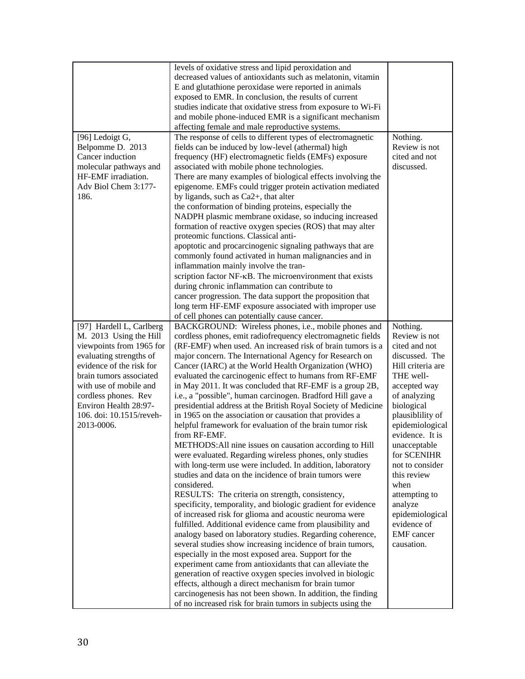|                          | levels of oxidative stress and lipid peroxidation and         |                           |
|--------------------------|---------------------------------------------------------------|---------------------------|
|                          | decreased values of antioxidants such as melatonin, vitamin   |                           |
|                          | E and glutathione peroxidase were reported in animals         |                           |
|                          | exposed to EMR. In conclusion, the results of current         |                           |
|                          | studies indicate that oxidative stress from exposure to Wi-Fi |                           |
|                          | and mobile phone-induced EMR is a significant mechanism       |                           |
|                          | affecting female and male reproductive systems.               |                           |
| [96] Ledoigt G,          | The response of cells to different types of electromagnetic   | Nothing.                  |
| Belpomme D. 2013         | fields can be induced by low-level (athermal) high            | Review is not             |
| Cancer induction         | frequency (HF) electromagnetic fields (EMFs) exposure         | cited and not             |
| molecular pathways and   | associated with mobile phone technologies.                    | discussed.                |
| HF-EMF irradiation.      | There are many examples of biological effects involving the   |                           |
| Adv Biol Chem 3:177-     | epigenome. EMFs could trigger protein activation mediated     |                           |
| 186.                     | by ligands, such as Ca2+, that alter                          |                           |
|                          | the conformation of binding proteins, especially the          |                           |
|                          | NADPH plasmic membrane oxidase, so inducing increased         |                           |
|                          | formation of reactive oxygen species (ROS) that may alter     |                           |
|                          | proteomic functions. Classical anti-                          |                           |
|                          | apoptotic and procarcinogenic signaling pathways that are     |                           |
|                          | commonly found activated in human malignancies and in         |                           |
|                          | inflammation mainly involve the tran-                         |                           |
|                          | scription factor NF-KB. The microenvironment that exists      |                           |
|                          | during chronic inflammation can contribute to                 |                           |
|                          | cancer progression. The data support the proposition that     |                           |
|                          |                                                               |                           |
|                          | long term HF-EMF exposure associated with improper use        |                           |
|                          | of cell phones can potentially cause cancer.                  |                           |
| [97] Hardell L, Carlberg | BACKGROUND: Wireless phones, i.e., mobile phones and          | Nothing.<br>Review is not |
| M. 2013 Using the Hill   | cordless phones, emit radiofrequency electromagnetic fields   |                           |
| viewpoints from 1965 for | (RF-EMF) when used. An increased risk of brain tumors is a    | cited and not             |
| evaluating strengths of  | major concern. The International Agency for Research on       | discussed. The            |
| evidence of the risk for | Cancer (IARC) at the World Health Organization (WHO)          | Hill criteria are         |
| brain tumors associated  | evaluated the carcinogenic effect to humans from RF-EMF       | THE well-                 |
| with use of mobile and   | in May 2011. It was concluded that RF-EMF is a group 2B,      | accepted way              |
| cordless phones. Rev     | i.e., a "possible", human carcinogen. Bradford Hill gave a    | of analyzing              |
| Environ Health 28:97-    | presidential address at the British Royal Society of Medicine | biological                |
| 106. doi: 10.1515/reveh- | in 1965 on the association or causation that provides a       | plausiblility of          |
| 2013-0006.               | helpful framework for evaluation of the brain tumor risk      | epidemiological           |
|                          | from RF-EMF.                                                  | evidence. It is           |
|                          | METHODS: All nine issues on causation according to Hill       | unacceptable              |
|                          | were evaluated. Regarding wireless phones, only studies       | for SCENIHR               |
|                          | with long-term use were included. In addition, laboratory     | not to consider           |
|                          | studies and data on the incidence of brain tumors were        | this review               |
|                          | considered.                                                   | when                      |
|                          | RESULTS: The criteria on strength, consistency,               | attempting to             |
|                          | specificity, temporality, and biologic gradient for evidence  | analyze                   |
|                          | of increased risk for glioma and acoustic neuroma were        | epidemiological           |
|                          | fulfilled. Additional evidence came from plausibility and     | evidence of               |
|                          | analogy based on laboratory studies. Regarding coherence,     | <b>EMF</b> cancer         |
|                          | several studies show increasing incidence of brain tumors,    | causation.                |
|                          | especially in the most exposed area. Support for the          |                           |
|                          | experiment came from antioxidants that can alleviate the      |                           |
|                          | generation of reactive oxygen species involved in biologic    |                           |
|                          | effects, although a direct mechanism for brain tumor          |                           |
|                          | carcinogenesis has not been shown. In addition, the finding   |                           |
|                          | of no increased risk for brain tumors in subjects using the   |                           |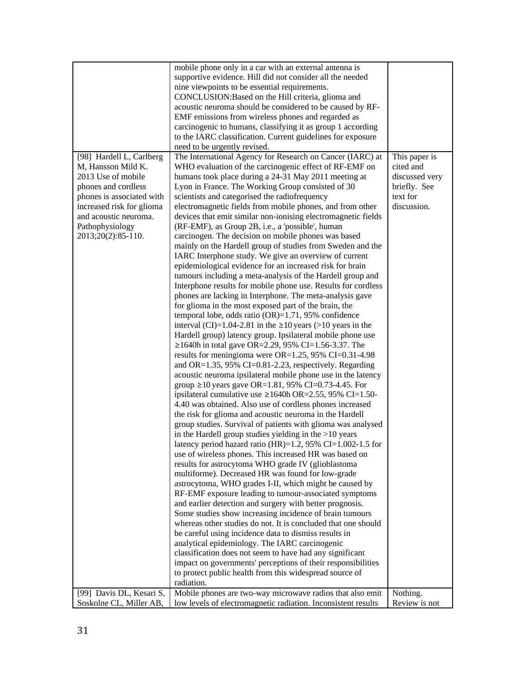|                           | mobile phone only in a car with an external antenna is           |                |
|---------------------------|------------------------------------------------------------------|----------------|
|                           | supportive evidence. Hill did not consider all the needed        |                |
|                           | nine viewpoints to be essential requirements.                    |                |
|                           | CONCLUSION: Based on the Hill criteria, glioma and               |                |
|                           | acoustic neuroma should be considered to be caused by RF-        |                |
|                           | EMF emissions from wireless phones and regarded as               |                |
|                           | carcinogenic to humans, classifying it as group 1 according      |                |
|                           | to the IARC classification. Current guidelines for exposure      |                |
|                           | need to be urgently revised.                                     |                |
| [98] Hardell L, Carlberg  | The International Agency for Research on Cancer (IARC) at        | This paper is  |
| M, Hansson Mild K.        | WHO evaluation of the carcinogenic effect of RF-EMF on           | cited and      |
| 2013 Use of mobile        | humans took place during a 24-31 May 2011 meeting at             | discussed very |
| phones and cordless       | Lyon in France. The Working Group consisted of 30                | briefly. See   |
| phones is associated with | scientists and categorised the radiofrequency                    | text for       |
| increased risk for glioma | electromagnetic fields from mobile phones, and from other        | discussion.    |
| and acoustic neuroma.     | devices that emit similar non-ionising electromagnetic fields    |                |
| Pathophysiology           | (RF-EMF), as Group 2B, i.e., a 'possible', human                 |                |
| 2013;20(2):85-110.        | carcinogen. The decision on mobile phones was based              |                |
|                           | mainly on the Hardell group of studies from Sweden and the       |                |
|                           | IARC Interphone study. We give an overview of current            |                |
|                           | epidemiological evidence for an increased risk for brain         |                |
|                           | tumours including a meta-analysis of the Hardell group and       |                |
|                           | Interphone results for mobile phone use. Results for cordless    |                |
|                           | phones are lacking in Interphone. The meta-analysis gave         |                |
|                           | for glioma in the most exposed part of the brain, the            |                |
|                           | temporal lobe, odds ratio $(OR)=1.71$ , 95% confidence           |                |
|                           | interval (CI)=1.04-2.81 in the $\geq$ 10 years (>10 years in the |                |
|                           | Hardell group) latency group. Ipsilateral mobile phone use       |                |
|                           | ≥1640h in total gave OR=2.29, 95% CI=1.56-3.37. The              |                |
|                           | results for meningioma were OR=1.25, 95% CI=0.31-4.98            |                |
|                           | and OR= $1.35$ , 95% CI=0.81-2.23, respectively. Regarding       |                |
|                           | acoustic neuroma ipsilateral mobile phone use in the latency     |                |
|                           | group $\geq$ 10 years gave OR=1.81, 95% CI=0.73-4.45. For        |                |
|                           | ipsilateral cumulative use $\geq 1640h$ OR=2.55, 95% CI=1.50-    |                |
|                           | 4.40 was obtained. Also use of cordless phones increased         |                |
|                           | the risk for glioma and acoustic neuroma in the Hardell          |                |
|                           | group studies. Survival of patients with glioma was analysed     |                |
|                           | in the Hardell group studies yielding in the $>10$ years         |                |
|                           | latency period hazard ratio (HR)=1.2, 95% CI=1.002-1.5 for       |                |
|                           | use of wireless phones. This increased HR was based on           |                |
|                           | results for astrocytoma WHO grade IV (glioblastoma               |                |
|                           | multiforme). Decreased HR was found for low-grade                |                |
|                           | astrocytoma, WHO grades I-II, which might be caused by           |                |
|                           | RF-EMF exposure leading to tumour-associated symptoms            |                |
|                           | and earlier detection and surgery with better prognosis.         |                |
|                           | Some studies show increasing incidence of brain tumours          |                |
|                           | whereas other studies do not. It is concluded that one should    |                |
|                           | be careful using incidence data to dismiss results in            |                |
|                           | analytical epidemiology. The IARC carcinogenic                   |                |
|                           | classification does not seem to have had any significant         |                |
|                           | impact on governments' perceptions of their responsibilities     |                |
|                           | to protect public health from this widespread source of          |                |
|                           | radiation.                                                       |                |
| [99] Davis DL, Kesari S,  | Mobile phones are two-way microwave radios that also emit        | Nothing.       |
| Soskolne CL, Miller AB,   | low levels of electromagnetic radiation. Inconsistent results    | Review is not  |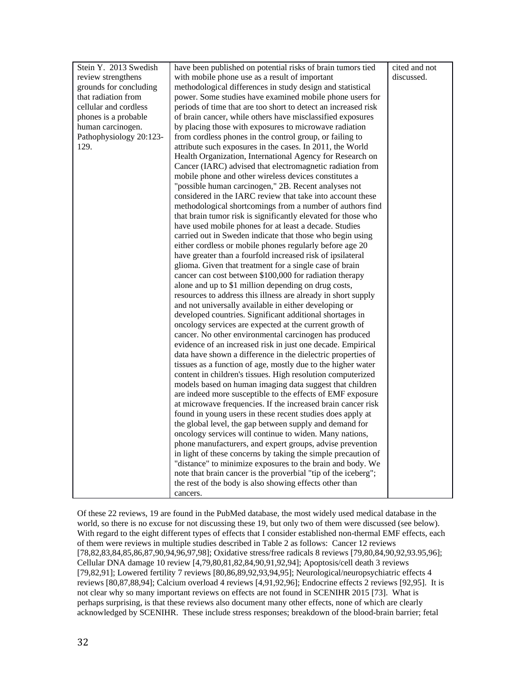| Stein Y. 2013 Swedish   | have been published on potential risks of brain tumors tied    | cited and not |
|-------------------------|----------------------------------------------------------------|---------------|
| review strengthens      | with mobile phone use as a result of important                 | discussed.    |
| grounds for concluding  | methodological differences in study design and statistical     |               |
| that radiation from     | power. Some studies have examined mobile phone users for       |               |
| cellular and cordless   | periods of time that are too short to detect an increased risk |               |
| phones is a probable    | of brain cancer, while others have misclassified exposures     |               |
| human carcinogen.       | by placing those with exposures to microwave radiation         |               |
| Pathophysiology 20:123- | from cordless phones in the control group, or failing to       |               |
| 129.                    | attribute such exposures in the cases. In 2011, the World      |               |
|                         | Health Organization, International Agency for Research on      |               |
|                         | Cancer (IARC) advised that electromagnetic radiation from      |               |
|                         | mobile phone and other wireless devices constitutes a          |               |
|                         | "possible human carcinogen," 2B. Recent analyses not           |               |
|                         | considered in the IARC review that take into account these     |               |
|                         | methodological shortcomings from a number of authors find      |               |
|                         | that brain tumor risk is significantly elevated for those who  |               |
|                         | have used mobile phones for at least a decade. Studies         |               |
|                         | carried out in Sweden indicate that those who begin using      |               |
|                         | either cordless or mobile phones regularly before age 20       |               |
|                         | have greater than a fourfold increased risk of ipsilateral     |               |
|                         | glioma. Given that treatment for a single case of brain        |               |
|                         | cancer can cost between \$100,000 for radiation therapy        |               |
|                         | alone and up to \$1 million depending on drug costs,           |               |
|                         | resources to address this illness are already in short supply  |               |
|                         | and not universally available in either developing or          |               |
|                         | developed countries. Significant additional shortages in       |               |
|                         | oncology services are expected at the current growth of        |               |
|                         | cancer. No other environmental carcinogen has produced         |               |
|                         | evidence of an increased risk in just one decade. Empirical    |               |
|                         | data have shown a difference in the dielectric properties of   |               |
|                         | tissues as a function of age, mostly due to the higher water   |               |
|                         | content in children's tissues. High resolution computerized    |               |
|                         | models based on human imaging data suggest that children       |               |
|                         | are indeed more susceptible to the effects of EMF exposure     |               |
|                         | at microwave frequencies. If the increased brain cancer risk   |               |
|                         | found in young users in these recent studies does apply at     |               |
|                         | the global level, the gap between supply and demand for        |               |
|                         | oncology services will continue to widen. Many nations,        |               |
|                         | phone manufacturers, and expert groups, advise prevention      |               |
|                         | in light of these concerns by taking the simple precaution of  |               |
|                         | "distance" to minimize exposures to the brain and body. We     |               |
|                         | note that brain cancer is the proverbial "tip of the iceberg"; |               |
|                         | the rest of the body is also showing effects other than        |               |
|                         | cancers.                                                       |               |

Of these 22 reviews, 19 are found in the PubMed database, the most widely used medical database in the world, so there is no excuse for not discussing these 19, but only two of them were discussed (see below). With regard to the eight different types of effects that I consider established non-thermal EMF effects, each of them were reviews in multiple studies described in Table 2 as follows: Cancer 12 reviews [78,82,83,84,85,86,87,90,94,96,97,98]; Oxidative stress/free radicals 8 reviews [79,80,84,90,92,93.95,96]; Cellular DNA damage 10 review [4,79,80,81,82,84,90,91,92,94]; Apoptosis/cell death 3 reviews [79,82,91]; Lowered fertility 7 reviews [80,86,89,92,93,94,95]; Neurological/neuropsychiatric effects 4 reviews [80,87,88,94]; Calcium overload 4 reviews [4,91,92,96]; Endocrine effects 2 reviews [92,95]. It is not clear why so many important reviews on effects are not found in SCENIHR 2015 [73]. What is perhaps surprising, is that these reviews also document many other effects, none of which are clearly acknowledged by SCENIHR. These include stress responses; breakdown of the blood-brain barrier; fetal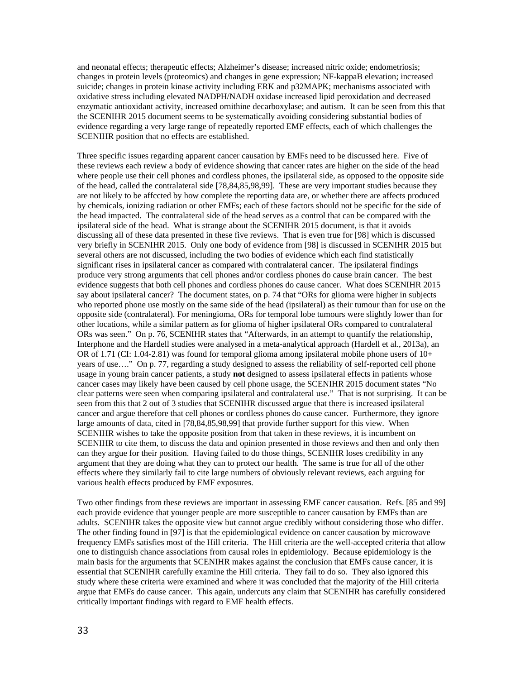and neonatal effects; therapeutic effects; Alzheimer's disease; increased nitric oxide; endometriosis; changes in protein levels (proteomics) and changes in gene expression; NF-kappaB elevation; increased suicide; changes in protein kinase activity including ERK and p32MAPK; mechanisms associated with oxidative stress including elevated NADPH/NADH oxidase increased lipid peroxidation and decreased enzymatic antioxidant activity, increased ornithine decarboxylase; and autism. It can be seen from this that the SCENIHR 2015 document seems to be systematically avoiding considering substantial bodies of evidence regarding a very large range of repeatedly reported EMF effects, each of which challenges the SCENIHR position that no effects are established.

Three specific issues regarding apparent cancer causation by EMFs need to be discussed here. Five of these reviews each review a body of evidence showing that cancer rates are higher on the side of the head where people use their cell phones and cordless phones, the ipsilateral side, as opposed to the opposite side of the head, called the contralateral side [78,84,85,98,99]. These are very important studies because they are not likely to be affccted by how complete the reporting data are, or whether there are affects produced by chemicals, ionizing radiation or other EMFs; each of these factors should not be specific for the side of the head impacted. The contralateral side of the head serves as a control that can be compared with the ipsilateral side of the head. What is strange about the SCENIHR 2015 document, is that it avoids discussing all of these data presented in these five reviews. That is even true for [98] which is discussed very briefly in SCENIHR 2015. Only one body of evidence from [98] is discussed in SCENIHR 2015 but several others are not discussed, including the two bodies of evidence which each find statistically significant rises in ipsilateral cancer as compared with contralateral cancer. The ipsilateral findings produce very strong arguments that cell phones and/or cordless phones do cause brain cancer. The best evidence suggests that both cell phones and cordless phones do cause cancer. What does SCENIHR 2015 say about ipsilateral cancer? The document states, on p. 74 that "ORs for glioma were higher in subjects who reported phone use mostly on the same side of the head (ipsilateral) as their tumour than for use on the opposite side (contralateral). For meningioma, ORs for temporal lobe tumours were slightly lower than for other locations, while a similar pattern as for glioma of higher ipsilateral ORs compared to contralateral ORs was seen." On p. 76, SCENIHR states that "Afterwards, in an attempt to quantify the relationship, Interphone and the Hardell studies were analysed in a meta-analytical approach (Hardell et al., 2013a), an OR of 1.71 (CI: 1.04-2.81) was found for temporal glioma among ipsilateral mobile phone users of 10+ years of use…." On p. 77, regarding a study designed to assess the reliability of self-reported cell phone usage in young brain cancer patients, a study **not** designed to assess ipsilateral effects in patients whose cancer cases may likely have been caused by cell phone usage, the SCENIHR 2015 document states "No clear patterns were seen when comparing ipsilateral and contralateral use." That is not surprising. It can be seen from this that 2 out of 3 studies that SCENIHR discussed argue that there is increased ipsilateral cancer and argue therefore that cell phones or cordless phones do cause cancer. Furthermore, they ignore large amounts of data, cited in [78,84,85,98,99] that provide further support for this view. When SCENIHR wishes to take the opposite position from that taken in these reviews, it is incumbent on SCENIHR to cite them, to discuss the data and opinion presented in those reviews and then and only then can they argue for their position. Having failed to do those things, SCENIHR loses credibility in any argument that they are doing what they can to protect our health. The same is true for all of the other effects where they similarly fail to cite large numbers of obviously relevant reviews, each arguing for various health effects produced by EMF exposures.

Two other findings from these reviews are important in assessing EMF cancer causation. Refs. [85 and 99] each provide evidence that younger people are more susceptible to cancer causation by EMFs than are adults. SCENIHR takes the opposite view but cannot argue credibly without considering those who differ. The other finding found in [97] is that the epidemiological evidence on cancer causation by microwave frequency EMFs satisfies most of the Hill criteria. The Hill criteria are the well-accepted criteria that allow one to distinguish chance associations from causal roles in epidemiology. Because epidemiology is the main basis for the arguments that SCENIHR makes against the conclusion that EMFs cause cancer, it is essential that SCENIHR carefully examine the Hill criteria. They fail to do so. They also ignored this study where these criteria were examined and where it was concluded that the majority of the Hill criteria argue that EMFs do cause cancer. This again, undercuts any claim that SCENIHR has carefully considered critically important findings with regard to EMF health effects.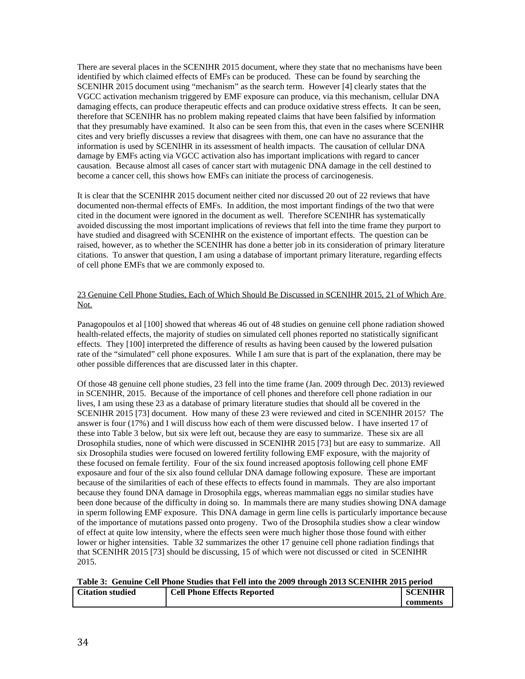There are several places in the SCENIHR 2015 document, where they state that no mechanisms have been identified by which claimed effects of EMFs can be produced. These can be found by searching the SCENIHR 2015 document using "mechanism" as the search term. However [4] clearly states that the VGCC activation mechanism triggered by EMF exposure can produce, via this mechanism, cellular DNA damaging effects, can produce therapeutic effects and can produce oxidative stress effects. It can be seen, therefore that SCENIHR has no problem making repeated claims that have been falsified by information that they presumably have examined. It also can be seen from this, that even in the cases where SCENIHR cites and very briefly discusses a review that disagrees with them, one can have no assurance that the information is used by SCENIHR in its assessment of health impacts. The causation of cellular DNA damage by EMFs acting via VGCC activation also has important implications with regard to cancer causation. Because almost all cases of cancer start with mutagenic DNA damage in the cell destined to become a cancer cell, this shows how EMFs can initiate the process of carcinogenesis.

It is clear that the SCENIHR 2015 document neither cited nor discussed 20 out of 22 reviews that have documented non-thermal effects of EMFs. In addition, the most important findings of the two that were cited in the document were ignored in the document as well. Therefore SCENIHR has systematically avoided discussing the most important implications of reviews that fell into the time frame they purport to have studied and disagreed with SCENIHR on the existence of important effects. The question can be raised, however, as to whether the SCENIHR has done a better job in its consideration of primary literature citations. To answer that question, I am using a database of important primary literature, regarding effects of cell phone EMFs that we are commonly exposed to.

## 23 Genuine Cell Phone Studies, Each of Which Should Be Discussed in SCENIHR 2015, 21 of Which Are Not.

Panagopoulos et al [100] showed that whereas 46 out of 48 studies on genuine cell phone radiation showed health-related effects, the majority of studies on simulated cell phones reported no statistically significant effects. They [100] interpreted the difference of results as having been caused by the lowered pulsation rate of the "simulated" cell phone exposures. While I am sure that is part of the explanation, there may be other possible differences that are discussed later in this chapter.

Of those 48 genuine cell phone studies, 23 fell into the time frame (Jan. 2009 through Dec. 2013) reviewed in SCENIHR, 2015. Because of the importance of cell phones and therefore cell phone radiation in our lives, I am using these 23 as a database of primary literature studies that should all be covered in the SCENIHR 2015 [73] document. How many of these 23 were reviewed and cited in SCENIHR 2015? The answer is four (17%) and I will discuss how each of them were discussed below. I have inserted 17 of these into Table 3 below, but six were left out, because they are easy to summarize. These six are all Drosophila studies, none of which were discussed in SCENIHR 2015 [73] but are easy to summarize. All six Drosophila studies were focused on lowered fertility following EMF exposure, with the majority of these focused on female fertility. Four of the six found increased apoptosis following cell phone EMF exposaure and four of the six also found cellular DNA damage following exposure. These are important because of the similarities of each of these effects to effects found in mammals. They are also important because they found DNA damage in Drosophila eggs, whereas mammalian eggs no similar studies have been done because of the difficulty in doing so. In mammals there are many studies showing DNA damage in sperm following EMF exposure. This DNA damage in germ line cells is particularly importance because of the importance of mutations passed onto progeny. Two of the Drosophila studies show a clear window of effect at quite low intensity, where the effects seen were much higher those those found with either lower or higher intensities. Table 32 summarizes the other 17 genuine cell phone radiation findings that that SCENIHR 2015 [73] should be discussing, 15 of which were not discussed or cited in SCENIHR 2015.

# **Table 3: Genuine Cell Phone Studies that Fell into the 2009 through 2013 SCENIHR 2015 period**

| <b>Citation studied</b> | <b>Cell Phone Effects Reported</b> | <b>SCENIHR</b> |
|-------------------------|------------------------------------|----------------|
|                         |                                    | comments       |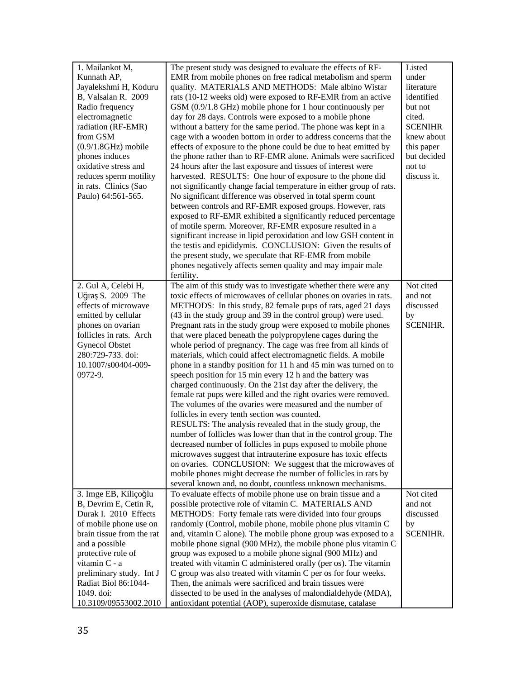| 1. Mailankot M,<br>Kunnath AP,<br>Jayalekshmi H, Koduru<br>B, Valsalan R. 2009<br>Radio frequency<br>electromagnetic<br>radiation (RF-EMR)<br>from GSM<br>$(0.9/1.8$ GHz) mobile<br>phones induces<br>oxidative stress and<br>reduces sperm motility<br>in rats. Clinics (Sao<br>Paulo) 64:561-565. | The present study was designed to evaluate the effects of RF-<br>EMR from mobile phones on free radical metabolism and sperm<br>quality. MATERIALS AND METHODS: Male albino Wistar<br>rats (10-12 weeks old) were exposed to RF-EMR from an active<br>GSM (0.9/1.8 GHz) mobile phone for 1 hour continuously per<br>day for 28 days. Controls were exposed to a mobile phone<br>without a battery for the same period. The phone was kept in a<br>cage with a wooden bottom in order to address concerns that the<br>effects of exposure to the phone could be due to heat emitted by<br>the phone rather than to RF-EMR alone. Animals were sacrificed<br>24 hours after the last exposure and tissues of interest were<br>harvested. RESULTS: One hour of exposure to the phone did<br>not significantly change facial temperature in either group of rats.<br>No significant difference was observed in total sperm count<br>between controls and RF-EMR exposed groups. However, rats<br>exposed to RF-EMR exhibited a significantly reduced percentage<br>of motile sperm. Moreover, RF-EMR exposure resulted in a<br>significant increase in lipid peroxidation and low GSH content in<br>the testis and epididymis. CONCLUSION: Given the results of<br>the present study, we speculate that RF-EMR from mobile<br>phones negatively affects semen quality and may impair male<br>fertility.    | Listed<br>under<br>literature<br>identified<br>but not<br>cited.<br><b>SCENIHR</b><br>knew about<br>this paper<br>but decided<br>not to<br>discuss it. |
|-----------------------------------------------------------------------------------------------------------------------------------------------------------------------------------------------------------------------------------------------------------------------------------------------------|--------------------------------------------------------------------------------------------------------------------------------------------------------------------------------------------------------------------------------------------------------------------------------------------------------------------------------------------------------------------------------------------------------------------------------------------------------------------------------------------------------------------------------------------------------------------------------------------------------------------------------------------------------------------------------------------------------------------------------------------------------------------------------------------------------------------------------------------------------------------------------------------------------------------------------------------------------------------------------------------------------------------------------------------------------------------------------------------------------------------------------------------------------------------------------------------------------------------------------------------------------------------------------------------------------------------------------------------------------------------------------------------------------|--------------------------------------------------------------------------------------------------------------------------------------------------------|
| 2. Gul A, Celebi H,<br>Uğraş S. 2009 The<br>effects of microwave<br>emitted by cellular<br>phones on ovarian<br>follicles in rats. Arch<br><b>Gynecol Obstet</b><br>280:729-733. doi:<br>10.1007/s00404-009-<br>0972-9.                                                                             | The aim of this study was to investigate whether there were any<br>toxic effects of microwaves of cellular phones on ovaries in rats.<br>METHODS: In this study, 82 female pups of rats, aged 21 days<br>(43 in the study group and 39 in the control group) were used.<br>Pregnant rats in the study group were exposed to mobile phones<br>that were placed beneath the polypropylene cages during the<br>whole period of pregnancy. The cage was free from all kinds of<br>materials, which could affect electromagnetic fields. A mobile<br>phone in a standby position for 11 h and 45 min was turned on to<br>speech position for 15 min every 12 h and the battery was<br>charged continuously. On the 21st day after the delivery, the<br>female rat pups were killed and the right ovaries were removed.<br>The volumes of the ovaries were measured and the number of<br>follicles in every tenth section was counted.<br>RESULTS: The analysis revealed that in the study group, the<br>number of follicles was lower than that in the control group. The<br>decreased number of follicles in pups exposed to mobile phone<br>microwaves suggest that intrauterine exposure has toxic effects<br>on ovaries. CONCLUSION: We suggest that the microwaves of<br>mobile phones might decrease the number of follicles in rats by<br>several known and, no doubt, countless unknown mechanisms. | Not cited<br>and not<br>discussed<br>by<br><b>SCENIHR.</b>                                                                                             |
| 3. Imge EB, Kiliçoğlu<br>B, Devrim E, Cetin R,<br>Durak I. 2010 Effects<br>of mobile phone use on<br>brain tissue from the rat<br>and a possible<br>protective role of<br>vitamin C - a<br>preliminary study. Int J<br>Radiat Biol 86:1044-<br>1049. doi:<br>10.3109/09553002.2010                  | To evaluate effects of mobile phone use on brain tissue and a<br>possible protective role of vitamin C. MATERIALS AND<br>METHODS: Forty female rats were divided into four groups<br>randomly (Control, mobile phone, mobile phone plus vitamin C<br>and, vitamin C alone). The mobile phone group was exposed to a<br>mobile phone signal (900 MHz), the mobile phone plus vitamin C<br>group was exposed to a mobile phone signal (900 MHz) and<br>treated with vitamin C administered orally (per os). The vitamin<br>C group was also treated with vitamin C per os for four weeks.<br>Then, the animals were sacrificed and brain tissues were<br>dissected to be used in the analyses of malondialdehyde (MDA),<br>antioxidant potential (AOP), superoxide dismutase, catalase                                                                                                                                                                                                                                                                                                                                                                                                                                                                                                                                                                                                                   | Not cited<br>and not<br>discussed<br>by<br><b>SCENIHR.</b>                                                                                             |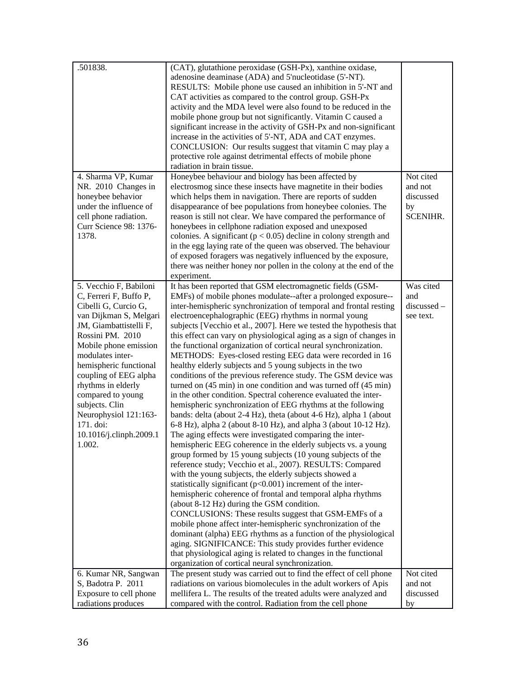| .501838.                | (CAT), glutathione peroxidase (GSH-Px), xanthine oxidase,             |                 |
|-------------------------|-----------------------------------------------------------------------|-----------------|
|                         | adenosine deaminase (ADA) and 5'nucleotidase (5'-NT).                 |                 |
|                         | RESULTS: Mobile phone use caused an inhibition in 5'-NT and           |                 |
|                         | CAT activities as compared to the control group. GSH-Px               |                 |
|                         | activity and the MDA level were also found to be reduced in the       |                 |
|                         | mobile phone group but not significantly. Vitamin C caused a          |                 |
|                         | significant increase in the activity of GSH-Px and non-significant    |                 |
|                         | increase in the activities of 5'-NT, ADA and CAT enzymes.             |                 |
|                         | CONCLUSION: Our results suggest that vitamin C may play a             |                 |
|                         | protective role against detrimental effects of mobile phone           |                 |
|                         | radiation in brain tissue.                                            |                 |
| 4. Sharma VP, Kumar     | Honeybee behaviour and biology has been affected by                   | Not cited       |
| NR. 2010 Changes in     | electrosmog since these insects have magnetite in their bodies        | and not         |
| honeybee behavior       | which helps them in navigation. There are reports of sudden           | discussed       |
| under the influence of  | disappearance of bee populations from honeybee colonies. The          | by              |
| cell phone radiation.   | reason is still not clear. We have compared the performance of        | <b>SCENIHR.</b> |
| Curr Science 98: 1376-  | honeybees in cellphone radiation exposed and unexposed                |                 |
| 1378.                   | colonies. A significant ( $p < 0.05$ ) decline in colony strength and |                 |
|                         | in the egg laying rate of the queen was observed. The behaviour       |                 |
|                         | of exposed foragers was negatively influenced by the exposure,        |                 |
|                         | there was neither honey nor pollen in the colony at the end of the    |                 |
|                         |                                                                       |                 |
|                         | experiment.                                                           |                 |
| 5. Vecchio F, Babiloni  | It has been reported that GSM electromagnetic fields (GSM-            | Was cited       |
| C, Ferreri F, Buffo P,  | EMFs) of mobile phones modulate--after a prolonged exposure--         | and             |
| Cibelli G, Curcio G,    | inter-hemispheric synchronization of temporal and frontal resting     | discussed –     |
| van Dijkman S, Melgari  | electroencephalographic (EEG) rhythms in normal young                 | see text.       |
| JM, Giambattistelli F,  | subjects [Vecchio et al., 2007]. Here we tested the hypothesis that   |                 |
| Rossini PM. 2010        | this effect can vary on physiological aging as a sign of changes in   |                 |
| Mobile phone emission   | the functional organization of cortical neural synchronization.       |                 |
| modulates inter-        | METHODS: Eyes-closed resting EEG data were recorded in 16             |                 |
| hemispheric functional  | healthy elderly subjects and 5 young subjects in the two              |                 |
| coupling of EEG alpha   | conditions of the previous reference study. The GSM device was        |                 |
| rhythms in elderly      | turned on (45 min) in one condition and was turned off (45 min)       |                 |
| compared to young       | in the other condition. Spectral coherence evaluated the inter-       |                 |
| subjects. Clin          | hemispheric synchronization of EEG rhythms at the following           |                 |
| Neurophysiol 121:163-   | bands: delta (about 2-4 Hz), theta (about 4-6 Hz), alpha 1 (about     |                 |
| 171. doi:               | 6-8 Hz), alpha 2 (about 8-10 Hz), and alpha 3 (about 10-12 Hz).       |                 |
| 10.1016/j.clinph.2009.1 | The aging effects were investigated comparing the inter-              |                 |
| 1.002.                  | hemispheric EEG coherence in the elderly subjects vs. a young         |                 |
|                         | group formed by 15 young subjects (10 young subjects of the           |                 |
|                         | reference study; Vecchio et al., 2007). RESULTS: Compared             |                 |
|                         | with the young subjects, the elderly subjects showed a                |                 |
|                         | statistically significant $(p<0.001)$ increment of the inter-         |                 |
|                         | hemispheric coherence of frontal and temporal alpha rhythms           |                 |
|                         | (about 8-12 Hz) during the GSM condition.                             |                 |
|                         | CONCLUSIONS: These results suggest that GSM-EMFs of a                 |                 |
|                         | mobile phone affect inter-hemispheric synchronization of the          |                 |
|                         | dominant (alpha) EEG rhythms as a function of the physiological       |                 |
|                         | aging. SIGNIFICANCE: This study provides further evidence             |                 |
|                         | that physiological aging is related to changes in the functional      |                 |
|                         | organization of cortical neural synchronization.                      |                 |
| 6. Kumar NR, Sangwan    | The present study was carried out to find the effect of cell phone    | Not cited       |
| S, Badotra P. 2011      | radiations on various biomolecules in the adult workers of Apis       | and not         |
| Exposure to cell phone  | mellifera L. The results of the treated adults were analyzed and      | discussed       |
| radiations produces     | compared with the control. Radiation from the cell phone              | by              |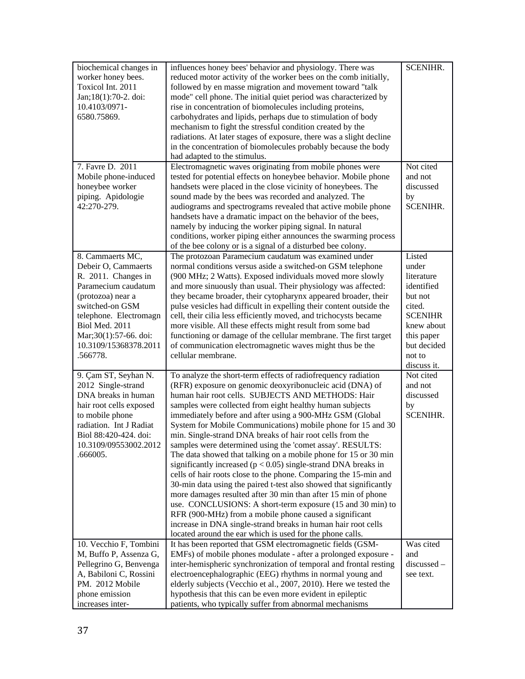| worker honey bees.<br>reduced motor activity of the worker bees on the comb initially,<br>Toxicol Int. 2011<br>followed by en masse migration and movement toward "talk<br>Jan;18(1):70-2. doi:<br>mode" cell phone. The initial quiet period was characterized by<br>10.4103/0971-<br>rise in concentration of biomolecules including proteins,<br>6580.75869.<br>carbohydrates and lipids, perhaps due to stimulation of body<br>mechanism to fight the stressful condition created by the<br>radiations. At later stages of exposure, there was a slight decline<br>in the concentration of biomolecules probably because the body<br>had adapted to the stimulus.<br>7. Favre D. 2011<br>Electromagnetic waves originating from mobile phones were<br>Not cited<br>tested for potential effects on honeybee behavior. Mobile phone<br>and not<br>Mobile phone-induced<br>honeybee worker<br>handsets were placed in the close vicinity of honeybees. The<br>discussed<br>piping. Apidologie<br>sound made by the bees was recorded and analyzed. The<br>by<br>42:270-279.<br><b>SCENIHR.</b><br>audiograms and spectrograms revealed that active mobile phone<br>handsets have a dramatic impact on the behavior of the bees,<br>namely by inducing the worker piping signal. In natural<br>conditions, worker piping either announces the swarming process<br>of the bee colony or is a signal of a disturbed bee colony.<br>Listed<br>8. Cammaerts MC,<br>The protozoan Paramecium caudatum was examined under<br>normal conditions versus aside a switched-on GSM telephone<br>Debeir O, Cammaerts<br>under<br>R. 2011. Changes in<br>(900 MHz; 2 Watts). Exposed individuals moved more slowly<br>literature<br>Paramecium caudatum<br>and more sinuously than usual. Their physiology was affected:<br>identified<br>(protozoa) near a<br>they became broader, their cytopharynx appeared broader, their<br>but not<br>switched-on GSM<br>pulse vesicles had difficult in expelling their content outside the<br>cited.<br>telephone. Electromagn<br>cell, their cilia less efficiently moved, and trichocysts became<br><b>SCENIHR</b><br><b>Biol Med. 2011</b><br>more visible. All these effects might result from some bad<br>knew about<br>Mar;30(1):57-66. doi:<br>functioning or damage of the cellular membrane. The first target<br>this paper<br>but decided<br>10.3109/15368378.2011<br>of communication electromagnetic waves might thus be the<br>.566778.<br>cellular membrane.<br>not to<br>discuss it.<br>Not cited<br>To analyze the short-term effects of radiofrequency radiation<br>9. Çam ST, Seyhan N.<br>(RFR) exposure on genomic deoxyribonucleic acid (DNA) of<br>and not<br>2012 Single-strand<br>human hair root cells. SUBJECTS AND METHODS: Hair<br>DNA breaks in human<br>discussed<br>samples were collected from eight healthy human subjects<br>hair root cells exposed<br>by<br><b>SCENIHR.</b><br>immediately before and after using a 900-MHz GSM (Global<br>to mobile phone<br>radiation. Int J Radiat<br>System for Mobile Communications) mobile phone for 15 and 30<br>Biol 88:420-424. doi:<br>min. Single-strand DNA breaks of hair root cells from the<br>samples were determined using the 'comet assay'. RESULTS:<br>10.3109/09553002.2012<br>.666005.<br>The data showed that talking on a mobile phone for 15 or 30 min |
|----------------------------------------------------------------------------------------------------------------------------------------------------------------------------------------------------------------------------------------------------------------------------------------------------------------------------------------------------------------------------------------------------------------------------------------------------------------------------------------------------------------------------------------------------------------------------------------------------------------------------------------------------------------------------------------------------------------------------------------------------------------------------------------------------------------------------------------------------------------------------------------------------------------------------------------------------------------------------------------------------------------------------------------------------------------------------------------------------------------------------------------------------------------------------------------------------------------------------------------------------------------------------------------------------------------------------------------------------------------------------------------------------------------------------------------------------------------------------------------------------------------------------------------------------------------------------------------------------------------------------------------------------------------------------------------------------------------------------------------------------------------------------------------------------------------------------------------------------------------------------------------------------------------------------------------------------------------------------------------------------------------------------------------------------------------------------------------------------------------------------------------------------------------------------------------------------------------------------------------------------------------------------------------------------------------------------------------------------------------------------------------------------------------------------------------------------------------------------------------------------------------------------------------------------------------------------------------------------------------------------------------------------------------------------------------------------------------------------------------------------------------------------------------------------------------------------------------------------------------------------------------------------------------------------------------------------------------------------------------------------------------------------------------------------------------------------------------------------------------------------------------------------------------------------------------------------------------------------------------------------------------------------------------------------------------------------------------------------------------------------------|
|                                                                                                                                                                                                                                                                                                                                                                                                                                                                                                                                                                                                                                                                                                                                                                                                                                                                                                                                                                                                                                                                                                                                                                                                                                                                                                                                                                                                                                                                                                                                                                                                                                                                                                                                                                                                                                                                                                                                                                                                                                                                                                                                                                                                                                                                                                                                                                                                                                                                                                                                                                                                                                                                                                                                                                                                                                                                                                                                                                                                                                                                                                                                                                                                                                                                                                                                                                                  |
|                                                                                                                                                                                                                                                                                                                                                                                                                                                                                                                                                                                                                                                                                                                                                                                                                                                                                                                                                                                                                                                                                                                                                                                                                                                                                                                                                                                                                                                                                                                                                                                                                                                                                                                                                                                                                                                                                                                                                                                                                                                                                                                                                                                                                                                                                                                                                                                                                                                                                                                                                                                                                                                                                                                                                                                                                                                                                                                                                                                                                                                                                                                                                                                                                                                                                                                                                                                  |
|                                                                                                                                                                                                                                                                                                                                                                                                                                                                                                                                                                                                                                                                                                                                                                                                                                                                                                                                                                                                                                                                                                                                                                                                                                                                                                                                                                                                                                                                                                                                                                                                                                                                                                                                                                                                                                                                                                                                                                                                                                                                                                                                                                                                                                                                                                                                                                                                                                                                                                                                                                                                                                                                                                                                                                                                                                                                                                                                                                                                                                                                                                                                                                                                                                                                                                                                                                                  |
|                                                                                                                                                                                                                                                                                                                                                                                                                                                                                                                                                                                                                                                                                                                                                                                                                                                                                                                                                                                                                                                                                                                                                                                                                                                                                                                                                                                                                                                                                                                                                                                                                                                                                                                                                                                                                                                                                                                                                                                                                                                                                                                                                                                                                                                                                                                                                                                                                                                                                                                                                                                                                                                                                                                                                                                                                                                                                                                                                                                                                                                                                                                                                                                                                                                                                                                                                                                  |
|                                                                                                                                                                                                                                                                                                                                                                                                                                                                                                                                                                                                                                                                                                                                                                                                                                                                                                                                                                                                                                                                                                                                                                                                                                                                                                                                                                                                                                                                                                                                                                                                                                                                                                                                                                                                                                                                                                                                                                                                                                                                                                                                                                                                                                                                                                                                                                                                                                                                                                                                                                                                                                                                                                                                                                                                                                                                                                                                                                                                                                                                                                                                                                                                                                                                                                                                                                                  |
|                                                                                                                                                                                                                                                                                                                                                                                                                                                                                                                                                                                                                                                                                                                                                                                                                                                                                                                                                                                                                                                                                                                                                                                                                                                                                                                                                                                                                                                                                                                                                                                                                                                                                                                                                                                                                                                                                                                                                                                                                                                                                                                                                                                                                                                                                                                                                                                                                                                                                                                                                                                                                                                                                                                                                                                                                                                                                                                                                                                                                                                                                                                                                                                                                                                                                                                                                                                  |
|                                                                                                                                                                                                                                                                                                                                                                                                                                                                                                                                                                                                                                                                                                                                                                                                                                                                                                                                                                                                                                                                                                                                                                                                                                                                                                                                                                                                                                                                                                                                                                                                                                                                                                                                                                                                                                                                                                                                                                                                                                                                                                                                                                                                                                                                                                                                                                                                                                                                                                                                                                                                                                                                                                                                                                                                                                                                                                                                                                                                                                                                                                                                                                                                                                                                                                                                                                                  |
|                                                                                                                                                                                                                                                                                                                                                                                                                                                                                                                                                                                                                                                                                                                                                                                                                                                                                                                                                                                                                                                                                                                                                                                                                                                                                                                                                                                                                                                                                                                                                                                                                                                                                                                                                                                                                                                                                                                                                                                                                                                                                                                                                                                                                                                                                                                                                                                                                                                                                                                                                                                                                                                                                                                                                                                                                                                                                                                                                                                                                                                                                                                                                                                                                                                                                                                                                                                  |
|                                                                                                                                                                                                                                                                                                                                                                                                                                                                                                                                                                                                                                                                                                                                                                                                                                                                                                                                                                                                                                                                                                                                                                                                                                                                                                                                                                                                                                                                                                                                                                                                                                                                                                                                                                                                                                                                                                                                                                                                                                                                                                                                                                                                                                                                                                                                                                                                                                                                                                                                                                                                                                                                                                                                                                                                                                                                                                                                                                                                                                                                                                                                                                                                                                                                                                                                                                                  |
|                                                                                                                                                                                                                                                                                                                                                                                                                                                                                                                                                                                                                                                                                                                                                                                                                                                                                                                                                                                                                                                                                                                                                                                                                                                                                                                                                                                                                                                                                                                                                                                                                                                                                                                                                                                                                                                                                                                                                                                                                                                                                                                                                                                                                                                                                                                                                                                                                                                                                                                                                                                                                                                                                                                                                                                                                                                                                                                                                                                                                                                                                                                                                                                                                                                                                                                                                                                  |
|                                                                                                                                                                                                                                                                                                                                                                                                                                                                                                                                                                                                                                                                                                                                                                                                                                                                                                                                                                                                                                                                                                                                                                                                                                                                                                                                                                                                                                                                                                                                                                                                                                                                                                                                                                                                                                                                                                                                                                                                                                                                                                                                                                                                                                                                                                                                                                                                                                                                                                                                                                                                                                                                                                                                                                                                                                                                                                                                                                                                                                                                                                                                                                                                                                                                                                                                                                                  |
|                                                                                                                                                                                                                                                                                                                                                                                                                                                                                                                                                                                                                                                                                                                                                                                                                                                                                                                                                                                                                                                                                                                                                                                                                                                                                                                                                                                                                                                                                                                                                                                                                                                                                                                                                                                                                                                                                                                                                                                                                                                                                                                                                                                                                                                                                                                                                                                                                                                                                                                                                                                                                                                                                                                                                                                                                                                                                                                                                                                                                                                                                                                                                                                                                                                                                                                                                                                  |
|                                                                                                                                                                                                                                                                                                                                                                                                                                                                                                                                                                                                                                                                                                                                                                                                                                                                                                                                                                                                                                                                                                                                                                                                                                                                                                                                                                                                                                                                                                                                                                                                                                                                                                                                                                                                                                                                                                                                                                                                                                                                                                                                                                                                                                                                                                                                                                                                                                                                                                                                                                                                                                                                                                                                                                                                                                                                                                                                                                                                                                                                                                                                                                                                                                                                                                                                                                                  |
|                                                                                                                                                                                                                                                                                                                                                                                                                                                                                                                                                                                                                                                                                                                                                                                                                                                                                                                                                                                                                                                                                                                                                                                                                                                                                                                                                                                                                                                                                                                                                                                                                                                                                                                                                                                                                                                                                                                                                                                                                                                                                                                                                                                                                                                                                                                                                                                                                                                                                                                                                                                                                                                                                                                                                                                                                                                                                                                                                                                                                                                                                                                                                                                                                                                                                                                                                                                  |
|                                                                                                                                                                                                                                                                                                                                                                                                                                                                                                                                                                                                                                                                                                                                                                                                                                                                                                                                                                                                                                                                                                                                                                                                                                                                                                                                                                                                                                                                                                                                                                                                                                                                                                                                                                                                                                                                                                                                                                                                                                                                                                                                                                                                                                                                                                                                                                                                                                                                                                                                                                                                                                                                                                                                                                                                                                                                                                                                                                                                                                                                                                                                                                                                                                                                                                                                                                                  |
|                                                                                                                                                                                                                                                                                                                                                                                                                                                                                                                                                                                                                                                                                                                                                                                                                                                                                                                                                                                                                                                                                                                                                                                                                                                                                                                                                                                                                                                                                                                                                                                                                                                                                                                                                                                                                                                                                                                                                                                                                                                                                                                                                                                                                                                                                                                                                                                                                                                                                                                                                                                                                                                                                                                                                                                                                                                                                                                                                                                                                                                                                                                                                                                                                                                                                                                                                                                  |
|                                                                                                                                                                                                                                                                                                                                                                                                                                                                                                                                                                                                                                                                                                                                                                                                                                                                                                                                                                                                                                                                                                                                                                                                                                                                                                                                                                                                                                                                                                                                                                                                                                                                                                                                                                                                                                                                                                                                                                                                                                                                                                                                                                                                                                                                                                                                                                                                                                                                                                                                                                                                                                                                                                                                                                                                                                                                                                                                                                                                                                                                                                                                                                                                                                                                                                                                                                                  |
|                                                                                                                                                                                                                                                                                                                                                                                                                                                                                                                                                                                                                                                                                                                                                                                                                                                                                                                                                                                                                                                                                                                                                                                                                                                                                                                                                                                                                                                                                                                                                                                                                                                                                                                                                                                                                                                                                                                                                                                                                                                                                                                                                                                                                                                                                                                                                                                                                                                                                                                                                                                                                                                                                                                                                                                                                                                                                                                                                                                                                                                                                                                                                                                                                                                                                                                                                                                  |
|                                                                                                                                                                                                                                                                                                                                                                                                                                                                                                                                                                                                                                                                                                                                                                                                                                                                                                                                                                                                                                                                                                                                                                                                                                                                                                                                                                                                                                                                                                                                                                                                                                                                                                                                                                                                                                                                                                                                                                                                                                                                                                                                                                                                                                                                                                                                                                                                                                                                                                                                                                                                                                                                                                                                                                                                                                                                                                                                                                                                                                                                                                                                                                                                                                                                                                                                                                                  |
|                                                                                                                                                                                                                                                                                                                                                                                                                                                                                                                                                                                                                                                                                                                                                                                                                                                                                                                                                                                                                                                                                                                                                                                                                                                                                                                                                                                                                                                                                                                                                                                                                                                                                                                                                                                                                                                                                                                                                                                                                                                                                                                                                                                                                                                                                                                                                                                                                                                                                                                                                                                                                                                                                                                                                                                                                                                                                                                                                                                                                                                                                                                                                                                                                                                                                                                                                                                  |
|                                                                                                                                                                                                                                                                                                                                                                                                                                                                                                                                                                                                                                                                                                                                                                                                                                                                                                                                                                                                                                                                                                                                                                                                                                                                                                                                                                                                                                                                                                                                                                                                                                                                                                                                                                                                                                                                                                                                                                                                                                                                                                                                                                                                                                                                                                                                                                                                                                                                                                                                                                                                                                                                                                                                                                                                                                                                                                                                                                                                                                                                                                                                                                                                                                                                                                                                                                                  |
|                                                                                                                                                                                                                                                                                                                                                                                                                                                                                                                                                                                                                                                                                                                                                                                                                                                                                                                                                                                                                                                                                                                                                                                                                                                                                                                                                                                                                                                                                                                                                                                                                                                                                                                                                                                                                                                                                                                                                                                                                                                                                                                                                                                                                                                                                                                                                                                                                                                                                                                                                                                                                                                                                                                                                                                                                                                                                                                                                                                                                                                                                                                                                                                                                                                                                                                                                                                  |
|                                                                                                                                                                                                                                                                                                                                                                                                                                                                                                                                                                                                                                                                                                                                                                                                                                                                                                                                                                                                                                                                                                                                                                                                                                                                                                                                                                                                                                                                                                                                                                                                                                                                                                                                                                                                                                                                                                                                                                                                                                                                                                                                                                                                                                                                                                                                                                                                                                                                                                                                                                                                                                                                                                                                                                                                                                                                                                                                                                                                                                                                                                                                                                                                                                                                                                                                                                                  |
|                                                                                                                                                                                                                                                                                                                                                                                                                                                                                                                                                                                                                                                                                                                                                                                                                                                                                                                                                                                                                                                                                                                                                                                                                                                                                                                                                                                                                                                                                                                                                                                                                                                                                                                                                                                                                                                                                                                                                                                                                                                                                                                                                                                                                                                                                                                                                                                                                                                                                                                                                                                                                                                                                                                                                                                                                                                                                                                                                                                                                                                                                                                                                                                                                                                                                                                                                                                  |
|                                                                                                                                                                                                                                                                                                                                                                                                                                                                                                                                                                                                                                                                                                                                                                                                                                                                                                                                                                                                                                                                                                                                                                                                                                                                                                                                                                                                                                                                                                                                                                                                                                                                                                                                                                                                                                                                                                                                                                                                                                                                                                                                                                                                                                                                                                                                                                                                                                                                                                                                                                                                                                                                                                                                                                                                                                                                                                                                                                                                                                                                                                                                                                                                                                                                                                                                                                                  |
|                                                                                                                                                                                                                                                                                                                                                                                                                                                                                                                                                                                                                                                                                                                                                                                                                                                                                                                                                                                                                                                                                                                                                                                                                                                                                                                                                                                                                                                                                                                                                                                                                                                                                                                                                                                                                                                                                                                                                                                                                                                                                                                                                                                                                                                                                                                                                                                                                                                                                                                                                                                                                                                                                                                                                                                                                                                                                                                                                                                                                                                                                                                                                                                                                                                                                                                                                                                  |
|                                                                                                                                                                                                                                                                                                                                                                                                                                                                                                                                                                                                                                                                                                                                                                                                                                                                                                                                                                                                                                                                                                                                                                                                                                                                                                                                                                                                                                                                                                                                                                                                                                                                                                                                                                                                                                                                                                                                                                                                                                                                                                                                                                                                                                                                                                                                                                                                                                                                                                                                                                                                                                                                                                                                                                                                                                                                                                                                                                                                                                                                                                                                                                                                                                                                                                                                                                                  |
|                                                                                                                                                                                                                                                                                                                                                                                                                                                                                                                                                                                                                                                                                                                                                                                                                                                                                                                                                                                                                                                                                                                                                                                                                                                                                                                                                                                                                                                                                                                                                                                                                                                                                                                                                                                                                                                                                                                                                                                                                                                                                                                                                                                                                                                                                                                                                                                                                                                                                                                                                                                                                                                                                                                                                                                                                                                                                                                                                                                                                                                                                                                                                                                                                                                                                                                                                                                  |
|                                                                                                                                                                                                                                                                                                                                                                                                                                                                                                                                                                                                                                                                                                                                                                                                                                                                                                                                                                                                                                                                                                                                                                                                                                                                                                                                                                                                                                                                                                                                                                                                                                                                                                                                                                                                                                                                                                                                                                                                                                                                                                                                                                                                                                                                                                                                                                                                                                                                                                                                                                                                                                                                                                                                                                                                                                                                                                                                                                                                                                                                                                                                                                                                                                                                                                                                                                                  |
|                                                                                                                                                                                                                                                                                                                                                                                                                                                                                                                                                                                                                                                                                                                                                                                                                                                                                                                                                                                                                                                                                                                                                                                                                                                                                                                                                                                                                                                                                                                                                                                                                                                                                                                                                                                                                                                                                                                                                                                                                                                                                                                                                                                                                                                                                                                                                                                                                                                                                                                                                                                                                                                                                                                                                                                                                                                                                                                                                                                                                                                                                                                                                                                                                                                                                                                                                                                  |
|                                                                                                                                                                                                                                                                                                                                                                                                                                                                                                                                                                                                                                                                                                                                                                                                                                                                                                                                                                                                                                                                                                                                                                                                                                                                                                                                                                                                                                                                                                                                                                                                                                                                                                                                                                                                                                                                                                                                                                                                                                                                                                                                                                                                                                                                                                                                                                                                                                                                                                                                                                                                                                                                                                                                                                                                                                                                                                                                                                                                                                                                                                                                                                                                                                                                                                                                                                                  |
|                                                                                                                                                                                                                                                                                                                                                                                                                                                                                                                                                                                                                                                                                                                                                                                                                                                                                                                                                                                                                                                                                                                                                                                                                                                                                                                                                                                                                                                                                                                                                                                                                                                                                                                                                                                                                                                                                                                                                                                                                                                                                                                                                                                                                                                                                                                                                                                                                                                                                                                                                                                                                                                                                                                                                                                                                                                                                                                                                                                                                                                                                                                                                                                                                                                                                                                                                                                  |
|                                                                                                                                                                                                                                                                                                                                                                                                                                                                                                                                                                                                                                                                                                                                                                                                                                                                                                                                                                                                                                                                                                                                                                                                                                                                                                                                                                                                                                                                                                                                                                                                                                                                                                                                                                                                                                                                                                                                                                                                                                                                                                                                                                                                                                                                                                                                                                                                                                                                                                                                                                                                                                                                                                                                                                                                                                                                                                                                                                                                                                                                                                                                                                                                                                                                                                                                                                                  |
|                                                                                                                                                                                                                                                                                                                                                                                                                                                                                                                                                                                                                                                                                                                                                                                                                                                                                                                                                                                                                                                                                                                                                                                                                                                                                                                                                                                                                                                                                                                                                                                                                                                                                                                                                                                                                                                                                                                                                                                                                                                                                                                                                                                                                                                                                                                                                                                                                                                                                                                                                                                                                                                                                                                                                                                                                                                                                                                                                                                                                                                                                                                                                                                                                                                                                                                                                                                  |
|                                                                                                                                                                                                                                                                                                                                                                                                                                                                                                                                                                                                                                                                                                                                                                                                                                                                                                                                                                                                                                                                                                                                                                                                                                                                                                                                                                                                                                                                                                                                                                                                                                                                                                                                                                                                                                                                                                                                                                                                                                                                                                                                                                                                                                                                                                                                                                                                                                                                                                                                                                                                                                                                                                                                                                                                                                                                                                                                                                                                                                                                                                                                                                                                                                                                                                                                                                                  |
|                                                                                                                                                                                                                                                                                                                                                                                                                                                                                                                                                                                                                                                                                                                                                                                                                                                                                                                                                                                                                                                                                                                                                                                                                                                                                                                                                                                                                                                                                                                                                                                                                                                                                                                                                                                                                                                                                                                                                                                                                                                                                                                                                                                                                                                                                                                                                                                                                                                                                                                                                                                                                                                                                                                                                                                                                                                                                                                                                                                                                                                                                                                                                                                                                                                                                                                                                                                  |
|                                                                                                                                                                                                                                                                                                                                                                                                                                                                                                                                                                                                                                                                                                                                                                                                                                                                                                                                                                                                                                                                                                                                                                                                                                                                                                                                                                                                                                                                                                                                                                                                                                                                                                                                                                                                                                                                                                                                                                                                                                                                                                                                                                                                                                                                                                                                                                                                                                                                                                                                                                                                                                                                                                                                                                                                                                                                                                                                                                                                                                                                                                                                                                                                                                                                                                                                                                                  |
|                                                                                                                                                                                                                                                                                                                                                                                                                                                                                                                                                                                                                                                                                                                                                                                                                                                                                                                                                                                                                                                                                                                                                                                                                                                                                                                                                                                                                                                                                                                                                                                                                                                                                                                                                                                                                                                                                                                                                                                                                                                                                                                                                                                                                                                                                                                                                                                                                                                                                                                                                                                                                                                                                                                                                                                                                                                                                                                                                                                                                                                                                                                                                                                                                                                                                                                                                                                  |
|                                                                                                                                                                                                                                                                                                                                                                                                                                                                                                                                                                                                                                                                                                                                                                                                                                                                                                                                                                                                                                                                                                                                                                                                                                                                                                                                                                                                                                                                                                                                                                                                                                                                                                                                                                                                                                                                                                                                                                                                                                                                                                                                                                                                                                                                                                                                                                                                                                                                                                                                                                                                                                                                                                                                                                                                                                                                                                                                                                                                                                                                                                                                                                                                                                                                                                                                                                                  |
| significantly increased ( $p < 0.05$ ) single-strand DNA breaks in                                                                                                                                                                                                                                                                                                                                                                                                                                                                                                                                                                                                                                                                                                                                                                                                                                                                                                                                                                                                                                                                                                                                                                                                                                                                                                                                                                                                                                                                                                                                                                                                                                                                                                                                                                                                                                                                                                                                                                                                                                                                                                                                                                                                                                                                                                                                                                                                                                                                                                                                                                                                                                                                                                                                                                                                                                                                                                                                                                                                                                                                                                                                                                                                                                                                                                               |
| cells of hair roots close to the phone. Comparing the 15-min and                                                                                                                                                                                                                                                                                                                                                                                                                                                                                                                                                                                                                                                                                                                                                                                                                                                                                                                                                                                                                                                                                                                                                                                                                                                                                                                                                                                                                                                                                                                                                                                                                                                                                                                                                                                                                                                                                                                                                                                                                                                                                                                                                                                                                                                                                                                                                                                                                                                                                                                                                                                                                                                                                                                                                                                                                                                                                                                                                                                                                                                                                                                                                                                                                                                                                                                 |
| 30-min data using the paired t-test also showed that significantly                                                                                                                                                                                                                                                                                                                                                                                                                                                                                                                                                                                                                                                                                                                                                                                                                                                                                                                                                                                                                                                                                                                                                                                                                                                                                                                                                                                                                                                                                                                                                                                                                                                                                                                                                                                                                                                                                                                                                                                                                                                                                                                                                                                                                                                                                                                                                                                                                                                                                                                                                                                                                                                                                                                                                                                                                                                                                                                                                                                                                                                                                                                                                                                                                                                                                                               |
| more damages resulted after 30 min than after 15 min of phone                                                                                                                                                                                                                                                                                                                                                                                                                                                                                                                                                                                                                                                                                                                                                                                                                                                                                                                                                                                                                                                                                                                                                                                                                                                                                                                                                                                                                                                                                                                                                                                                                                                                                                                                                                                                                                                                                                                                                                                                                                                                                                                                                                                                                                                                                                                                                                                                                                                                                                                                                                                                                                                                                                                                                                                                                                                                                                                                                                                                                                                                                                                                                                                                                                                                                                                    |
| use. CONCLUSIONS: A short-term exposure (15 and 30 min) to                                                                                                                                                                                                                                                                                                                                                                                                                                                                                                                                                                                                                                                                                                                                                                                                                                                                                                                                                                                                                                                                                                                                                                                                                                                                                                                                                                                                                                                                                                                                                                                                                                                                                                                                                                                                                                                                                                                                                                                                                                                                                                                                                                                                                                                                                                                                                                                                                                                                                                                                                                                                                                                                                                                                                                                                                                                                                                                                                                                                                                                                                                                                                                                                                                                                                                                       |
| RFR (900-MHz) from a mobile phone caused a significant                                                                                                                                                                                                                                                                                                                                                                                                                                                                                                                                                                                                                                                                                                                                                                                                                                                                                                                                                                                                                                                                                                                                                                                                                                                                                                                                                                                                                                                                                                                                                                                                                                                                                                                                                                                                                                                                                                                                                                                                                                                                                                                                                                                                                                                                                                                                                                                                                                                                                                                                                                                                                                                                                                                                                                                                                                                                                                                                                                                                                                                                                                                                                                                                                                                                                                                           |
| increase in DNA single-strand breaks in human hair root cells                                                                                                                                                                                                                                                                                                                                                                                                                                                                                                                                                                                                                                                                                                                                                                                                                                                                                                                                                                                                                                                                                                                                                                                                                                                                                                                                                                                                                                                                                                                                                                                                                                                                                                                                                                                                                                                                                                                                                                                                                                                                                                                                                                                                                                                                                                                                                                                                                                                                                                                                                                                                                                                                                                                                                                                                                                                                                                                                                                                                                                                                                                                                                                                                                                                                                                                    |
| located around the ear which is used for the phone calls.                                                                                                                                                                                                                                                                                                                                                                                                                                                                                                                                                                                                                                                                                                                                                                                                                                                                                                                                                                                                                                                                                                                                                                                                                                                                                                                                                                                                                                                                                                                                                                                                                                                                                                                                                                                                                                                                                                                                                                                                                                                                                                                                                                                                                                                                                                                                                                                                                                                                                                                                                                                                                                                                                                                                                                                                                                                                                                                                                                                                                                                                                                                                                                                                                                                                                                                        |
| Was cited<br>10. Vecchio F, Tombini<br>It has been reported that GSM electromagnetic fields (GSM-                                                                                                                                                                                                                                                                                                                                                                                                                                                                                                                                                                                                                                                                                                                                                                                                                                                                                                                                                                                                                                                                                                                                                                                                                                                                                                                                                                                                                                                                                                                                                                                                                                                                                                                                                                                                                                                                                                                                                                                                                                                                                                                                                                                                                                                                                                                                                                                                                                                                                                                                                                                                                                                                                                                                                                                                                                                                                                                                                                                                                                                                                                                                                                                                                                                                                |
| EMFs) of mobile phones modulate - after a prolonged exposure -<br>M, Buffo P, Assenza G,<br>and                                                                                                                                                                                                                                                                                                                                                                                                                                                                                                                                                                                                                                                                                                                                                                                                                                                                                                                                                                                                                                                                                                                                                                                                                                                                                                                                                                                                                                                                                                                                                                                                                                                                                                                                                                                                                                                                                                                                                                                                                                                                                                                                                                                                                                                                                                                                                                                                                                                                                                                                                                                                                                                                                                                                                                                                                                                                                                                                                                                                                                                                                                                                                                                                                                                                                  |
| Pellegrino G, Benvenga<br>inter-hemispheric synchronization of temporal and frontal resting<br>discussed –                                                                                                                                                                                                                                                                                                                                                                                                                                                                                                                                                                                                                                                                                                                                                                                                                                                                                                                                                                                                                                                                                                                                                                                                                                                                                                                                                                                                                                                                                                                                                                                                                                                                                                                                                                                                                                                                                                                                                                                                                                                                                                                                                                                                                                                                                                                                                                                                                                                                                                                                                                                                                                                                                                                                                                                                                                                                                                                                                                                                                                                                                                                                                                                                                                                                       |
| A, Babiloni C, Rossini<br>electroencephalographic (EEG) rhythms in normal young and<br>see text.                                                                                                                                                                                                                                                                                                                                                                                                                                                                                                                                                                                                                                                                                                                                                                                                                                                                                                                                                                                                                                                                                                                                                                                                                                                                                                                                                                                                                                                                                                                                                                                                                                                                                                                                                                                                                                                                                                                                                                                                                                                                                                                                                                                                                                                                                                                                                                                                                                                                                                                                                                                                                                                                                                                                                                                                                                                                                                                                                                                                                                                                                                                                                                                                                                                                                 |
| elderly subjects (Vecchio et al., 2007, 2010). Here we tested the<br>PM. 2012 Mobile                                                                                                                                                                                                                                                                                                                                                                                                                                                                                                                                                                                                                                                                                                                                                                                                                                                                                                                                                                                                                                                                                                                                                                                                                                                                                                                                                                                                                                                                                                                                                                                                                                                                                                                                                                                                                                                                                                                                                                                                                                                                                                                                                                                                                                                                                                                                                                                                                                                                                                                                                                                                                                                                                                                                                                                                                                                                                                                                                                                                                                                                                                                                                                                                                                                                                             |
| phone emission<br>hypothesis that this can be even more evident in epileptic                                                                                                                                                                                                                                                                                                                                                                                                                                                                                                                                                                                                                                                                                                                                                                                                                                                                                                                                                                                                                                                                                                                                                                                                                                                                                                                                                                                                                                                                                                                                                                                                                                                                                                                                                                                                                                                                                                                                                                                                                                                                                                                                                                                                                                                                                                                                                                                                                                                                                                                                                                                                                                                                                                                                                                                                                                                                                                                                                                                                                                                                                                                                                                                                                                                                                                     |
| patients, who typically suffer from abnormal mechanisms<br>increases inter-                                                                                                                                                                                                                                                                                                                                                                                                                                                                                                                                                                                                                                                                                                                                                                                                                                                                                                                                                                                                                                                                                                                                                                                                                                                                                                                                                                                                                                                                                                                                                                                                                                                                                                                                                                                                                                                                                                                                                                                                                                                                                                                                                                                                                                                                                                                                                                                                                                                                                                                                                                                                                                                                                                                                                                                                                                                                                                                                                                                                                                                                                                                                                                                                                                                                                                      |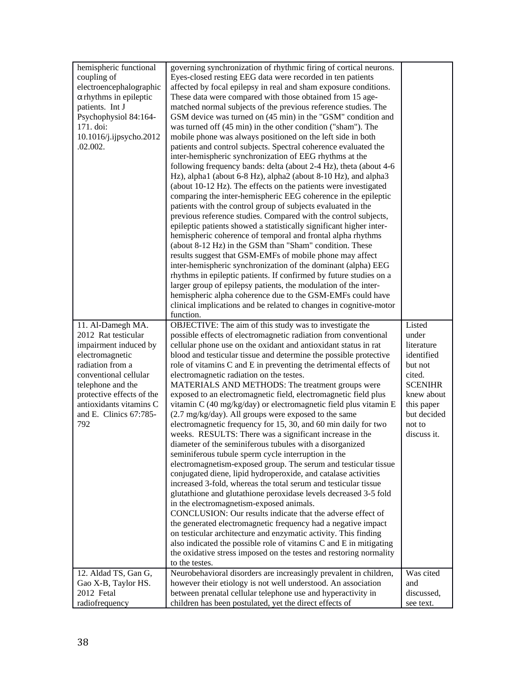| hemispheric functional                   | governing synchronization of rhythmic firing of cortical neurons.                                                                 |                |
|------------------------------------------|-----------------------------------------------------------------------------------------------------------------------------------|----------------|
| coupling of                              | Eyes-closed resting EEG data were recorded in ten patients                                                                        |                |
| electroencephalographic                  | affected by focal epilepsy in real and sham exposure conditions.                                                                  |                |
| $\alpha$ rhythms in epileptic            | These data were compared with those obtained from 15 age-                                                                         |                |
| patients. Int J                          | matched normal subjects of the previous reference studies. The                                                                    |                |
| Psychophysiol 84:164-                    | GSM device was turned on (45 min) in the "GSM" condition and                                                                      |                |
| 171. doi:                                | was turned off (45 min) in the other condition ("sham"). The                                                                      |                |
| 10.1016/j.ijpsycho.2012                  | mobile phone was always positioned on the left side in both                                                                       |                |
| .02.002.                                 | patients and control subjects. Spectral coherence evaluated the                                                                   |                |
|                                          | inter-hemispheric synchronization of EEG rhythms at the                                                                           |                |
|                                          | following frequency bands: delta (about 2-4 Hz), theta (about 4-6                                                                 |                |
|                                          | Hz), alpha1 (about 6-8 Hz), alpha2 (about 8-10 Hz), and alpha3                                                                    |                |
|                                          | (about 10-12 Hz). The effects on the patients were investigated                                                                   |                |
|                                          | comparing the inter-hemispheric EEG coherence in the epileptic                                                                    |                |
|                                          | patients with the control group of subjects evaluated in the                                                                      |                |
|                                          | previous reference studies. Compared with the control subjects,                                                                   |                |
|                                          | epileptic patients showed a statistically significant higher inter-                                                               |                |
|                                          | hemispheric coherence of temporal and frontal alpha rhythms                                                                       |                |
|                                          | (about 8-12 Hz) in the GSM than "Sham" condition. These                                                                           |                |
|                                          | results suggest that GSM-EMFs of mobile phone may affect                                                                          |                |
|                                          | inter-hemispheric synchronization of the dominant (alpha) EEG                                                                     |                |
|                                          | rhythms in epileptic patients. If confirmed by future studies on a                                                                |                |
|                                          | larger group of epilepsy patients, the modulation of the inter-                                                                   |                |
|                                          | hemispheric alpha coherence due to the GSM-EMFs could have                                                                        |                |
|                                          | clinical implications and be related to changes in cognitive-motor                                                                |                |
|                                          | function.                                                                                                                         |                |
|                                          |                                                                                                                                   | Listed         |
| 11. Al-Damegh MA.<br>2012 Rat testicular | OBJECTIVE: The aim of this study was to investigate the<br>possible effects of electromagnetic radiation from conventional        | under          |
| impairment induced by                    | cellular phone use on the oxidant and antioxidant status in rat                                                                   | literature     |
| electromagnetic                          | blood and testicular tissue and determine the possible protective                                                                 | identified     |
| radiation from a                         | role of vitamins C and E in preventing the detrimental effects of                                                                 | but not        |
| conventional cellular                    | electromagnetic radiation on the testes.                                                                                          | cited.         |
| telephone and the                        | MATERIALS AND METHODS: The treatment groups were                                                                                  | <b>SCENIHR</b> |
| protective effects of the                | exposed to an electromagnetic field, electromagnetic field plus                                                                   | knew about     |
| antioxidants vitamins C                  | vitamin C (40 mg/kg/day) or electromagnetic field plus vitamin E                                                                  | this paper     |
| and E. Clinics 67:785-                   | $(2.7 \text{ mg/kg/day})$ . All groups were exposed to the same                                                                   | but decided    |
| 792                                      | electromagnetic frequency for 15, 30, and 60 min daily for two                                                                    | not to         |
|                                          |                                                                                                                                   | discuss it.    |
|                                          | weeks. RESULTS: There was a significant increase in the<br>diameter of the seminiferous tubules with a disorganized               |                |
|                                          | seminiferous tubule sperm cycle interruption in the                                                                               |                |
|                                          |                                                                                                                                   |                |
|                                          | electromagnetism-exposed group. The serum and testicular tissue<br>conjugated diene, lipid hydroperoxide, and catalase activities |                |
|                                          | increased 3-fold, whereas the total serum and testicular tissue                                                                   |                |
|                                          | glutathione and glutathione peroxidase levels decreased 3-5 fold                                                                  |                |
|                                          |                                                                                                                                   |                |
|                                          | in the electromagnetism-exposed animals.                                                                                          |                |
|                                          | CONCLUSION: Our results indicate that the adverse effect of<br>the generated electromagnetic frequency had a negative impact      |                |
|                                          | on testicular architecture and enzymatic activity. This finding                                                                   |                |
|                                          | also indicated the possible role of vitamins C and E in mitigating                                                                |                |
|                                          | the oxidative stress imposed on the testes and restoring normality                                                                |                |
|                                          | to the testes.                                                                                                                    |                |
| 12. Aldad TS, Gan G,                     | Neurobehavioral disorders are increasingly prevalent in children,                                                                 | Was cited      |
| Gao X-B, Taylor HS.                      | however their etiology is not well understood. An association                                                                     | and            |
| 2012 Fetal                               | between prenatal cellular telephone use and hyperactivity in                                                                      | discussed,     |
| radiofrequency                           | children has been postulated, yet the direct effects of                                                                           | see text.      |
|                                          |                                                                                                                                   |                |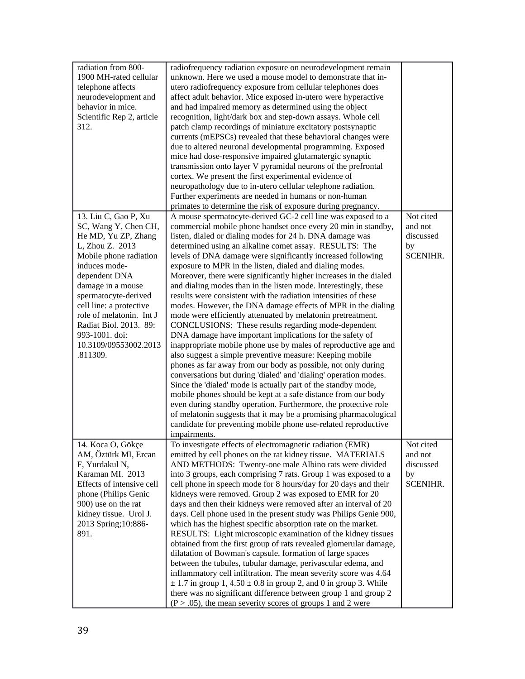| radiation from 800-<br>1900 MH-rated cellular<br>telephone affects<br>neurodevelopment and<br>behavior in mice.<br>Scientific Rep 2, article<br>312.                                                                                                                                                                                    | radiofrequency radiation exposure on neurodevelopment remain<br>unknown. Here we used a mouse model to demonstrate that in-<br>utero radiofrequency exposure from cellular telephones does<br>affect adult behavior. Mice exposed in-utero were hyperactive<br>and had impaired memory as determined using the object<br>recognition, light/dark box and step-down assays. Whole cell<br>patch clamp recordings of miniature excitatory postsynaptic<br>currents (mEPSCs) revealed that these behavioral changes were<br>due to altered neuronal developmental programming. Exposed<br>mice had dose-responsive impaired glutamatergic synaptic<br>transmission onto layer V pyramidal neurons of the prefrontal<br>cortex. We present the first experimental evidence of<br>neuropathology due to in-utero cellular telephone radiation.<br>Further experiments are needed in humans or non-human<br>primates to determine the risk of exposure during pregnancy.                                                                                                                                                                                                                                                                                                                                                                                                                                                                                                         |                                                            |
|-----------------------------------------------------------------------------------------------------------------------------------------------------------------------------------------------------------------------------------------------------------------------------------------------------------------------------------------|----------------------------------------------------------------------------------------------------------------------------------------------------------------------------------------------------------------------------------------------------------------------------------------------------------------------------------------------------------------------------------------------------------------------------------------------------------------------------------------------------------------------------------------------------------------------------------------------------------------------------------------------------------------------------------------------------------------------------------------------------------------------------------------------------------------------------------------------------------------------------------------------------------------------------------------------------------------------------------------------------------------------------------------------------------------------------------------------------------------------------------------------------------------------------------------------------------------------------------------------------------------------------------------------------------------------------------------------------------------------------------------------------------------------------------------------------------------------------|------------------------------------------------------------|
| 13. Liu C, Gao P, Xu<br>SC, Wang Y, Chen CH,<br>He MD, Yu ZP, Zhang<br>L, Zhou Z. 2013<br>Mobile phone radiation<br>induces mode-<br>dependent DNA<br>damage in a mouse<br>spermatocyte-derived<br>cell line: a protective<br>role of melatonin. Int J<br>Radiat Biol. 2013. 89:<br>993-1001. doi:<br>10.3109/09553002.2013<br>.811309. | A mouse spermatocyte-derived GC-2 cell line was exposed to a<br>commercial mobile phone handset once every 20 min in standby,<br>listen, dialed or dialing modes for 24 h. DNA damage was<br>determined using an alkaline comet assay. RESULTS: The<br>levels of DNA damage were significantly increased following<br>exposure to MPR in the listen, dialed and dialing modes.<br>Moreover, there were significantly higher increases in the dialed<br>and dialing modes than in the listen mode. Interestingly, these<br>results were consistent with the radiation intensities of these<br>modes. However, the DNA damage effects of MPR in the dialing<br>mode were efficiently attenuated by melatonin pretreatment.<br>CONCLUSIONS: These results regarding mode-dependent<br>DNA damage have important implications for the safety of<br>inappropriate mobile phone use by males of reproductive age and<br>also suggest a simple preventive measure: Keeping mobile<br>phones as far away from our body as possible, not only during<br>conversations but during 'dialed' and 'dialing' operation modes.<br>Since the 'dialed' mode is actually part of the standby mode,<br>mobile phones should be kept at a safe distance from our body<br>even during standby operation. Furthermore, the protective role<br>of melatonin suggests that it may be a promising pharmacological<br>candidate for preventing mobile phone use-related reproductive<br>impairments. | Not cited<br>and not<br>discussed<br>by<br><b>SCENIHR.</b> |
| 14. Koca O, Gökçe<br>AM, Öztürk MI, Ercan<br>F, Yurdakul N,<br>Karaman MI. 2013<br>Effects of intensive cell<br>phone (Philips Genic<br>900) use on the rat<br>kidney tissue. Urol J.<br>2013 Spring; 10:886-<br>891.                                                                                                                   | To investigate effects of electromagnetic radiation (EMR)<br>emitted by cell phones on the rat kidney tissue. MATERIALS<br>AND METHODS: Twenty-one male Albino rats were divided<br>into 3 groups, each comprising 7 rats. Group 1 was exposed to a<br>cell phone in speech mode for 8 hours/day for 20 days and their<br>kidneys were removed. Group 2 was exposed to EMR for 20<br>days and then their kidneys were removed after an interval of 20<br>days. Cell phone used in the present study was Philips Genie 900,<br>which has the highest specific absorption rate on the market.<br>RESULTS: Light microscopic examination of the kidney tissues<br>obtained from the first group of rats revealed glomerular damage,<br>dilatation of Bowman's capsule, formation of large spaces<br>between the tubules, tubular damage, perivascular edema, and<br>inflammatory cell infiltration. The mean severity score was 4.64<br>$\pm$ 1.7 in group 1, 4.50 $\pm$ 0.8 in group 2, and 0 in group 3. While<br>there was no significant difference between group 1 and group 2<br>$(P > .05)$ , the mean severity scores of groups 1 and 2 were                                                                                                                                                                                                                                                                                                                          | Not cited<br>and not<br>discussed<br>by<br><b>SCENIHR.</b> |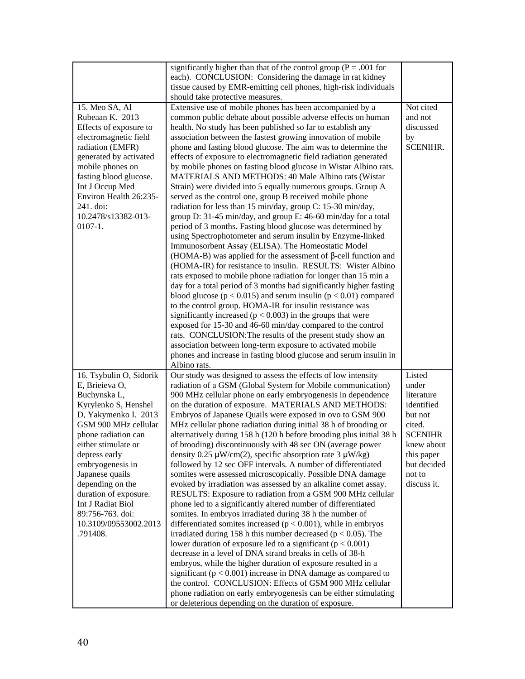|                         | significantly higher than that of the control group ( $P = .001$ for                                                      |                 |
|-------------------------|---------------------------------------------------------------------------------------------------------------------------|-----------------|
|                         | each). CONCLUSION: Considering the damage in rat kidney                                                                   |                 |
|                         | tissue caused by EMR-emitting cell phones, high-risk individuals                                                          |                 |
|                         | should take protective measures.                                                                                          |                 |
| 15. Meo SA, Al          | Extensive use of mobile phones has been accompanied by a                                                                  | Not cited       |
| Rubeaan K. 2013         | common public debate about possible adverse effects on human                                                              | and not         |
| Effects of exposure to  | health. No study has been published so far to establish any                                                               | discussed       |
| electromagnetic field   | association between the fastest growing innovation of mobile                                                              | by              |
| radiation (EMFR)        | phone and fasting blood glucose. The aim was to determine the                                                             | <b>SCENIHR.</b> |
| generated by activated  | effects of exposure to electromagnetic field radiation generated                                                          |                 |
| mobile phones on        | by mobile phones on fasting blood glucose in Wistar Albino rats.                                                          |                 |
| fasting blood glucose.  | MATERIALS AND METHODS: 40 Male Albino rats (Wistar                                                                        |                 |
| Int J Occup Med         | Strain) were divided into 5 equally numerous groups. Group A                                                              |                 |
| Environ Health 26:235-  | served as the control one, group B received mobile phone                                                                  |                 |
| 241. doi:               | radiation for less than 15 min/day, group C: 15-30 min/day,                                                               |                 |
| 10.2478/s13382-013-     | group D: 31-45 min/day, and group E: 46-60 min/day for a total                                                            |                 |
| $0107 - 1.$             | period of 3 months. Fasting blood glucose was determined by                                                               |                 |
|                         | using Spectrophotometer and serum insulin by Enzyme-linked                                                                |                 |
|                         | Immunosorbent Assay (ELISA). The Homeostatic Model                                                                        |                 |
|                         | (HOMA-B) was applied for the assessment of $\beta$ -cell function and                                                     |                 |
|                         | (HOMA-IR) for resistance to insulin. RESULTS: Wister Albino                                                               |                 |
|                         | rats exposed to mobile phone radiation for longer than 15 min a                                                           |                 |
|                         | day for a total period of 3 months had significantly higher fasting                                                       |                 |
|                         | blood glucose ( $p < 0.015$ ) and serum insulin ( $p < 0.01$ ) compared                                                   |                 |
|                         | to the control group. HOMA-IR for insulin resistance was                                                                  |                 |
|                         | significantly increased ( $p < 0.003$ ) in the groups that were                                                           |                 |
|                         | exposed for 15-30 and 46-60 min/day compared to the control<br>rats. CONCLUSION: The results of the present study show an |                 |
|                         | association between long-term exposure to activated mobile                                                                |                 |
|                         | phones and increase in fasting blood glucose and serum insulin in                                                         |                 |
|                         | Albino rats.                                                                                                              |                 |
| 16. Tsybulin O, Sidorik | Our study was designed to assess the effects of low intensity                                                             | Listed          |
| E, Brieieva O,          | radiation of a GSM (Global System for Mobile communication)                                                               | under           |
| Buchynska L,            | 900 MHz cellular phone on early embryogenesis in dependence                                                               | literature      |
| Kyrylenko S, Henshel    | on the duration of exposure. MATERIALS AND METHODS:                                                                       | identified      |
| D, Yakymenko I. 2013    | Embryos of Japanese Quails were exposed in ovo to GSM 900                                                                 | but not         |
| GSM 900 MHz cellular    | MHz cellular phone radiation during initial 38 h of brooding or                                                           | cited.          |
| phone radiation can     | alternatively during 158 h (120 h before brooding plus initial 38 h                                                       | <b>SCENIHR</b>  |
| either stimulate or     | of brooding) discontinuously with 48 sec ON (average power                                                                | knew about      |
| depress early           | density 0.25 $\mu$ W/cm(2), specific absorption rate 3 $\mu$ W/kg)                                                        | this paper      |
| embryogenesis in        | followed by 12 sec OFF intervals. A number of differentiated                                                              | but decided     |
| Japanese quails         | somites were assessed microscopically. Possible DNA damage                                                                | not to          |
| depending on the        | evoked by irradiation was assessed by an alkaline comet assay.                                                            | discuss it.     |
| duration of exposure.   | RESULTS: Exposure to radiation from a GSM 900 MHz cellular                                                                |                 |
| Int J Radiat Biol       | phone led to a significantly altered number of differentiated                                                             |                 |
| 89:756-763. doi:        | somites. In embryos irradiated during 38 h the number of                                                                  |                 |
| 10.3109/09553002.2013   | differentiated somites increased ( $p < 0.001$ ), while in embryos                                                        |                 |
| .791408.                | irradiated during 158 h this number decreased ( $p < 0.05$ ). The                                                         |                 |
|                         | lower duration of exposure led to a significant ( $p < 0.001$ )                                                           |                 |
|                         | decrease in a level of DNA strand breaks in cells of 38-h                                                                 |                 |
|                         | embryos, while the higher duration of exposure resulted in a                                                              |                 |
|                         | significant ( $p < 0.001$ ) increase in DNA damage as compared to                                                         |                 |
|                         | the control. CONCLUSION: Effects of GSM 900 MHz cellular                                                                  |                 |
|                         | phone radiation on early embryogenesis can be either stimulating                                                          |                 |
|                         | or deleterious depending on the duration of exposure.                                                                     |                 |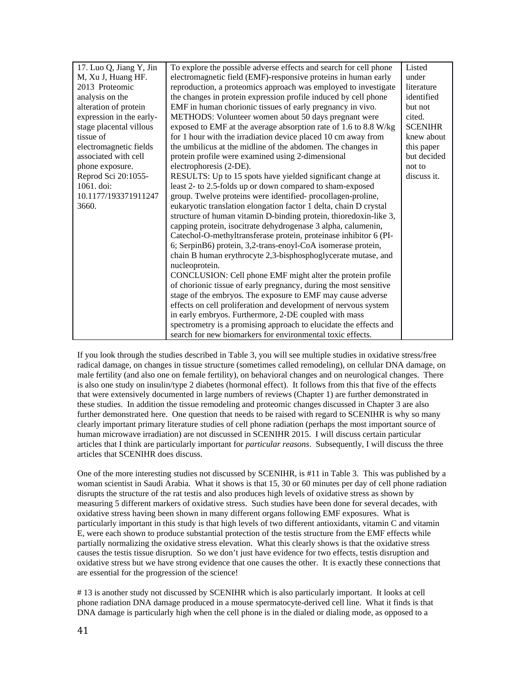| 17. Luo Q, Jiang Y, Jin  | To explore the possible adverse effects and search for cell phone | Listed         |
|--------------------------|-------------------------------------------------------------------|----------------|
| M, Xu J, Huang HF.       | electromagnetic field (EMF)-responsive proteins in human early    | under          |
| 2013 Proteomic           | reproduction, a proteomics approach was employed to investigate   | literature     |
| analysis on the          | the changes in protein expression profile induced by cell phone   | identified     |
| alteration of protein    | EMF in human chorionic tissues of early pregnancy in vivo.        | but not        |
| expression in the early- | METHODS: Volunteer women about 50 days pregnant were              | cited.         |
| stage placental villous  | exposed to EMF at the average absorption rate of 1.6 to 8.8 W/kg  | <b>SCENIHR</b> |
| tissue of                | for 1 hour with the irradiation device placed 10 cm away from     | knew about     |
| electromagnetic fields   | the umbilicus at the midline of the abdomen. The changes in       | this paper     |
| associated with cell     | protein profile were examined using 2-dimensional                 | but decided    |
| phone exposure.          | electrophoresis (2-DE).                                           | not to         |
| Reprod Sci 20:1055-      | RESULTS: Up to 15 spots have yielded significant change at        | discuss it.    |
| 1061. doi:               | least 2- to 2.5-folds up or down compared to sham-exposed         |                |
| 10.1177/193371911247     | group. Twelve proteins were identified-procollagen-proline,       |                |
| 3660.                    | eukaryotic translation elongation factor 1 delta, chain D crystal |                |
|                          | structure of human vitamin D-binding protein, thioredoxin-like 3, |                |
|                          | capping protein, isocitrate dehydrogenase 3 alpha, calumenin,     |                |
|                          | Catechol-O-methyltransferase protein, proteinase inhibitor 6 (PI- |                |
|                          | 6; SerpinB6) protein, 3,2-trans-enoyl-CoA isomerase protein,      |                |
|                          | chain B human erythrocyte 2,3-bisphosphoglycerate mutase, and     |                |
|                          | nucleoprotein.                                                    |                |
|                          | CONCLUSION: Cell phone EMF might alter the protein profile        |                |
|                          | of chorionic tissue of early pregnancy, during the most sensitive |                |
|                          | stage of the embryos. The exposure to EMF may cause adverse       |                |
|                          | effects on cell proliferation and development of nervous system   |                |
|                          | in early embryos. Furthermore, 2-DE coupled with mass             |                |
|                          | spectrometry is a promising approach to elucidate the effects and |                |
|                          | search for new biomarkers for environmental toxic effects.        |                |

If you look through the studies described in Table 3, you will see multiple studies in oxidative stress/free radical damage, on changes in tissue structure (sometimes called remodeling), on cellular DNA damage, on male fertility (and also one on female fertility), on behavioral changes and on neurological changes. There is also one study on insulin/type 2 diabetes (hormonal effect). It follows from this that five of the effects that were extensively documented in large numbers of reviews (Chapter 1) are further demonstrated in these studies. In addition the tissue remodeling and proteomic changes discussed in Chapter 3 are also further demonstrated here. One question that needs to be raised with regard to SCENIHR is why so many clearly important primary literature studies of cell phone radiation (perhaps the most important source of human microwave irradiation) are not discussed in SCENIHR 2015. I will discuss certain particular articles that I think are particularly important for *particular reasons*. Subsequently, I will discuss the three articles that SCENIHR does discuss.

One of the more interesting studies not discussed by SCENIHR, is #11 in Table 3. This was published by a woman scientist in Saudi Arabia. What it shows is that 15, 30 or 60 minutes per day of cell phone radiation disrupts the structure of the rat testis and also produces high levels of oxidative stress as shown by measuring 5 different markers of oxidative stress. Such studies have been done for several decades, with oxidative stress having been shown in many different organs following EMF exposures. What is particularly important in this study is that high levels of two different antioxidants, vitamin C and vitamin E, were each shown to produce substantial protection of the testis structure from the EMF effects while partially normalizing the oxidative stress elevation. What this clearly shows is that the oxidative stress causes the testis tissue disruption. So we don't just have evidence for two effects, testis disruption and oxidative stress but we have strong evidence that one causes the other. It is exactly these connections that are essential for the progression of the science!

# 13 is another study not discussed by SCENIHR which is also particularly important. It looks at cell phone radiation DNA damage produced in a mouse spermatocyte-derived cell line. What it finds is that DNA damage is particularly high when the cell phone is in the dialed or dialing mode, as opposed to a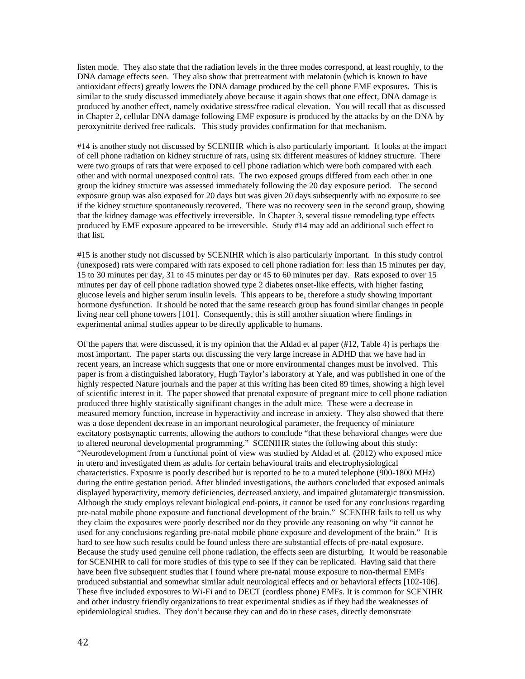listen mode. They also state that the radiation levels in the three modes correspond, at least roughly, to the DNA damage effects seen. They also show that pretreatment with melatonin (which is known to have antioxidant effects) greatly lowers the DNA damage produced by the cell phone EMF exposures. This is similar to the study discussed immediately above because it again shows that one effect, DNA damage is produced by another effect, namely oxidative stress/free radical elevation. You will recall that as discussed in Chapter 2, cellular DNA damage following EMF exposure is produced by the attacks by on the DNA by peroxynitrite derived free radicals. This study provides confirmation for that mechanism.

#14 is another study not discussed by SCENIHR which is also particularly important. It looks at the impact of cell phone radiation on kidney structure of rats, using six different measures of kidney structure. There were two groups of rats that were exposed to cell phone radiation which were both compared with each other and with normal unexposed control rats. The two exposed groups differed from each other in one group the kidney structure was assessed immediately following the 20 day exposure period. The second exposure group was also exposed for 20 days but was given 20 days subsequently with no exposure to see if the kidney structure spontaneously recovered. There was no recovery seen in the second group, showing that the kidney damage was effectively irreversible. In Chapter 3, several tissue remodeling type effects produced by EMF exposure appeared to be irreversible. Study #14 may add an additional such effect to that list.

#15 is another study not discussed by SCENIHR which is also particularly important. In this study control (unexposed) rats were compared with rats exposed to cell phone radiation for: less than 15 minutes per day, 15 to 30 minutes per day, 31 to 45 minutes per day or 45 to 60 minutes per day. Rats exposed to over 15 minutes per day of cell phone radiation showed type 2 diabetes onset-like effects, with higher fasting glucose levels and higher serum insulin levels. This appears to be, therefore a study showing important hormone dysfunction. It should be noted that the same research group has found similar changes in people living near cell phone towers [101]. Consequently, this is still another situation where findings in experimental animal studies appear to be directly applicable to humans.

Of the papers that were discussed, it is my opinion that the Aldad et al paper (#12, Table 4) is perhaps the most important. The paper starts out discussing the very large increase in ADHD that we have had in recent years, an increase which suggests that one or more environmental changes must be involved. This paper is from a distinguished laboratory, Hugh Taylor's laboratory at Yale, and was published in one of the highly respected Nature journals and the paper at this writing has been cited 89 times, showing a high level of scientific interest in it. The paper showed that prenatal exposure of pregnant mice to cell phone radiation produced three highly statistically significant changes in the adult mice. These were a decrease in measured memory function, increase in hyperactivity and increase in anxiety. They also showed that there was a dose dependent decrease in an important neurological parameter, the frequency of miniature excitatory postsynaptic currents, allowing the authors to conclude "that these behavioral changes were due to altered neuronal developmental programming." SCENIHR states the following about this study: "Neurodevelopment from a functional point of view was studied by Aldad et al. (2012) who exposed mice in utero and investigated them as adults for certain behavioural traits and electrophysiological characteristics. Exposure is poorly described but is reported to be to a muted telephone (900-1800 MHz) during the entire gestation period. After blinded investigations, the authors concluded that exposed animals displayed hyperactivity, memory deficiencies, decreased anxiety, and impaired glutamatergic transmission. Although the study employs relevant biological end-points, it cannot be used for any conclusions regarding pre-natal mobile phone exposure and functional development of the brain." SCENIHR fails to tell us why they claim the exposures were poorly described nor do they provide any reasoning on why "it cannot be used for any conclusions regarding pre-natal mobile phone exposure and development of the brain." It is hard to see how such results could be found unless there are substantial effects of pre-natal exposure. Because the study used genuine cell phone radiation, the effects seen are disturbing. It would be reasonable for SCENIHR to call for more studies of this type to see if they can be replicated. Having said that there have been five subsequent studies that I found where pre-natal mouse exposure to non-thermal EMFs produced substantial and somewhat similar adult neurological effects and or behavioral effects [102-106]. These five included exposures to Wi-Fi and to DECT (cordless phone) EMFs. It is common for SCENIHR and other industry friendly organizations to treat experimental studies as if they had the weaknesses of epidemiological studies. They don't because they can and do in these cases, directly demonstrate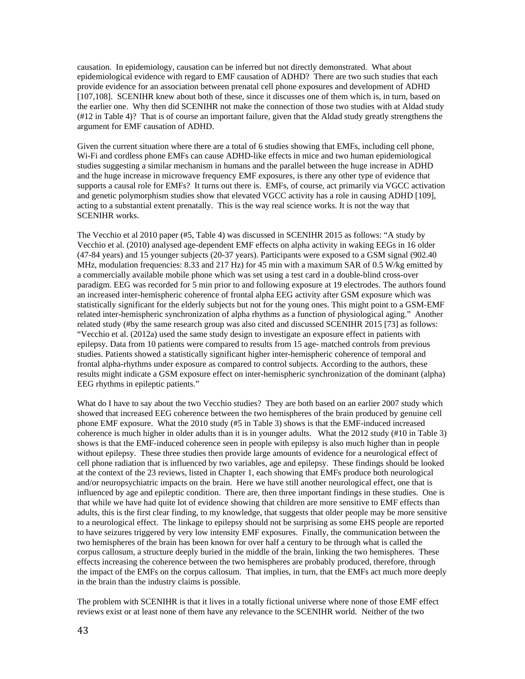causation. In epidemiology, causation can be inferred but not directly demonstrated. What about epidemiological evidence with regard to EMF causation of ADHD? There are two such studies that each provide evidence for an association between prenatal cell phone exposures and development of ADHD [107,108]. SCENIHR knew about both of these, since it discusses one of them which is, in turn, based on the earlier one. Why then did SCENIHR not make the connection of those two studies with at Aldad study (#12 in Table 4)? That is of course an important failure, given that the Aldad study greatly strengthens the argument for EMF causation of ADHD.

Given the current situation where there are a total of 6 studies showing that EMFs, including cell phone, Wi-Fi and cordless phone EMFs can cause ADHD-like effects in mice and two human epidemiological studies suggesting a similar mechanism in humans and the parallel between the huge increase in ADHD and the huge increase in microwave frequency EMF exposures, is there any other type of evidence that supports a causal role for EMFs? It turns out there is. EMFs, of course, act primarily via VGCC activation and genetic polymorphism studies show that elevated VGCC activity has a role in causing ADHD [109], acting to a substantial extent prenatally. This is the way real science works. It is not the way that SCENIHR works.

The Vecchio et al 2010 paper (#5, Table 4) was discussed in SCENIHR 2015 as follows: "A study by Vecchio et al. (2010) analysed age-dependent EMF effects on alpha activity in waking EEGs in 16 older (47-84 years) and 15 younger subjects (20-37 years). Participants were exposed to a GSM signal (902.40 MHz, modulation frequencies: 8.33 and 217 Hz) for 45 min with a maximum SAR of 0.5 W/kg emitted by a commercially available mobile phone which was set using a test card in a double-blind cross-over paradigm. EEG was recorded for 5 min prior to and following exposure at 19 electrodes. The authors found an increased inter-hemispheric coherence of frontal alpha EEG activity after GSM exposure which was statistically significant for the elderly subjects but not for the young ones. This might point to a GSM-EMF related inter-hemispheric synchronization of alpha rhythms as a function of physiological aging." Another related study (#by the same research group was also cited and discussed SCENIHR 2015 [73] as follows: "Vecchio et al. (2012a) used the same study design to investigate an exposure effect in patients with epilepsy. Data from 10 patients were compared to results from 15 age- matched controls from previous studies. Patients showed a statistically significant higher inter-hemispheric coherence of temporal and frontal alpha-rhythms under exposure as compared to control subjects. According to the authors, these results might indicate a GSM exposure effect on inter-hemispheric synchronization of the dominant (alpha) EEG rhythms in epileptic patients."

What do I have to say about the two Vecchio studies? They are both based on an earlier 2007 study which showed that increased EEG coherence between the two hemispheres of the brain produced by genuine cell phone EMF exposure. What the 2010 study (#5 in Table 3) shows is that the EMF-induced increased coherence is much higher in older adults than it is in younger adults. What the 2012 study (#10 in Table 3) shows is that the EMF-induced coherence seen in people with epilepsy is also much higher than in people without epilepsy. These three studies then provide large amounts of evidence for a neurological effect of cell phone radiation that is influenced by two variables, age and epilepsy. These findings should be looked at the context of the 23 reviews, listed in Chapter 1, each showing that EMFs produce both neurological and/or neuropsychiatric impacts on the brain. Here we have still another neurological effect, one that is influenced by age and epileptic condition. There are, then three important findings in these studies. One is that while we have had quite lot of evidence showing that children are more sensitive to EMF effects than adults, this is the first clear finding, to my knowledge, that suggests that older people may be more sensitive to a neurological effect. The linkage to epilepsy should not be surprising as some EHS people are reported to have seizures triggered by very low intensity EMF exposures. Finally, the communication between the two hemispheres of the brain has been known for over half a century to be through what is called the corpus callosum, a structure deeply buried in the middle of the brain, linking the two hemispheres. These effects increasing the coherence between the two hemispheres are probably produced, therefore, through the impact of the EMFs on the corpus callosum. That implies, in turn, that the EMFs act much more deeply in the brain than the industry claims is possible.

The problem with SCENIHR is that it lives in a totally fictional universe where none of those EMF effect reviews exist or at least none of them have any relevance to the SCENIHR world. Neither of the two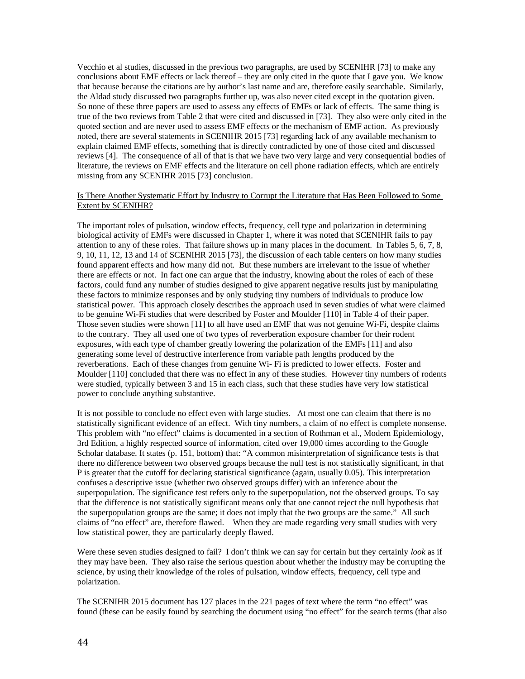Vecchio et al studies, discussed in the previous two paragraphs, are used by SCENIHR [73] to make any conclusions about EMF effects or lack thereof – they are only cited in the quote that I gave you. We know that because because the citations are by author's last name and are, therefore easily searchable. Similarly, the Aldad study discussed two paragraphs further up, was also never cited except in the quotation given. So none of these three papers are used to assess any effects of EMFs or lack of effects. The same thing is true of the two reviews from Table 2 that were cited and discussed in [73]. They also were only cited in the quoted section and are never used to assess EMF effects or the mechanism of EMF action. As previously noted, there are several statements in SCENIHR 2015 [73] regarding lack of any available mechanism to explain claimed EMF effects, something that is directly contradicted by one of those cited and discussed reviews [4]. The consequence of all of that is that we have two very large and very consequential bodies of literature, the reviews on EMF effects and the literature on cell phone radiation effects, which are entirely missing from any SCENIHR 2015 [73] conclusion.

#### Is There Another Systematic Effort by Industry to Corrupt the Literature that Has Been Followed to Some Extent by SCENIHR?

The important roles of pulsation, window effects, frequency, cell type and polarization in determining biological activity of EMFs were discussed in Chapter 1, where it was noted that SCENIHR fails to pay attention to any of these roles. That failure shows up in many places in the document. In Tables 5, 6, 7, 8, 9, 10, 11, 12, 13 and 14 of SCENIHR 2015 [73], the discussion of each table centers on how many studies found apparent effects and how many did not. But these numbers are irrelevant to the issue of whether there are effects or not. In fact one can argue that the industry, knowing about the roles of each of these factors, could fund any number of studies designed to give apparent negative results just by manipulating these factors to minimize responses and by only studying tiny numbers of individuals to produce low statistical power. This approach closely describes the approach used in seven studies of what were claimed to be genuine Wi-Fi studies that were described by Foster and Moulder [110] in Table 4 of their paper. Those seven studies were shown [11] to all have used an EMF that was not genuine Wi-Fi, despite claims to the contrary. They all used one of two types of reverberation exposure chamber for their rodent exposures, with each type of chamber greatly lowering the polarization of the EMFs [11] and also generating some level of destructive interference from variable path lengths produced by the reverberations. Each of these changes from genuine Wi- Fi is predicted to lower effects. Foster and Moulder [110] concluded that there was no effect in any of these studies. However tiny numbers of rodents were studied, typically between 3 and 15 in each class, such that these studies have very low statistical power to conclude anything substantive.

It is not possible to conclude no effect even with large studies. At most one can cleaim that there is no statistically significant evidence of an effect. With tiny numbers, a claim of no effect is complete nonsense. This problem with "no effect" claims is documented in a section of Rothman et al., Modern Epidemiology, 3rd Edition, a highly respected source of information, cited over 19,000 times according to the Google Scholar database. It states (p. 151, bottom) that: "A common misinterpretation of significance tests is that there no difference between two observed groups because the null test is not statistically significant, in that P is greater that the cutoff for declaring statistical significance (again, usually 0.05). This interpretation confuses a descriptive issue (whether two observed groups differ) with an inference about the superpopulation. The significance test refers only to the superpopulation, not the observed groups. To say that the difference is not statistically significant means only that one cannot reject the null hypothesis that the superpopulation groups are the same; it does not imply that the two groups are the same." All such claims of "no effect" are, therefore flawed. When they are made regarding very small studies with very low statistical power, they are particularly deeply flawed.

Were these seven studies designed to fail? I don't think we can say for certain but they certainly *look* as if they may have been. They also raise the serious question about whether the industry may be corrupting the science, by using their knowledge of the roles of pulsation, window effects, frequency, cell type and polarization.

The SCENIHR 2015 document has 127 places in the 221 pages of text where the term "no effect" was found (these can be easily found by searching the document using "no effect" for the search terms (that also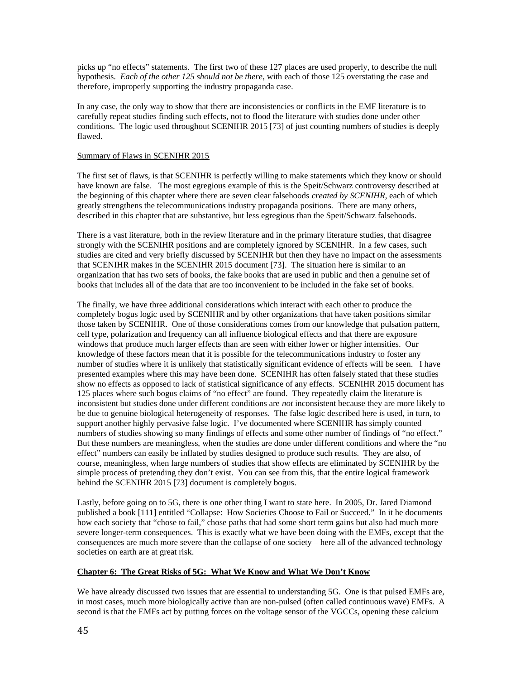picks up "no effects" statements. The first two of these 127 places are used properly, to describe the null hypothesis. *Each of the other 125 should not be there*, with each of those 125 overstating the case and therefore, improperly supporting the industry propaganda case.

In any case, the only way to show that there are inconsistencies or conflicts in the EMF literature is to carefully repeat studies finding such effects, not to flood the literature with studies done under other conditions. The logic used throughout SCENIHR 2015 [73] of just counting numbers of studies is deeply flawed.

#### Summary of Flaws in SCENIHR 2015

The first set of flaws, is that SCENIHR is perfectly willing to make statements which they know or should have known are false. The most egregious example of this is the Speit/Schwarz controversy described at the beginning of this chapter where there are seven clear falsehoods *created by SCENIHR*, each of which greatly strengthens the telecommunications industry propaganda positions. There are many others, described in this chapter that are substantive, but less egregious than the Speit/Schwarz falsehoods.

There is a vast literature, both in the review literature and in the primary literature studies, that disagree strongly with the SCENIHR positions and are completely ignored by SCENIHR. In a few cases, such studies are cited and very briefly discussed by SCENIHR but then they have no impact on the assessments that SCENIHR makes in the SCENIHR 2015 document [73]. The situation here is similar to an organization that has two sets of books, the fake books that are used in public and then a genuine set of books that includes all of the data that are too inconvenient to be included in the fake set of books.

The finally, we have three additional considerations which interact with each other to produce the completely bogus logic used by SCENIHR and by other organizations that have taken positions similar those taken by SCENIHR. One of those considerations comes from our knowledge that pulsation pattern, cell type, polarization and frequency can all influence biological effects and that there are exposure windows that produce much larger effects than are seen with either lower or higher intensities. Our knowledge of these factors mean that it is possible for the telecommunications industry to foster any number of studies where it is unlikely that statistically significant evidence of effects will be seen. I have presented examples where this may have been done. SCENIHR has often falsely stated that these studies show no effects as opposed to lack of statistical significance of any effects. SCENIHR 2015 document has 125 places where such bogus claims of "no effect" are found. They repeatedly claim the literature is inconsistent but studies done under different conditions are *not* inconsistent because they are more likely to be due to genuine biological heterogeneity of responses. The false logic described here is used, in turn, to support another highly pervasive false logic. I've documented where SCENIHR has simply counted numbers of studies showing so many findings of effects and some other number of findings of "no effect." But these numbers are meaningless, when the studies are done under different conditions and where the "no effect" numbers can easily be inflated by studies designed to produce such results. They are also, of course, meaningless, when large numbers of studies that show effects are eliminated by SCENIHR by the simple process of pretending they don't exist. You can see from this, that the entire logical framework behind the SCENIHR 2015 [73] document is completely bogus.

Lastly, before going on to 5G, there is one other thing I want to state here. In 2005, Dr. Jared Diamond published a book [111] entitled "Collapse: How Societies Choose to Fail or Succeed." In it he documents how each society that "chose to fail," chose paths that had some short term gains but also had much more severe longer-term consequences. This is exactly what we have been doing with the EMFs, except that the consequences are much more severe than the collapse of one society – here all of the advanced technology societies on earth are at great risk.

## **Chapter 6: The Great Risks of 5G: What We Know and What We Don't Know**

We have already discussed two issues that are essential to understanding 5G. One is that pulsed EMFs are, in most cases, much more biologically active than are non-pulsed (often called continuous wave) EMFs. A second is that the EMFs act by putting forces on the voltage sensor of the VGCCs, opening these calcium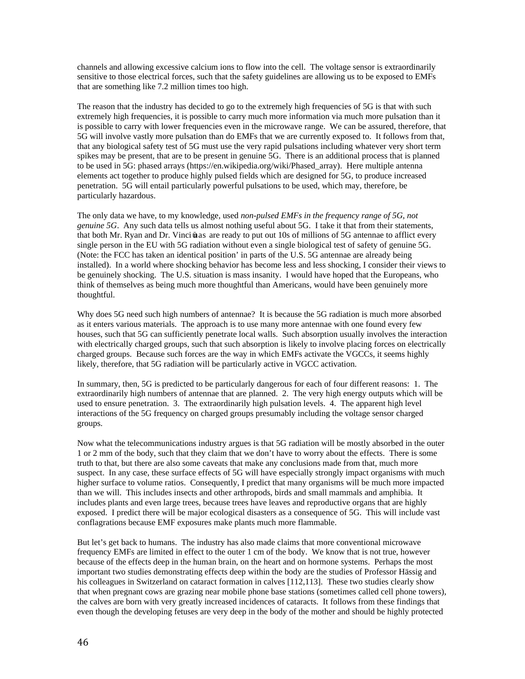channels and allowing excessive calcium ions to flow into the cell. The voltage sensor is extraordinarily sensitive to those electrical forces, such that the safety guidelines are allowing us to be exposed to EMFs that are something like 7.2 million times too high.

The reason that the industry has decided to go to the extremely high frequencies of 5G is that with such extremely high frequencies, it is possible to carry much more information via much more pulsation than it is possible to carry with lower frequencies even in the microwave range. We can be assured, therefore, that 5G will involve vastly more pulsation than do EMFs that we are currently exposed to. It follows from that, that any biological safety test of 5G must use the very rapid pulsations including whatever very short term spikes may be present, that are to be present in genuine 5G. There is an additional process that is planned to be used in 5G: phased arrays (https://en.wikipedia.org/wiki/Phased\_array). Here multiple antenna elements act together to produce highly pulsed fields which are designed for 5G, to produce increased penetration. 5G will entail particularly powerful pulsations to be used, which may, therefore, be particularly hazardous.

The only data we have, to my knowledge, used *non-pulsed EMFs in the frequency range of 5G, not genuine 5G*. Any such data tells us almost nothing useful about 5G. I take it that from their statements, that both Mr. Ryan and Dr. Vinci nas are ready to put out 10s of millions of 5G antennae to afflict every single person in the EU with 5G radiation without even a single biological test of safety of genuine 5G. (Note: the FCC has taken an identical position' in parts of the U.S. 5G antennae are already being installed). In a world where shocking behavior has become less and less shocking, I consider their views to be genuinely shocking. The U.S. situation is mass insanity. I would have hoped that the Europeans, who think of themselves as being much more thoughtful than Americans, would have been genuinely more thoughtful.

Why does 5G need such high numbers of antennae? It is because the 5G radiation is much more absorbed as it enters various materials. The approach is to use many more antennae with one found every few houses, such that 5G can sufficiently penetrate local walls. Such absorption usually involves the interaction with electrically charged groups, such that such absorption is likely to involve placing forces on electrically charged groups. Because such forces are the way in which EMFs activate the VGCCs, it seems highly likely, therefore, that 5G radiation will be particularly active in VGCC activation.

In summary, then, 5G is predicted to be particularly dangerous for each of four different reasons: 1. The extraordinarily high numbers of antennae that are planned. 2. The very high energy outputs which will be used to ensure penetration. 3. The extraordinarily high pulsation levels. 4. The apparent high level interactions of the 5G frequency on charged groups presumably including the voltage sensor charged groups.

Now what the telecommunications industry argues is that 5G radiation will be mostly absorbed in the outer 1 or 2 mm of the body, such that they claim that we don't have to worry about the effects. There is some truth to that, but there are also some caveats that make any conclusions made from that, much more suspect. In any case, these surface effects of 5G will have especially strongly impact organisms with much higher surface to volume ratios. Consequently, I predict that many organisms will be much more impacted than we will. This includes insects and other arthropods, birds and small mammals and amphibia. It includes plants and even large trees, because trees have leaves and reproductive organs that are highly exposed. I predict there will be major ecological disasters as a consequence of 5G. This will include vast conflagrations because EMF exposures make plants much more flammable.

But let's get back to humans. The industry has also made claims that more conventional microwave frequency EMFs are limited in effect to the outer 1 cm of the body. We know that is not true, however because of the effects deep in the human brain, on the heart and on hormone systems. Perhaps the most important two studies demonstrating effects deep within the body are the studies of Professor Hässig and his colleagues in Switzerland on cataract formation in calves [112,113]. These two studies clearly show that when pregnant cows are grazing near mobile phone base stations (sometimes called cell phone towers), the calves are born with very greatly increased incidences of cataracts. It follows from these findings that even though the developing fetuses are very deep in the body of the mother and should be highly protected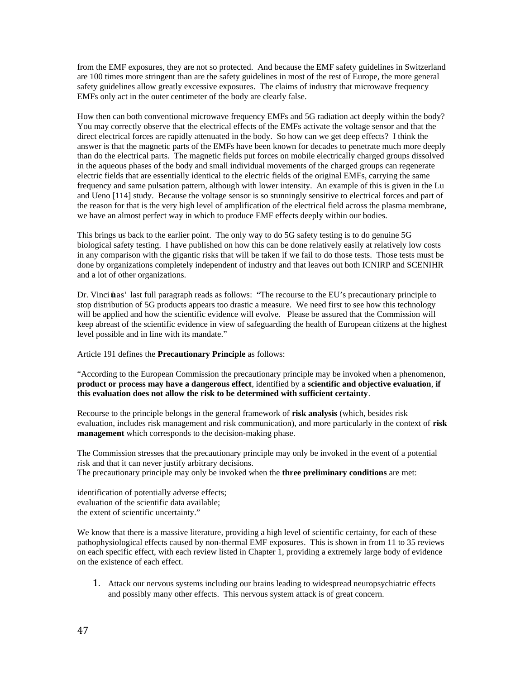from the EMF exposures, they are not so protected. And because the EMF safety guidelines in Switzerland are 100 times more stringent than are the safety guidelines in most of the rest of Europe, the more general safety guidelines allow greatly excessive exposures. The claims of industry that microwave frequency EMFs only act in the outer centimeter of the body are clearly false.

How then can both conventional microwave frequency EMFs and 5G radiation act deeply within the body? You may correctly observe that the electrical effects of the EMFs activate the voltage sensor and that the direct electrical forces are rapidly attenuated in the body. So how can we get deep effects? I think the answer is that the magnetic parts of the EMFs have been known for decades to penetrate much more deeply than do the electrical parts. The magnetic fields put forces on mobile electrically charged groups dissolved in the aqueous phases of the body and small individual movements of the charged groups can regenerate electric fields that are essentially identical to the electric fields of the original EMFs, carrying the same frequency and same pulsation pattern, although with lower intensity. An example of this is given in the Lu and Ueno [114] study. Because the voltage sensor is so stunningly sensitive to electrical forces and part of the reason for that is the very high level of amplification of the electrical field across the plasma membrane, we have an almost perfect way in which to produce EMF effects deeply within our bodies.

This brings us back to the earlier point. The only way to do 5G safety testing is to do genuine 5G biological safety testing. I have published on how this can be done relatively easily at relatively low costs in any comparison with the gigantic risks that will be taken if we fail to do those tests. Those tests must be done by organizations completely independent of industry and that leaves out both ICNIRP and SCENIHR and a lot of other organizations.

Dr. Vinci uas' last full paragraph reads as follows: "The recourse to the EU's precautionary principle to stop distribution of 5G products appears too drastic a measure. We need first to see how this technology will be applied and how the scientific evidence will evolve. Please be assured that the Commission will keep abreast of the scientific evidence in view of safeguarding the health of European citizens at the highest level possible and in line with its mandate."

Article 191 defines the **Precautionary Principle** as follows:

"According to the European Commission the precautionary principle may be invoked when a phenomenon, **product or process may have a dangerous effect**, identified by a **scientific and objective evaluation**, **if this evaluation does not allow the risk to be determined with sufficient certainty**.

Recourse to the principle belongs in the general framework of **risk analysis** (which, besides risk evaluation, includes risk management and risk communication), and more particularly in the context of **risk management** which corresponds to the decision-making phase.

The Commission stresses that the precautionary principle may only be invoked in the event of a potential risk and that it can never justify arbitrary decisions. The precautionary principle may only be invoked when the **three preliminary conditions** are met:

identification of potentially adverse effects; evaluation of the scientific data available; the extent of scientific uncertainty."

We know that there is a massive literature, providing a high level of scientific certainty, for each of these pathophysiological effects caused by non-thermal EMF exposures. This is shown in from 11 to 35 reviews on each specific effect, with each review listed in Chapter 1, providing a extremely large body of evidence on the existence of each effect.

1. Attack our nervous systems including our brains leading to widespread neuropsychiatric effects and possibly many other effects. This nervous system attack is of great concern.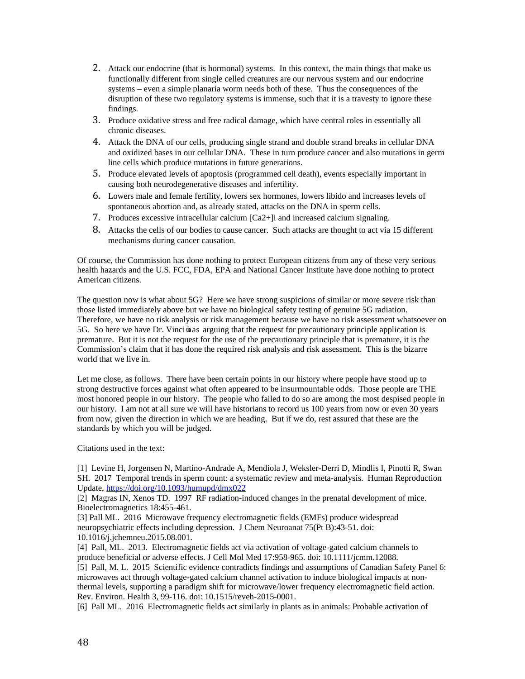- 2. Attack our endocrine (that is hormonal) systems. In this context, the main things that make us functionally different from single celled creatures are our nervous system and our endocrine systems – even a simple planaria worm needs both of these. Thus the consequences of the disruption of these two regulatory systems is immense, such that it is a travesty to ignore these findings.
- 3. Produce oxidative stress and free radical damage, which have central roles in essentially all chronic diseases.
- 4. Attack the DNA of our cells, producing single strand and double strand breaks in cellular DNA and oxidized bases in our cellular DNA. These in turn produce cancer and also mutations in germ line cells which produce mutations in future generations.
- 5. Produce elevated levels of apoptosis (programmed cell death), events especially important in causing both neurodegenerative diseases and infertility.
- 6. Lowers male and female fertility, lowers sex hormones, lowers libido and increases levels of spontaneous abortion and, as already stated, attacks on the DNA in sperm cells.
- 7. Produces excessive intracellular calcium [Ca2+]i and increased calcium signaling.
- 8. Attacks the cells of our bodies to cause cancer. Such attacks are thought to act via 15 different mechanisms during cancer causation.

Of course, the Commission has done nothing to protect European citizens from any of these very serious health hazards and the U.S. FCC, FDA, EPA and National Cancer Institute have done nothing to protect American citizens.

The question now is what about 5G? Here we have strong suspicions of similar or more severe risk than those listed immediately above but we have no biological safety testing of genuine 5G radiation. Therefore, we have no risk analysis or risk management because we have no risk assessment whatsoever on 5G. So here we have Dr. Vinci nas arguing that the request for precautionary principle application is premature. But it is not the request for the use of the precautionary principle that is premature, it is the Commission's claim that it has done the required risk analysis and risk assessment. This is the bizarre world that we live in.

Let me close, as follows. There have been certain points in our history where people have stood up to strong destructive forces against what often appeared to be insurmountable odds. Those people are THE most honored people in our history. The people who failed to do so are among the most despised people in our history. I am not at all sure we will have historians to record us 100 years from now or even 30 years from now, given the direction in which we are heading. But if we do, rest assured that these are the standards by which you will be judged.

Citations used in the text:

[1] Levine H, Jorgensen N, Martino-Andrade A, Mendiola J, Weksler-Derri D, Mindlis I, Pinotti R, Swan SH. 2017 Temporal trends in sperm count: a systematic review and meta-analysis. Human Reproduction Update,<https://doi.org/10.1093/humupd/dmx022>

[2] Magras IN, Xenos TD. 1997 RF radiation-induced changes in the prenatal development of mice. Bioelectromagnetics 18:455-461.

[3] Pall ML. 2016 Microwave frequency electromagnetic fields (EMFs) produce widespread neuropsychiatric effects including depression. J Chem Neuroanat 75(Pt B):43-51. doi: 10.1016/j.jchemneu.2015.08.001.

[4] Pall, ML. 2013. Electromagnetic fields act via activation of voltage-gated calcium channels to produce beneficial or adverse effects. J Cell Mol Med 17:958-965. doi: 10.1111/jcmm.12088.

[5] Pall, M. L. 2015 Scientific evidence contradicts findings and assumptions of Canadian Safety Panel 6: microwaves act through voltage-gated calcium channel activation to induce biological impacts at nonthermal levels, supporting a paradigm shift for microwave/lower frequency electromagnetic field action. Rev. Environ. Health 3, 99-116. doi: 10.1515/reveh-2015-0001.

[6] Pall ML. 2016 Electromagnetic fields act similarly in plants as in animals: Probable activation of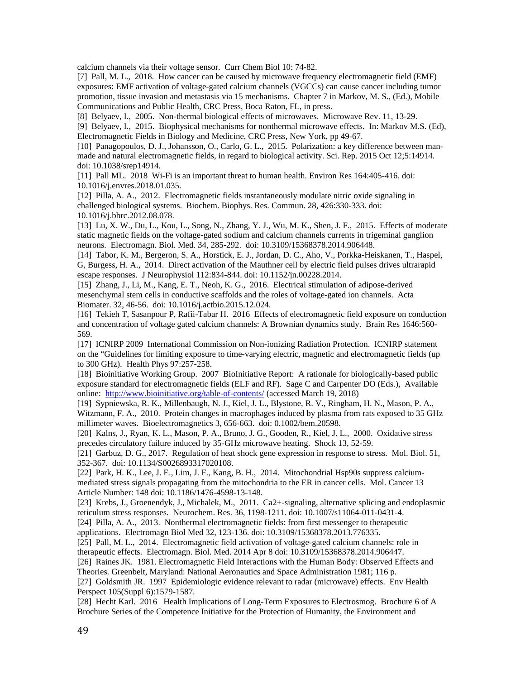calcium channels via their voltage sensor. Curr Chem Biol 10: 74-82.

[7] Pall, M. L., 2018. How cancer can be caused by microwave frequency electromagnetic field (EMF) exposures: EMF activation of voltage-gated calcium channels (VGCCs) can cause cancer including tumor promotion, tissue invasion and metastasis via 15 mechanisms. Chapter 7 in Markov, M. S., (Ed.), Mobile Communications and Public Health, CRC Press, Boca Raton, FL, in press.

[8] Belyaev, I., 2005. Non-thermal biological effects of microwaves. Microwave Rev. 11, 13-29.

[9] Belyaev, I., 2015. Biophysical mechanisms for nonthermal microwave effects. In: Markov M.S. (Ed), Electromagnetic Fields in Biology and Medicine, CRC Press, New York, pp 49-67.

[10] Panagopoulos, D. J., Johansson, O., Carlo, G. L., 2015. Polarization: a key difference between manmade and natural electromagnetic fields, in regard to biological activity. Sci. Rep. 2015 Oct 12;5:14914. doi: 10.1038/srep14914.

[11] Pall ML. 2018 Wi-Fi is an important threat to human health. Environ Res 164:405-416. doi: 10.1016/j.envres.2018.01.035.

[12] Pilla, A. A., 2012. Electromagnetic fields instantaneously modulate nitric oxide signaling in challenged biological systems. Biochem. Biophys. Res. Commun. 28, 426:330-333. doi: 10.1016/j.bbrc.2012.08.078.

[13] Lu, X. W., Du, L., Kou, L., Song, N., Zhang, Y. J., Wu, M. K., Shen, J. F., 2015. Effects of moderate static magnetic fields on the voltage-gated sodium and calcium channels currents in trigeminal ganglion neurons. Electromagn. Biol. Med. 34, 285-292. doi: 10.3109/15368378.2014.906448.

[14] Tabor, K. M., Bergeron, S. A., Horstick, E. J., Jordan, D. C., Aho, V., Porkka-Heiskanen, T., Haspel, G, Burgess, H. A., 2014. Direct activation of the Mauthner cell by electric field pulses drives ultrarapid escape responses. J Neurophysiol 112:834-844. doi: 10.1152/jn.00228.2014.

[15] Zhang, J., Li, M., Kang, E. T., Neoh, K. G., 2016. Electrical stimulation of adipose-derived mesenchymal stem cells in conductive scaffolds and the roles of voltage-gated ion channels. Acta Biomater. 32, 46-56. doi: 10.1016/j.actbio.2015.12.024.

[16] Tekieh T, Sasanpour P, Rafii-Tabar H. 2016 Effects of electromagnetic field exposure on conduction and concentration of voltage gated calcium channels: A Brownian dynamics study. Brain Res 1646:560- 569.

[17] ICNIRP 2009 International Commission on Non-ionizing Radiation Protection. ICNIRP statement on the "Guidelines for limiting exposure to time-varying electric, magnetic and electromagnetic fields (up to 300 GHz). Health Phys 97:257-258.

[18] Bioinitiative Working Group. 2007 BioInitiative Report: A rationale for biologically-based public exposure standard for electromagnetic fields (ELF and RF). Sage C and Carpenter DO (Eds.), Available online: <http://www.bioinitiative.org/table-of-contents/>(accessed March 19, 2018)

[19] Sypniewska, R. K., Millenbaugh, N. J., Kiel, J. L., Blystone, R. V., Ringham, H. N., Mason, P. A., Witzmann, F. A., 2010. Protein changes in macrophages induced by plasma from rats exposed to 35 GHz millimeter waves. Bioelectromagnetics 3, 656-663. doi: 0.1002/bem.20598.

[20] Kalns, J., Ryan, K. L., Mason, P. A., Bruno, J. G., Gooden, R., Kiel, J. L., 2000. Oxidative stress precedes circulatory failure induced by 35-GHz microwave heating. Shock 13, 52-59.

[21] Garbuz, D. G., 2017. Regulation of heat shock gene expression in response to stress. Mol. Biol. 51, 352-367. doi: 10.1134/S0026893317020108.

[22] Park, H. K., Lee, J. E., Lim, J. F., Kang, B. H., 2014. Mitochondrial Hsp90s suppress calciummediated stress signals propagating from the mitochondria to the ER in cancer cells. Mol. Cancer 13 Article Number: 148 doi: 10.1186/1476-4598-13-148.

[23] Krebs, J., Groenendyk, J., Michalek, M., 2011. Ca2+-signaling, alternative splicing and endoplasmic reticulum stress responses. Neurochem. Res. 36, 1198-1211. doi: 10.1007/s11064-011-0431-4.

[24] Pilla, A. A., 2013. Nonthermal electromagnetic fields: from first messenger to therapeutic applications. Electromagn Biol Med 32, 123-136. doi: 10.3109/15368378.2013.776335.

[25] Pall, M. L., 2014. Electromagnetic field activation of voltage-gated calcium channels: role in therapeutic effects. Electromagn. Biol. Med. 2014 Apr 8 doi: 10.3109/15368378.2014.906447.

[26] Raines JK. 1981. Electromagnetic Field Interactions with the Human Body: Observed Effects and Theories. Greenbelt, Maryland: National Aeronautics and Space Administration 1981; 116 p.

[27] Goldsmith JR. 1997 Epidemiologic evidence relevant to radar (microwave) effects. Env Health Perspect 105(Suppl 6):1579-1587.

[28] Hecht Karl. 2016 Health Implications of Long-Term Exposures to Electrosmog. Brochure 6 of A Brochure Series of the Competence Initiative for the Protection of Humanity, the Environment and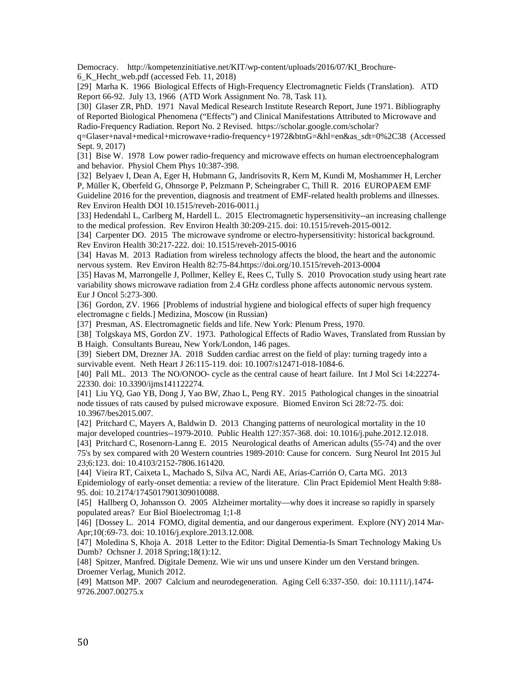Democracy. http://kompetenzinitiative.net/KIT/wp-content/uploads/2016/07/KI\_Brochure-

6\_K\_Hecht\_web.pdf (accessed Feb. 11, 2018)

[29] Marha K. 1966 Biological Effects of High-Frequency Electromagnetic Fields (Translation). ATD Report 66-92. July 13, 1966 (ATD Work Assignment No. 78, Task 11).

[30] Glaser ZR, PhD. 1971 Naval Medical Research Institute Research Report, June 1971. Bibliography of Reported Biological Phenomena ("Effects") and Clinical Manifestations Attributed to Microwave and Radio-Frequency Radiation. Report No. 2 Revised. https://scholar.google.com/scholar?

q=Glaser+naval+medical+microwave+radio-frequency+1972&btnG=&hl=en&as\_sdt=0%2C38 (Accessed Sept. 9, 2017)

[31] Bise W. 1978 Low power radio-frequency and microwave effects on human electroencephalogram and behavior. Physiol Chem Phys 10:387-398.

[32] Belyaev I, Dean A, Eger H, Hubmann G, Jandrisovits R, Kern M, Kundi M, Moshammer H, Lercher P, Müller K, Oberfeld G, Ohnsorge P, Pelzmann P, Scheingraber C, Thill R. 2016 EUROPAEM EMF Guideline 2016 for the prevention, diagnosis and treatment of EMF-related health problems and illnesses. Rev Environ Health DOI 10.1515/reveh-2016-0011.j

[33] Hedendahl L, Carlberg M, Hardell L. 2015 Electromagnetic hypersensitivity--an increasing challenge to the medical profession. Rev Environ Health 30:209-215. doi: 10.1515/reveh-2015-0012.

[34] Carpenter DO. 2015 The microwave syndrome or electro-hypersensitivity: historical background. Rev Environ Health 30:217-222. doi: 10.1515/reveh-2015-0016

[34] Havas M. 2013 Radiation from wireless technology affects the blood, the heart and the autonomic nervous system. Rev Environ Health 82:75-84.https://doi.org/10.1515/reveh-2013-0004

[35] Havas M, Marrongelle J, Pollmer, Kelley E, Rees C, Tully S. 2010 Provocation study using heart rate variability shows microwave radiation from 2.4 GHz cordless phone affects autonomic nervous system. Eur J Oncol 5:273-300.

[36] Gordon, ZV. 1966 [Problems of industrial hygiene and biological effects of super high frequency electromagne c fields.] Medizina, Moscow (in Russian)

[37] Presman, AS. Electromagnetic fields and life. New York: Plenum Press, 1970.

[38] Tolgskaya MS, Gordon ZV. 1973. Pathological Effects of Radio Waves, Translated from Russian by B Haigh. Consultants Bureau, New York/London, 146 pages.

[39] Siebert DM, Drezner JA. 2018 Sudden cardiac arrest on the field of play: turning tragedy into a survivable event. Neth Heart J 26:115-119. doi: 10.1007/s12471-018-1084-6.

[40] Pall ML. 2013 The NO/ONOO- cycle as the central cause of heart failure. Int J Mol Sci 14:22274- 22330. doi: 10.3390/ijms141122274.

[41] Liu YQ, Gao YB, Dong J, Yao BW, Zhao L, Peng RY. 2015 Pathological changes in the sinoatrial node tissues of rats caused by pulsed microwave exposure. Biomed Environ Sci 28:72-75. doi: 10.3967/bes2015.007.

[42] Pritchard C, Mayers A, Baldwin D. 2013 Changing patterns of neurological mortality in the 10 major developed countries--1979-2010. Public Health 127:357-368. doi: 10.1016/j.puhe.2012.12.018.

[43] Pritchard C, Rosenorn-Lanng E. 2015 Neurological deaths of American adults (55-74) and the over 75's by sex compared with 20 Western countries 1989-2010: Cause for concern. Surg Neurol Int 2015 Jul 23;6:123. doi: 10.4103/2152-7806.161420.

[44] Vieira RT, Caixeta L, Machado S, Silva AC, Nardi AE, Arias-Carrión O, Carta MG. 2013 Epidemiology of early-onset dementia: a review of the literature. Clin Pract Epidemiol Ment Health 9:88- 95. doi: 10.2174/1745017901309010088.

[45] Hallberg O, Johansson O. 2005 Alzheimer mortality—why does it increase so rapidly in sparsely populated areas? Eur Biol Bioelectromag 1;1-8

[46] [Dossey L. 2014 FOMO, digital dementia, and our dangerous experiment. Explore (NY) 2014 Mar-Apr;10(:69-73. doi: 10.1016/j.explore.2013.12.008.

[47] Moledina S, Khoja A. 2018 Letter to the Editor: Digital Dementia-Is Smart Technology Making Us Dumb? Ochsner J. 2018 Spring;18(1):12.

[48] Spitzer, Manfred. Digitale Demenz. Wie wir uns und unsere Kinder um den Verstand bringen. Droemer Verlag, Munich 2012.

[49] Mattson MP. 2007 Calcium and neurodegeneration. Aging Cell 6:337-350. doi: 10.1111/j.1474- 9726.2007.00275.x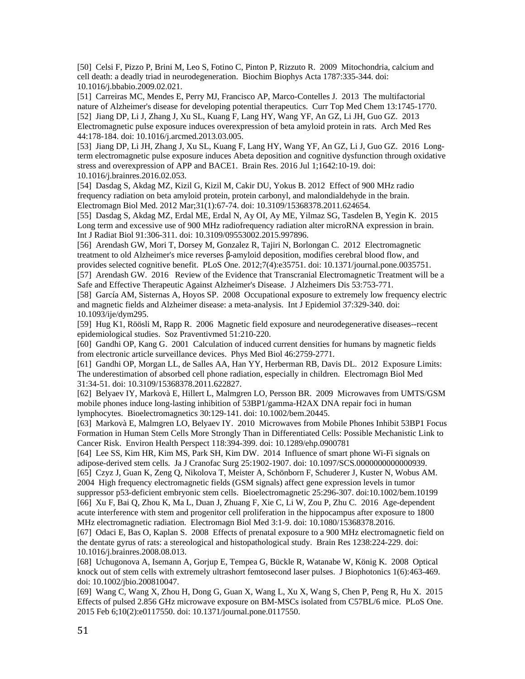[50] Celsi F, Pizzo P, Brini M, Leo S, Fotino C, Pinton P, Rizzuto R. 2009 Mitochondria, calcium and cell death: a deadly triad in neurodegeneration. Biochim Biophys Acta 1787:335-344. doi: 10.1016/j.bbabio.2009.02.021.

[51] Carreiras MC, Mendes E, Perry MJ, Francisco AP, Marco-Contelles J. 2013 The multifactorial nature of Alzheimer's disease for developing potential therapeutics. Curr Top Med Chem 13:1745-1770. [52] Jiang DP, Li J, Zhang J, Xu SL, Kuang F, Lang HY, Wang YF, An GZ, Li JH, Guo GZ. 2013 Electromagnetic pulse exposure induces overexpression of beta amyloid protein in rats. Arch Med Res 44:178-184. doi: 10.1016/j.arcmed.2013.03.005.

[53] Jiang DP, Li JH, Zhang J, Xu SL, Kuang F, Lang HY, Wang YF, An GZ, Li J, Guo GZ. 2016 Longterm electromagnetic pulse exposure induces Abeta deposition and cognitive dysfunction through oxidative stress and overexpression of APP and BACE1. Brain Res. 2016 Jul 1;1642:10-19. doi: 10.1016/j.brainres.2016.02.053.

[54] Dasdag S, Akdag MZ, Kizil G, Kizil M, Cakir DU, Yokus B. 2012 Effect of 900 MHz radio frequency radiation on beta amyloid protein, protein carbonyl, and malondialdehyde in the brain. Electromagn Biol Med. 2012 Mar;31(1):67-74. doi: 10.3109/15368378.2011.624654.

[55] Dasdag S, Akdag MZ, Erdal ME, Erdal N, Ay OI, Ay ME, Yilmaz SG, Tasdelen B, Yegin K. 2015 Long term and excessive use of 900 MHz radiofrequency radiation alter microRNA expression in brain. Int J Radiat Biol 91:306-311. doi: 10.3109/09553002.2015.997896.

[56] Arendash GW, Mori T, Dorsey M, Gonzalez R, Tajiri N, Borlongan C. 2012 Electromagnetic treatment to old Alzheimer's mice reverses β-amyloid deposition, modifies cerebral blood flow, and provides selected cognitive benefit. PLoS One. 2012;7(4):e35751. doi: 10.1371/journal.pone.0035751. [57] Arendash GW. 2016 Review of the Evidence that Transcranial Electromagnetic Treatment will be a

Safe and Effective Therapeutic Against Alzheimer's Disease. J Alzheimers Dis 53:753-771.

[58] García AM, Sisternas A, Hoyos SP. 2008 Occupational exposure to extremely low frequency electric and magnetic fields and Alzheimer disease: a meta-analysis. Int J Epidemiol 37:329-340. doi: 10.1093/ije/dym295.

[59] Hug K1, Röösli M, Rapp R. 2006 Magnetic field exposure and neurodegenerative diseases--recent epidemiological studies. Soz Praventivmed 51:210-220.

[60] Gandhi OP, Kang G. 2001 Calculation of induced current densities for humans by magnetic fields from electronic article surveillance devices. Phys Med Biol 46:2759-2771.

[61] Gandhi OP, Morgan LL, de Salles AA, Han YY, Herberman RB, Davis DL. 2012 Exposure Limits: The underestimation of absorbed cell phone radiation, especially in children. Electromagn Biol Med 31:34-51. doi: 10.3109/15368378.2011.622827.

[62] Belyaev IY, Markovà E, Hillert L, Malmgren LO, Persson BR. 2009 Microwaves from UMTS/GSM mobile phones induce long-lasting inhibition of 53BP1/gamma-H2AX DNA repair foci in human lymphocytes. Bioelectromagnetics 30:129-141. doi: 10.1002/bem.20445.

[63] Markovà E, Malmgren LO, Belyaev IY. 2010 Microwaves from Mobile Phones Inhibit 53BP1 Focus Formation in Human Stem Cells More Strongly Than in Differentiated Cells: Possible Mechanistic Link to Cancer Risk. Environ Health Perspect 118:394-399. doi: 10.1289/ehp.0900781

[64] Lee SS, Kim HR, Kim MS, Park SH, Kim DW. 2014 Influence of smart phone Wi-Fi signals on adipose-derived stem cells. Ja J Cranofac Surg 25:1902-1907. doi: 10.1097/SCS.0000000000000939.

[65] Czyz J, Guan K, Zeng Q, Nikolova T, Meister A, Schönborn F, Schuderer J, Kuster N, Wobus AM. 2004 High frequency electromagnetic fields (GSM signals) affect gene expression levels in tumor suppressor p53-deficient embryonic stem cells. Bioelectromagnetic 25:296-307. doi:10.1002/bem.10199 [66] Xu F, Bai Q, Zhou K, Ma L, Duan J, Zhuang F, Xie C, Li W, Zou P, Zhu C. 2016 Age-dependent acute interference with stem and progenitor cell proliferation in the hippocampus after exposure to 1800 MHz electromagnetic radiation. Electromagn Biol Med 3:1-9. doi: 10.1080/15368378.2016.

[67] Odaci E, Bas O, Kaplan S. 2008 Effects of prenatal exposure to a 900 MHz electromagnetic field on the dentate gyrus of rats: a stereological and histopathological study. Brain Res 1238:224-229. doi: 10.1016/j.brainres.2008.08.013.

[68] Uchugonova A, Isemann A, Gorjup E, Tempea G, Bückle R, Watanabe W, König K. 2008 Optical knock out of stem cells with extremely ultrashort femtosecond laser pulses. J Biophotonics 1(6):463-469. doi: 10.1002/jbio.200810047.

[69] Wang C, Wang X, Zhou H, Dong G, Guan X, Wang L, Xu X, Wang S, Chen P, Peng R, Hu X. 2015 Effects of pulsed 2.856 GHz microwave exposure on BM-MSCs isolated from C57BL/6 mice. PLoS One. 2015 Feb 6;10(2):e0117550. doi: 10.1371/journal.pone.0117550.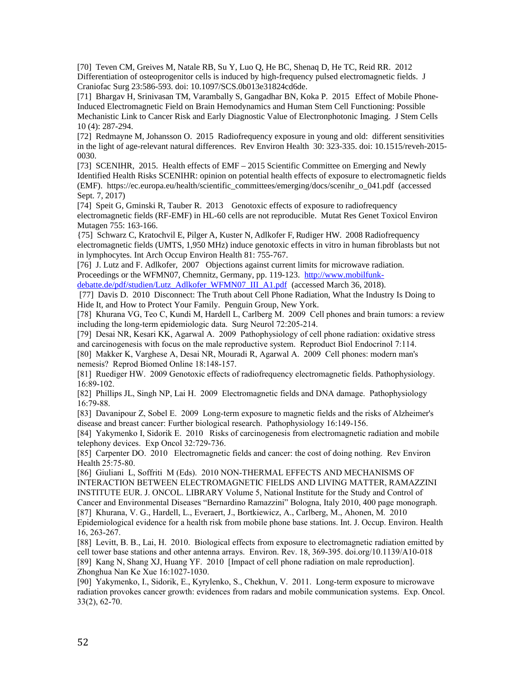[70] Teven CM, Greives M, Natale RB, Su Y, Luo Q, He BC, Shenaq D, He TC, Reid RR. 2012 Differentiation of osteoprogenitor cells is induced by high-frequency pulsed electromagnetic fields. J Craniofac Surg 23:586-593. doi: 10.1097/SCS.0b013e31824cd6de.

[71] Bhargav H, Srinivasan TM, Varambally S, Gangadhar BN, Koka P. 2015 Effect of Mobile Phone-Induced Electromagnetic Field on Brain Hemodynamics and Human Stem Cell Functioning: Possible Mechanistic Link to Cancer Risk and Early Diagnostic Value of Electronphotonic Imaging. J Stem Cells 10 (4): 287-294.

[72] Redmayne M, Johansson O. 2015 Radiofrequency exposure in young and old: different sensitivities in the light of age-relevant natural differences. Rev Environ Health 30: 323-335. doi: 10.1515/reveh-2015- 0030.

[73] SCENIHR, 2015. Health effects of EMF – 2015 Scientific Committee on Emerging and Newly Identified Health Risks SCENIHR: opinion on potential health effects of exposure to electromagnetic fields (EMF). https://ec.europa.eu/health/scientific\_committees/emerging/docs/scenihr\_o\_041.pdf (accessed Sept. 7, 2017)

[74] Speit G, Gminski R, Tauber R. 2013 Genotoxic effects of exposure to radiofrequency electromagnetic fields (RF-EMF) in HL-60 cells are not reproducible. Mutat Res Genet Toxicol Environ Mutagen 755: 163-166.

{75] Schwarz C, Kratochvil E, Pilger A, Kuster N, Adlkofer F, Rudiger HW. 2008 Radiofrequency electromagnetic fields (UMTS, 1,950 MHz) induce genotoxic effects in vitro in human fibroblasts but not in lymphocytes. Int Arch Occup Environ Health 81: 755-767.

[76] J. Lutz and F. Adlkofer, 2007 Objections against current limits for microwave radiation. Proceedings or the WFMN07, Chemnitz, Germany, pp. 119-123. [http://www.mobilfunk](http://www.mobilfunk-debatte.de/pdf/studien/Lutz_Adlkofer_WFMN07_III_A1.pdf)[debatte.de/pdf/studien/Lutz\\_Adlkofer\\_WFMN07\\_III\\_A1.pdf](http://www.mobilfunk-debatte.de/pdf/studien/Lutz_Adlkofer_WFMN07_III_A1.pdf) (accessed March 36, 2018).

 [77] Davis D. 2010 Disconnect: The Truth about Cell Phone Radiation, What the Industry Is Doing to Hide It, and How to Protect Your Family. Penguin Group, New York.

[78] Khurana VG, Teo C, Kundi M, Hardell L, Carlberg M. 2009 Cell phones and brain tumors: a review including the long-term epidemiologic data. Surg Neurol 72:205-214.

[79] Desai NR, Kesari KK, Agarwal A. 2009 Pathophysiology of cell phone radiation: oxidative stress and carcinogenesis with focus on the male reproductive system. Reproduct Biol Endocrinol 7:114. [80] Makker K, Varghese A, Desai NR, Mouradi R, Agarwal A. 2009 Cell phones: modern man's

nemesis? Reprod Biomed Online 18:148-157.

[81] Ruediger HW. 2009 Genotoxic effects of radiofrequency electromagnetic fields. Pathophysiology. 16:89-102.

[82] Phillips JL, Singh NP, Lai H. 2009 Electromagnetic fields and DNA damage. Pathophysiology 16:79-88.

[83] Davanipour Z, Sobel E. 2009 Long-term exposure to magnetic fields and the risks of Alzheimer's disease and breast cancer: Further biological research. Pathophysiology 16:149-156.

[84] Yakymenko I, Sidorik E. 2010 Risks of carcinogenesis from electromagnetic radiation and mobile telephony devices. Exp Oncol 32:729-736.

[85] Carpenter DO. 2010 Electromagnetic fields and cancer: the cost of doing nothing. Rev Environ Health 25:75-80.

[86] Giuliani L, Soffriti M (Eds). 2010 NON-THERMAL EFFECTS AND MECHANISMS OF INTERACTION BETWEEN ELECTROMAGNETIC FIELDS AND LIVING MATTER, RAMAZZINI INSTITUTE EUR. J. ONCOL. LIBRARY Volume 5, National Institute for the Study and Control of Cancer and Environmental Diseases "Bernardino Ramazzini" Bologna, Italy 2010, 400 page monograph.

[87] Khurana, V. G., Hardell, L., Everaert, J., Bortkiewicz, A., Carlberg, M., Ahonen, M. 2010

Epidemiological evidence for a health risk from mobile phone base stations. Int. J. Occup. Environ. Health 16, 263-267.

[88] Levitt, B. B., Lai, H. 2010. Biological effects from exposure to electromagnetic radiation emitted by cell tower base stations and other antenna arrays. Environ. Rev. 18, 369-395. doi.org/10.1139/A10-018 [89] Kang N, Shang XJ, Huang YF. 2010 [Impact of cell phone radiation on male reproduction].

Zhonghua Nan Ke Xue 16:1027-1030.

[90] Yakymenko, I., Sidorik, E., Kyrylenko, S., Chekhun, V. 2011. Long-term exposure to microwave radiation provokes cancer growth: evidences from radars and mobile communication systems. Exp. Oncol. 33(2), 62-70.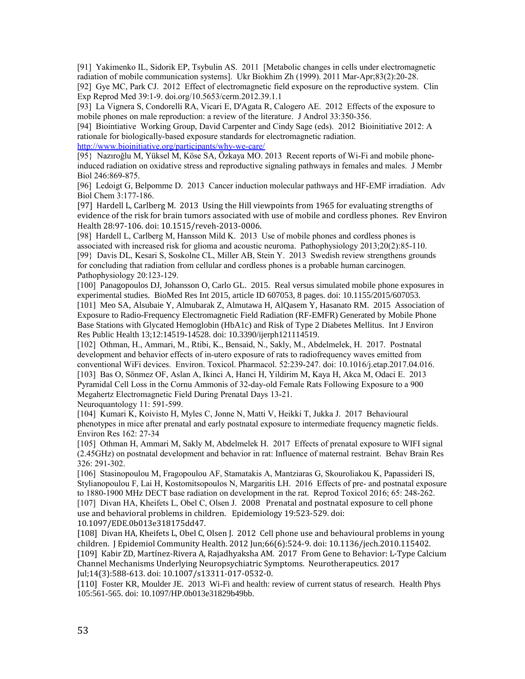[91] Yakimenko IL, Sidorik EP, Tsybulin AS. 2011 [Metabolic changes in cells under electromagnetic radiation of mobile communication systems]. Ukr Biokhim Zh (1999). 2011 Mar-Apr;83(2):20-28.

[92] Gye MC, Park CJ. 2012 Effect of electromagnetic field exposure on the reproductive system. Clin Exp Reprod Med 39:1-9. doi.org/10.5653/cerm.2012.39.1.1

[93] La Vignera S, Condorelli RA, Vicari E, D'Agata R, Calogero AE. 2012 Effects of the exposure to mobile phones on male reproduction: a review of the literature. J Androl 33:350-356.

[94] Biointiative Working Group, David Carpenter and Cindy Sage (eds). 2012 Bioinitiative 2012: A rationale for biologically-based exposure standards for electromagnetic radiation. <http://www.bioinitiative.org/participants/why-we-care/>

[95} Nazıroğlu M, Yüksel M, Köse SA, Özkaya MO. 2013 Recent reports of Wi-Fi and mobile phoneinduced radiation on oxidative stress and reproductive signaling pathways in females and males. J Membr Biol 246:869-875.

[96] Ledoigt G, Belpomme D. 2013 Cancer induction molecular pathways and HF-EMF irradiation. Adv Biol Chem 3:177-186.

[97] Hardell L, Carlberg M. 2013 Using the Hill viewpoints from 1965 for evaluating strengths of evidence of the risk for brain tumors associated with use of mobile and cordless phones. Rev Environ Health 28:97-106. doi: 10.1515/reveh-2013-0006.

[98] Hardell L, Carlberg M, Hansson Mild K. 2013 Use of mobile phones and cordless phones is associated with increased risk for glioma and acoustic neuroma. Pathophysiology 2013;20(2):85-110. [99} Davis DL, Kesari S, Soskolne CL, Miller AB, Stein Y. 2013 Swedish review strengthens grounds for concluding that radiation from cellular and cordless phones is a probable human carcinogen. Pathophysiology 20:123-129.

[100] Panagopoulos DJ, Johansson O, Carlo GL. 2015. Real versus simulated mobile phone exposures in experimental studies. BioMed Res Int 2015, article ID 607053, 8 pages. doi: 10.1155/2015/607053. [101] Meo SA, Alsubaie Y, Almubarak Z, Almutawa H, AlQasem Y, Hasanato RM. 2015 Association of Exposure to Radio-Frequency Electromagnetic Field Radiation (RF-EMFR) Generated by Mobile Phone Base Stations with Glycated Hemoglobin (HbA1c) and Risk of Type 2 Diabetes Mellitus. Int J Environ Res Public Health 13;12:14519-14528. doi: 10.3390/ijerph121114519.

[102] Othman, H., Ammari, M., Rtibi, K., Bensaid, N., Sakly, M., Abdelmelek, H. 2017. Postnatal development and behavior effects of in-utero exposure of rats to radiofrequency waves emitted from conventional WiFi devices. Environ. Toxicol. Pharmacol. 52:239-247. doi: 10.1016/j.etap.2017.04.016. [103] Bas O, Sönmez OF, Aslan A, Ikinci A, Hanci H, Yildirim M, Kaya H, Akca M, Odaci E. 2013 Pyramidal Cell Loss in the Cornu Ammonis of 32-day-old Female Rats Following Exposure to a 900 Megahertz Electromagnetic Field During Prenatal Days 13-21.

Neuroquantology 11: 591-599.

[104] Kumari K, Koivisto H, Myles C, Jonne N, Matti V, Heikki T, Jukka J. 2017 Behavioural phenotypes in mice after prenatal and early postnatal exposure to intermediate frequency magnetic fields. Environ Res 162: 27-34

[105] Othman H, Ammari M, Sakly M, Abdelmelek H. 2017 Effects of prenatal exposure to WIFI signal (2.45GHz) on postnatal development and behavior in rat: Influence of maternal restraint. Behav Brain Res 326: 291-302.

[106] Stasinopoulou M, Fragopoulou AF, Stamatakis A, Mantziaras G, Skouroliakou K, Papassideri IS, Stylianopoulou F, Lai H, Kostomitsopoulos N, Margaritis LH. 2016 Effects of pre- and postnatal exposure to 1880-1900 MHz DECT base radiation on development in the rat. Reprod Toxicol 2016; 65: 248-262. [107] Divan HA, Kheifets L, Obel C, Olsen J. 2008 Prenatal and postnatal exposure to cell phone use and behavioral problems in children. Epidemiology 19:523-529. doi: 10.1097/EDE.0b013e318175dd47.

[108] Divan HA, Kheifets L, Obel C, Olsen J. 2012 Cell phone use and behavioural problems in young children. J Epidemiol Community Health. 2012 Jun;66(6):524-9. doi: 10.1136/jech.2010.115402. [109] Kabir ZD, Martínez-Rivera A, Rajadhyaksha AM. 2017 From Gene to Behavior: L-Type Calcium Channel Mechanisms Underlying Neuropsychiatric Symptoms. Neurotherapeutics. 2017 Jul;14(3):588-613. doi: 10.1007/s13311-017-0532-0.

[110] Foster KR, Moulder JE. 2013 Wi-Fi and health: review of current status of research. Health Phys 105:561-565. doi: 10.1097/HP.0b013e31829b49bb.